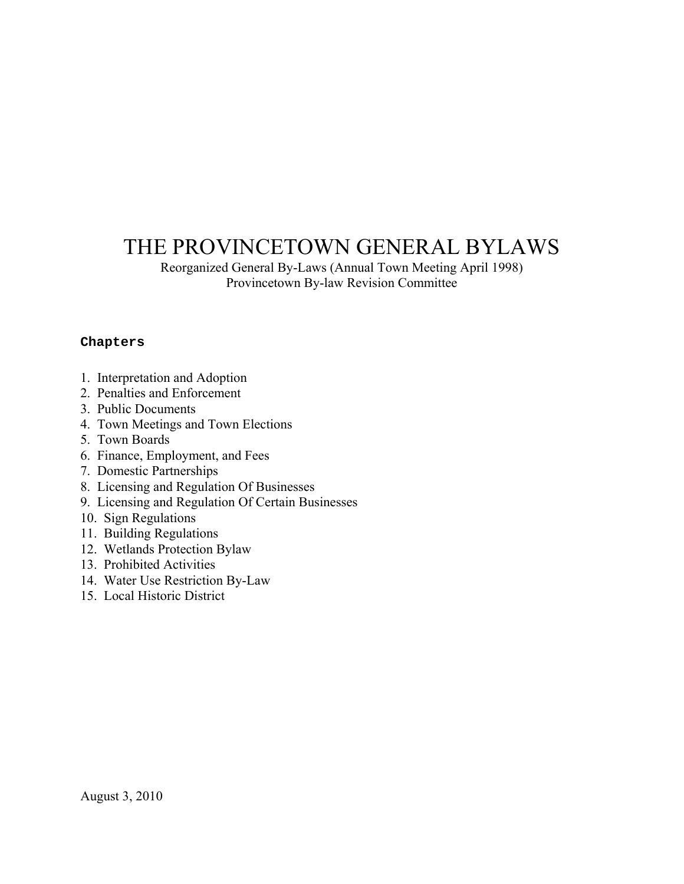# THE PROVINCETOWN GENERAL BYLAWS

Reorganized General By-Laws (Annual Town Meeting April 1998) Provincetown By-law Revision Committee

#### **Chapters**

- 1. Interpretation and Adoption
- 2. Penalties and Enforcement
- 3. Public Documents
- 4. Town Meetings and Town Elections
- 5. Town Boards
- 6. Finance, Employment, and Fees
- 7. Domestic Partnerships
- 8. Licensing and Regulation Of Businesses
- 9. Licensing and Regulation Of Certain Businesses
- 10. Sign Regulations
- 11. Building Regulations
- 12. Wetlands Protection Bylaw
- 13. Prohibited Activities
- 14. Water Use Restriction By-Law
- 15. Local Historic District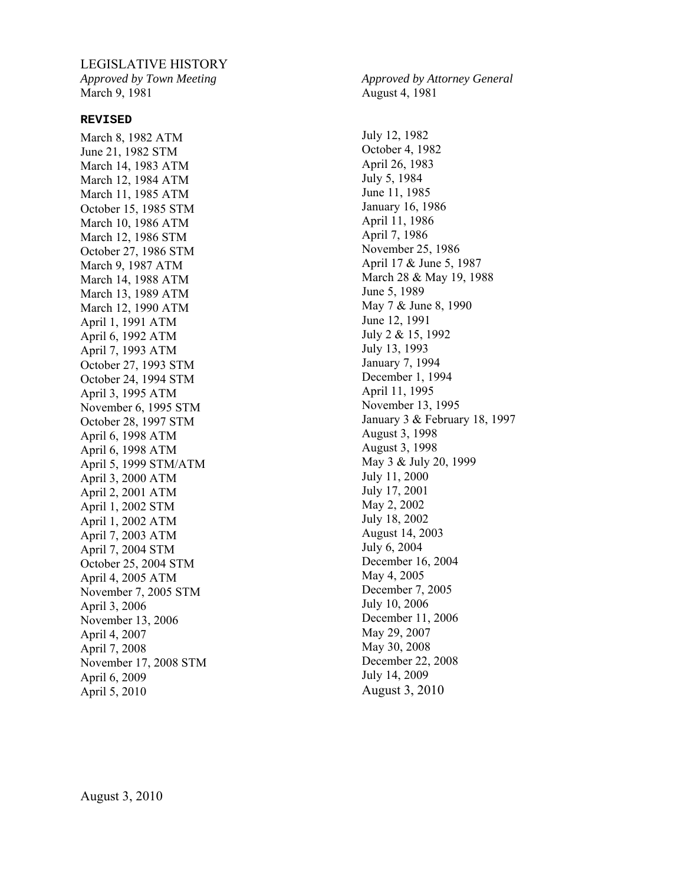#### LEGISLATIVE HISTORY

*Approved by Town Meeting*  March 9, 1981

#### **REVISED**

March 8, 1982 ATM June 21, 1982 STM March 14, 1983 ATM March 12, 1984 ATM March 11, 1985 ATM October 15, 1985 STM March 10, 1986 ATM March 12, 1986 STM October 27, 1986 STM March 9, 1987 ATM March 14, 1988 ATM March 13, 1989 ATM March 12, 1990 ATM April 1, 1991 ATM April 6, 1992 ATM April 7, 1993 ATM October 27, 1993 STM October 24, 1994 STM April 3, 1995 ATM November 6, 1995 STM October 28, 1997 STM April 6, 1998 ATM April 6, 1998 ATM April 5, 1999 STM/ATM April 3, 2000 ATM April 2, 2001 ATM April 1, 2002 STM April 1, 2002 ATM April 7, 2003 ATM April 7, 2004 STM October 25, 2004 STM April 4, 2005 ATM November 7, 2005 STM April 3, 2006 November 13, 2006 April 4, 2007 April 7, 2008 November 17, 2008 STM April 6, 2009 April 5, 2010

*Approved by Attorney General*  August 4, 1981

July 12, 1982 October 4, 1982 April 26, 1983 July 5, 1984 June 11, 1985 January 16, 1986 April 11, 1986 April 7, 1986 November 25, 1986 April 17 & June 5, 1987 March 28 & May 19, 1988 June 5, 1989 May 7 & June 8, 1990 June 12, 1991 July 2 & 15, 1992 July 13, 1993 January 7, 1994 December 1, 1994 April 11, 1995 November 13, 1995 January 3 & February 18, 1997 August 3, 1998 August 3, 1998 May 3 & July 20, 1999 July 11, 2000 July 17, 2001 May 2, 2002 July 18, 2002 August 14, 2003 July 6, 2004 December 16, 2004 May 4, 2005 December 7, 2005 July 10, 2006 December 11, 2006 May 29, 2007 May 30, 2008 December 22, 2008 July 14, 2009 August 3, 2010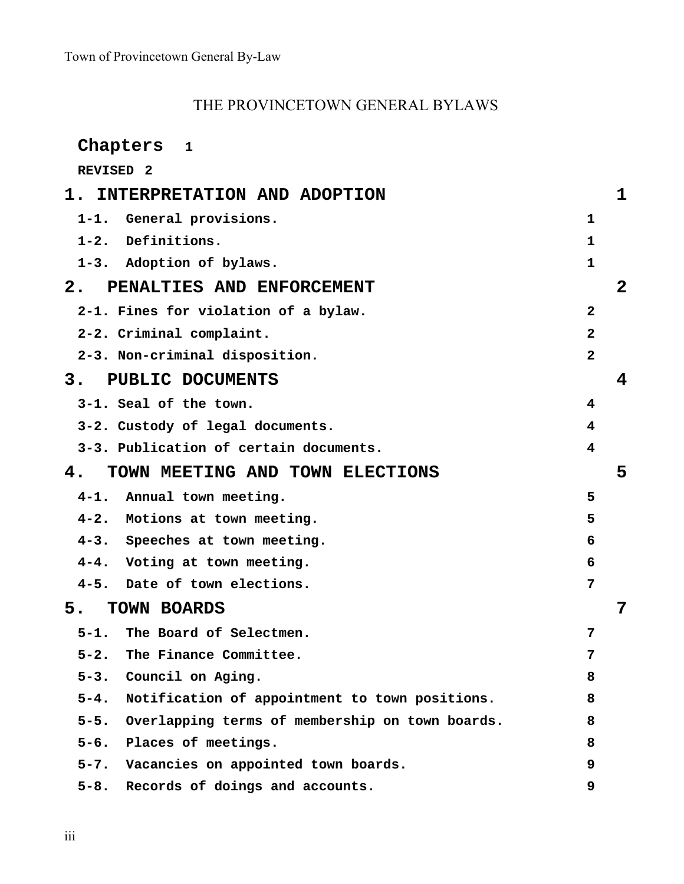# THE PROVINCETOWN GENERAL BYLAWS

| Chapters<br>$\mathbf{1}$                                   |                |
|------------------------------------------------------------|----------------|
| REVISED <sub>2</sub>                                       |                |
| 1. INTERPRETATION AND ADOPTION                             | 1              |
| 1-1. General provisions.                                   | 1              |
| Definitions.<br>$1 - 2$ .                                  | 1              |
| 1-3. Adoption of bylaws.                                   | 1              |
| 2.<br>PENALTIES AND ENFORCEMENT                            | 2              |
| 2-1. Fines for violation of a bylaw.                       | $\mathbf{2}$   |
| 2-2. Criminal complaint.                                   | $\overline{2}$ |
| 2-3. Non-criminal disposition.                             | $\overline{2}$ |
| PUBLIC DOCUMENTS<br>3.                                     | 4              |
| 3-1. Seal of the town.                                     | 4              |
| 3-2. Custody of legal documents.                           | 4              |
| 3-3. Publication of certain documents.                     | 4              |
| TOWN MEETING AND TOWN ELECTIONS<br>4.                      | 5              |
| $4 - 1$ .<br>Annual town meeting.                          | 5              |
| 4-2. Motions at town meeting.                              | 5              |
| 4-3. Speeches at town meeting.                             | 6              |
| 4-4. Voting at town meeting.                               | 6              |
| 4-5. Date of town elections.                               | 7              |
| 5.<br>TOWN BOARDS                                          |                |
| 5-1. The Board of Selectmen.                               | 7              |
| $5 - 2.$<br>The Finance Committee.                         | 7              |
| $5 - 3.$<br>Council on Aging.                              | 8              |
| $5 - 4.$<br>Notification of appointment to town positions. | 8              |
| 5-5. Overlapping terms of membership on town boards.       | 8              |
| 5-6. Places of meetings.                                   | 8              |
| 5-7. Vacancies on appointed town boards.                   | 9              |
| 5-8. Records of doings and accounts.                       | 9              |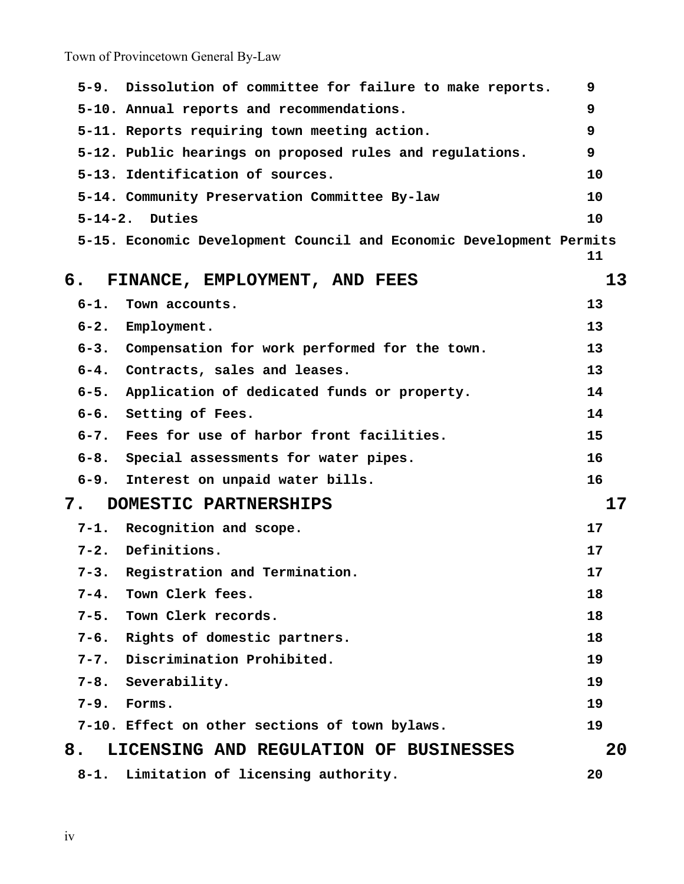|                             | $5 - 9$ .      | Dissolution of committee for failure to make reports.               | 9  |
|-----------------------------|----------------|---------------------------------------------------------------------|----|
|                             |                | 5-10. Annual reports and recommendations.                           | 9  |
|                             |                | 5-11. Reports requiring town meeting action.                        | 9  |
|                             |                | 5-12. Public hearings on proposed rules and regulations.            | 9  |
|                             |                | 5-13. Identification of sources.                                    | 10 |
|                             |                | 5-14. Community Preservation Committee By-law                       | 10 |
|                             | $5 - 14 - 2$ . | Duties                                                              | 10 |
|                             |                | 5-15. Economic Development Council and Economic Development Permits | 11 |
| б.                          |                | FINANCE, EMPLOYMENT, AND FEES                                       | 13 |
|                             | $6-1.$         | Town accounts.                                                      | 13 |
|                             | $6 - 2.$       | Employment.                                                         | 13 |
|                             |                | 6-3. Compensation for work performed for the town.                  | 13 |
|                             | $6 - 4$ .      | Contracts, sales and leases.                                        | 13 |
|                             | $6 - 5.$       | Application of dedicated funds or property.                         | 14 |
|                             |                | 6-6. Setting of Fees.                                               | 14 |
|                             | $6 - 7$ .      | Fees for use of harbor front facilities.                            | 15 |
|                             | $6 - 8$ .      | Special assessments for water pipes.                                | 16 |
|                             | $6 - 9.$       | Interest on unpaid water bills.                                     | 16 |
| 7.<br>DOMESTIC PARTNERSHIPS |                | 17                                                                  |    |
|                             |                | 7-1. Recognition and scope.                                         | 17 |
|                             | $7 - 2.$       | Definitions.                                                        | 17 |
|                             | $7 - 3$ .      | Registration and Termination.                                       | 17 |
|                             | $7 - 4.$       | Town Clerk fees.                                                    | 18 |
|                             | $7 - 5$ .      | Town Clerk records.                                                 | 18 |
|                             |                | 7-6. Rights of domestic partners.                                   | 18 |
|                             |                | 7-7. Discrimination Prohibited.                                     | 19 |
|                             |                | 7-8. Severability.                                                  | 19 |
|                             | $7 - 9.$       | Forms.                                                              | 19 |
|                             |                | 7-10. Effect on other sections of town bylaws.                      | 19 |
| 8.                          |                | LICENSING AND REGULATION OF BUSINESSES                              | 20 |
|                             | $8 - 1$ .      | Limitation of licensing authority.                                  | 20 |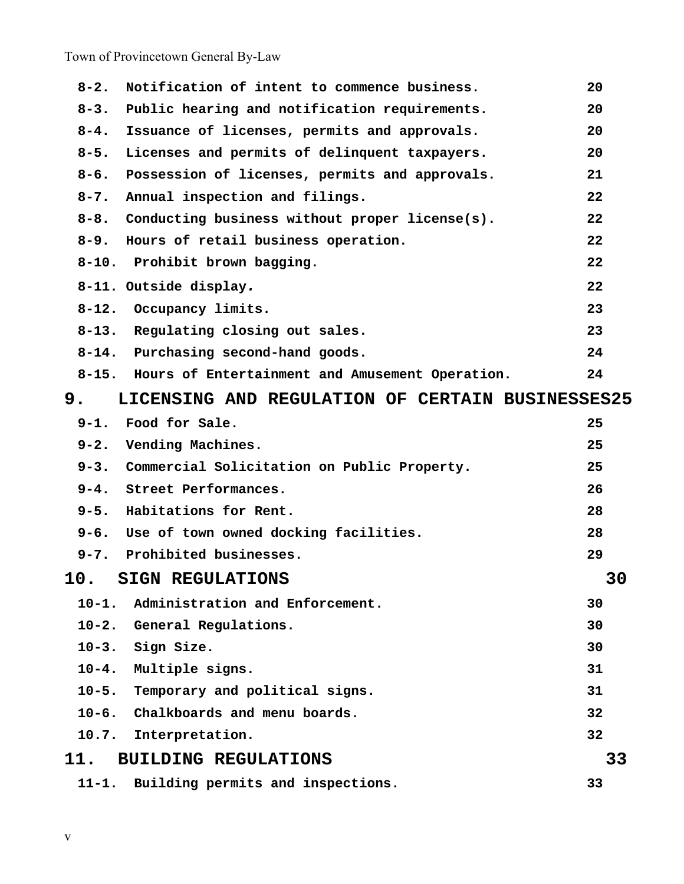| $8 - 2.$  | Notification of intent to commence business.          | 20 |    |
|-----------|-------------------------------------------------------|----|----|
| $8 - 3.$  | Public hearing and notification requirements.         | 20 |    |
| $8 - 4$ . | Issuance of licenses, permits and approvals.          | 20 |    |
| $8 - 5.$  | Licenses and permits of delinquent taxpayers.         | 20 |    |
| $8 - 6.$  | Possession of licenses, permits and approvals.        | 21 |    |
| $8 - 7$ . | Annual inspection and filings.                        | 22 |    |
|           | 8-8. Conducting business without proper license(s).   | 22 |    |
| $8 - 9.$  | Hours of retail business operation.                   | 22 |    |
|           | 8-10. Prohibit brown bagging.                         | 22 |    |
|           | 8-11. Outside display.                                | 22 |    |
| $8 - 12.$ | Occupancy limits.                                     | 23 |    |
|           | 8-13. Regulating closing out sales.                   | 23 |    |
|           | 8-14. Purchasing second-hand goods.                   | 24 |    |
|           | 8-15. Hours of Entertainment and Amusement Operation. | 24 |    |
| 9.        | LICENSING AND REGULATION OF CERTAIN BUSINESSES25      |    |    |
|           | 9-1. Food for Sale.                                   | 25 |    |
| $9 - 2.$  | Vending Machines.                                     | 25 |    |
|           | 9-3. Commercial Solicitation on Public Property.      | 25 |    |
|           | 9-4. Street Performances.                             | 26 |    |
|           | 9-5. Habitations for Rent.                            | 28 |    |
|           | 9-6. Use of town owned docking facilities.            | 28 |    |
|           | 9-7. Prohibited businesses.                           | 29 |    |
|           | 10. SIGN REGULATIONS                                  |    | 30 |
| $10 - 1.$ | Administration and Enforcement.                       | 30 |    |
|           | 10-2. General Regulations.                            | 30 |    |
|           | 10-3. Sign Size.                                      | 30 |    |
|           | 10-4. Multiple signs.                                 | 31 |    |
|           | 10-5. Temporary and political signs.                  | 31 |    |
|           | 10-6. Chalkboards and menu boards.                    | 32 |    |
| 10.7.     | Interpretation.                                       | 32 |    |
| 11.       | <b>BUILDING REGULATIONS</b>                           |    | 33 |
| $11 - 1.$ | Building permits and inspections.                     | 33 |    |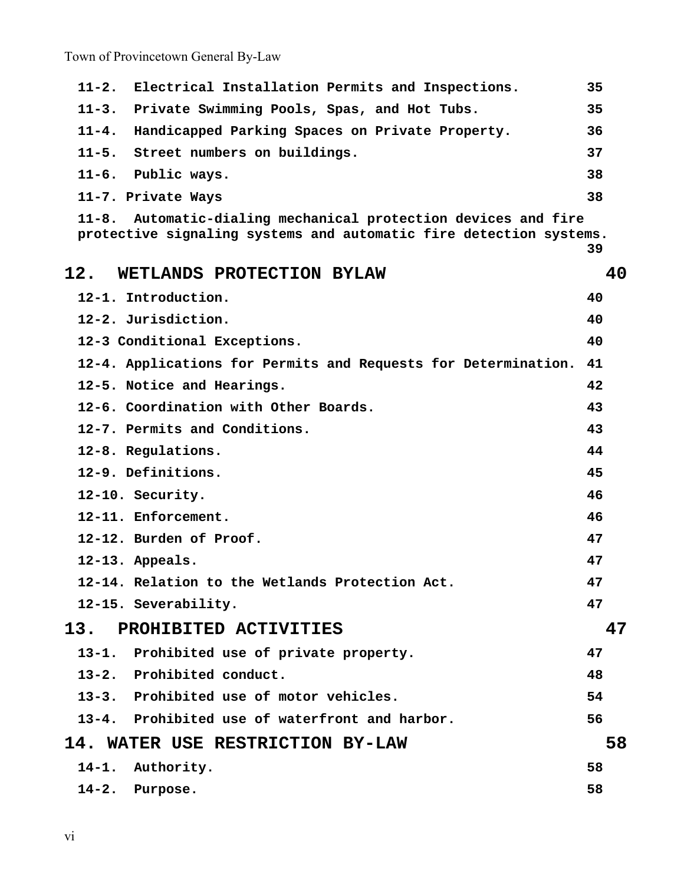| Electrical Installation Permits and Inspections.<br>$11 - 2.$                                                                                | 35 |
|----------------------------------------------------------------------------------------------------------------------------------------------|----|
| Private Swimming Pools, Spas, and Hot Tubs.<br>$11 - 3.$                                                                                     | 35 |
| Handicapped Parking Spaces on Private Property.<br>$11 - 4.$                                                                                 | 36 |
| Street numbers on buildings.<br>$11 - 5.$                                                                                                    | 37 |
| $11 - 6.$<br>Public ways.                                                                                                                    | 38 |
| 11-7. Private Ways                                                                                                                           | 38 |
| Automatic-dialing mechanical protection devices and fire<br>$11 - 8$ .<br>protective signaling systems and automatic fire detection systems. |    |
|                                                                                                                                              | 39 |
| 12.<br>WETLANDS PROTECTION BYLAW                                                                                                             | 40 |
| 12-1. Introduction.                                                                                                                          | 40 |
| 12-2. Jurisdiction.                                                                                                                          | 40 |
| 12-3 Conditional Exceptions.                                                                                                                 | 40 |
| 12-4. Applications for Permits and Requests for Determination. 41                                                                            |    |
| 12-5. Notice and Hearings.                                                                                                                   | 42 |
| 12-6. Coordination with Other Boards.                                                                                                        | 43 |
| 12-7. Permits and Conditions.                                                                                                                | 43 |
| 12-8. Regulations.                                                                                                                           | 44 |
| 12-9. Definitions.                                                                                                                           | 45 |
| 12-10. Security.                                                                                                                             | 46 |
| 12-11. Enforcement.                                                                                                                          | 46 |
| 12-12. Burden of Proof.                                                                                                                      | 47 |
| 12-13. Appeals.                                                                                                                              | 47 |
| 12-14. Relation to the Wetlands Protection Act.                                                                                              | 47 |
| 12-15. Severability.                                                                                                                         | 47 |
| 13.<br>PROHIBITED ACTIVITIES                                                                                                                 | 47 |
| 13-1. Prohibited use of private property.                                                                                                    | 47 |
| 13-2. Prohibited conduct.                                                                                                                    | 48 |
| 13-3. Prohibited use of motor vehicles.                                                                                                      | 54 |
| 13-4. Prohibited use of waterfront and harbor.                                                                                               | 56 |
| 14. WATER USE RESTRICTION BY-LAW                                                                                                             | 58 |
| 14-1. Authority.                                                                                                                             | 58 |
| 14-2. Purpose.                                                                                                                               | 58 |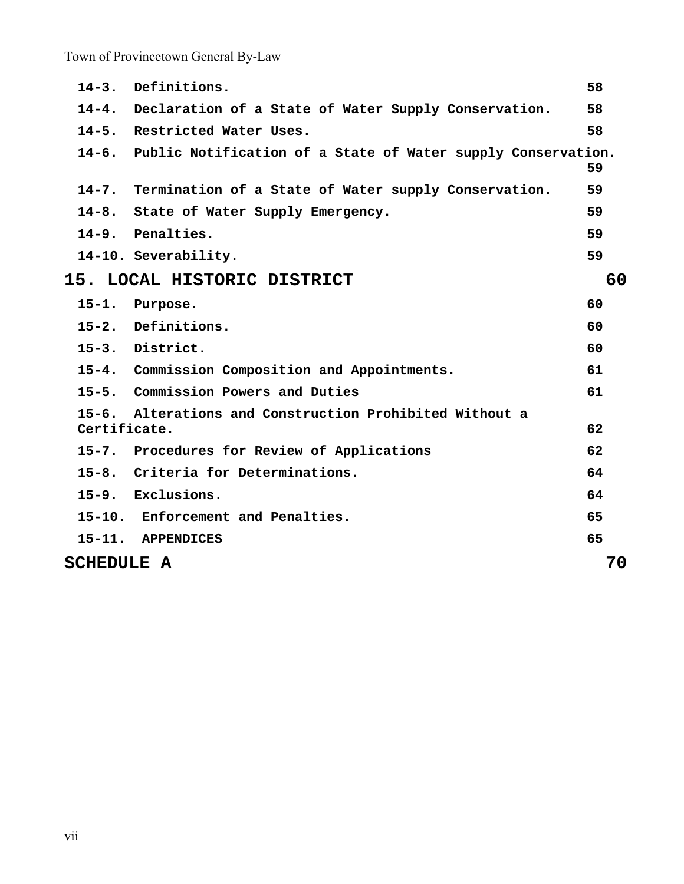| $14 - 3.$                         | Definitions.                                                       | 58 |
|-----------------------------------|--------------------------------------------------------------------|----|
|                                   | 14-4. Declaration of a State of Water Supply Conservation.         | 58 |
|                                   | 14-5. Restricted Water Uses.                                       | 58 |
|                                   | 14-6. Public Notification of a State of Water supply Conservation. | 59 |
|                                   | 14-7. Termination of a State of Water supply Conservation.         | 59 |
|                                   | 14-8. State of Water Supply Emergency.                             | 59 |
|                                   | 14-9. Penalties.                                                   | 59 |
|                                   | 14-10. Severability.                                               | 59 |
| 15. LOCAL HISTORIC DISTRICT<br>60 |                                                                    |    |
| $15 - 1.$                         | Purpose.                                                           | 60 |
|                                   | 15-2. Definitions.                                                 | 60 |
|                                   | 15-3. District.                                                    | 60 |
|                                   | 15-4. Commission Composition and Appointments.                     | 61 |
|                                   | 15-5. Commission Powers and Duties                                 | 61 |
| $15 - 6.$<br>Certificate.         | Alterations and Construction Prohibited Without a                  | 62 |
| $15 - 7.$                         | Procedures for Review of Applications                              | 62 |
|                                   | 15-8. Criteria for Determinations.                                 | 64 |
|                                   | 15-9. Exclusions.                                                  | 64 |
|                                   | 15-10. Enforcement and Penalties.                                  | 65 |
|                                   | 15-11. APPENDICES                                                  | 65 |
| <b>SCHEDULE A</b>                 |                                                                    | 70 |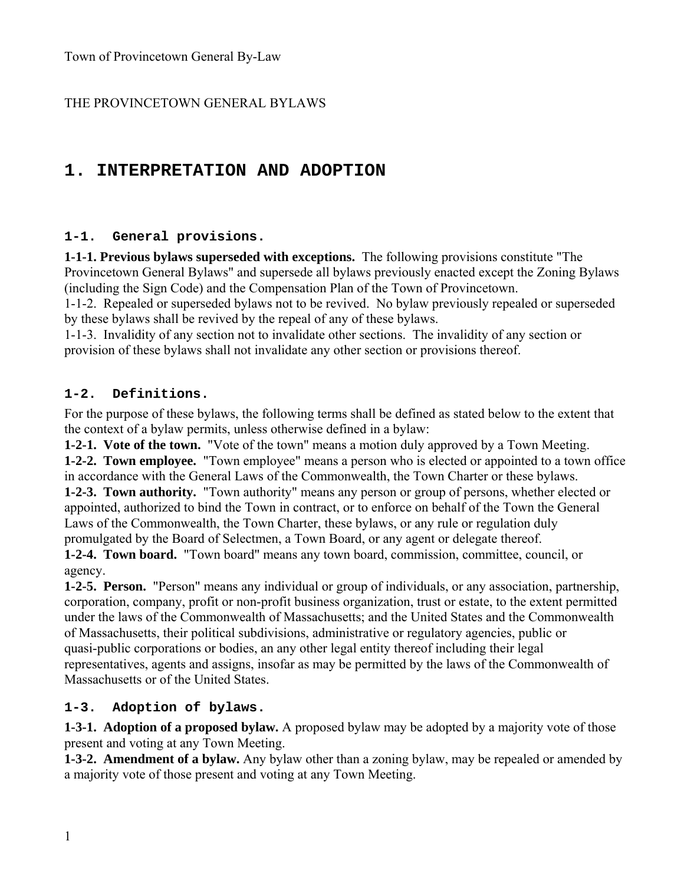### THE PROVINCETOWN GENERAL BYLAWS

## **1. INTERPRETATION AND ADOPTION**

#### **1-1. General provisions.**

**1-1-1. Previous bylaws superseded with exceptions.** The following provisions constitute "The Provincetown General Bylaws" and supersede all bylaws previously enacted except the Zoning Bylaws (including the Sign Code) and the Compensation Plan of the Town of Provincetown.

1-1-2. Repealed or superseded bylaws not to be revived. No bylaw previously repealed or superseded by these bylaws shall be revived by the repeal of any of these bylaws.

1-1-3. Invalidity of any section not to invalidate other sections. The invalidity of any section or provision of these bylaws shall not invalidate any other section or provisions thereof.

#### **1-2. Definitions.**

For the purpose of these bylaws, the following terms shall be defined as stated below to the extent that the context of a bylaw permits, unless otherwise defined in a bylaw:

**1-2-1. Vote of the town.** "Vote of the town" means a motion duly approved by a Town Meeting. **1-2-2. Town employee.** "Town employee" means a person who is elected or appointed to a town office in accordance with the General Laws of the Commonwealth, the Town Charter or these bylaws. **1-2-3. Town authority.** "Town authority" means any person or group of persons, whether elected or appointed, authorized to bind the Town in contract, or to enforce on behalf of the Town the General Laws of the Commonwealth, the Town Charter, these bylaws, or any rule or regulation duly promulgated by the Board of Selectmen, a Town Board, or any agent or delegate thereof.

**1-2-4. Town board.** "Town board" means any town board, commission, committee, council, or agency.

**1-2-5. Person.** "Person" means any individual or group of individuals, or any association, partnership, corporation, company, profit or non-profit business organization, trust or estate, to the extent permitted under the laws of the Commonwealth of Massachusetts; and the United States and the Commonwealth of Massachusetts, their political subdivisions, administrative or regulatory agencies, public or quasi-public corporations or bodies, an any other legal entity thereof including their legal representatives, agents and assigns, insofar as may be permitted by the laws of the Commonwealth of Massachusetts or of the United States.

#### **1-3. Adoption of bylaws.**

**1-3-1. Adoption of a proposed bylaw.** A proposed bylaw may be adopted by a majority vote of those present and voting at any Town Meeting.

**1-3-2. Amendment of a bylaw.** Any bylaw other than a zoning bylaw, may be repealed or amended by a majority vote of those present and voting at any Town Meeting.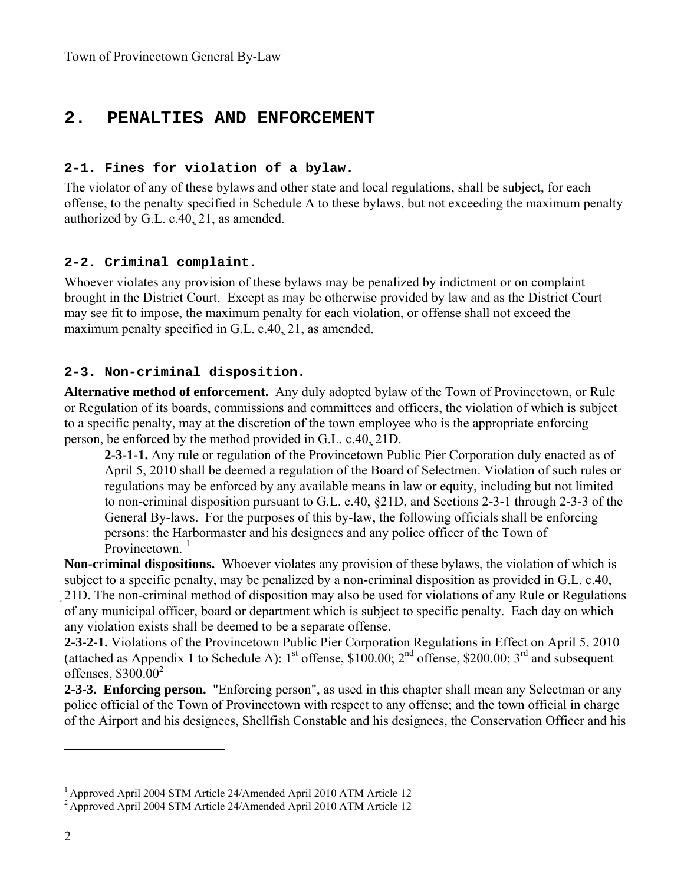### **2. PENALTIES AND ENFORCEMENT**

#### **2-1. Fines for violation of a bylaw.**

The violator of any of these bylaws and other state and local regulations, shall be subject, for each offense, to the penalty specified in Schedule A to these bylaws, but not exceeding the maximum penalty authorized by G.L. c.40, 21, as amended.

#### **2-2. Criminal complaint.**

Whoever violates any provision of these bylaws may be penalized by indictment or on complaint brought in the District Court. Except as may be otherwise provided by law and as the District Court may see fit to impose, the maximum penalty for each violation, or offense shall not exceed the maximum penalty specified in G.L. c.40, 21, as amended.

#### **2-3. Non-criminal disposition.**

**Alternative method of enforcement.** Any duly adopted bylaw of the Town of Provincetown, or Rule or Regulation of its boards, commissions and committees and officers, the violation of which is subject to a specific penalty, may at the discretion of the town employee who is the appropriate enforcing person, be enforced by the method provided in G.L. c.40, 21D.

**2-3-1-1.** Any rule or regulation of the Provincetown Public Pier Corporation duly enacted as of April 5, 2010 shall be deemed a regulation of the Board of Selectmen. Violation of such rules or regulations may be enforced by any available means in law or equity, including but not limited to non-criminal disposition pursuant to G.L. c.40, §21D, and Sections 2-3-1 through 2-3-3 of the General By-laws. For the purposes of this by-law, the following officials shall be enforcing persons: the Harbormaster and his designees and any police officer of the Town of Provincetown<sup> $1$ </sup>

**Non-criminal dispositions.** Whoever violates any provision of these bylaws, the violation of which is subject to a specific penalty, may be penalized by a non-criminal disposition as provided in G.L. c.40, 21D. The non-criminal method of disposition may also be used for violations of any Rule or Regulations of any municipal officer, board or department which is subject to specific penalty. Each day on which any violation exists shall be deemed to be a separate offense.

**2-3-2-1.** Violations of the Provincetown Public Pier Corporation Regulations in Effect on April 5, 2010 (attached as Appendix 1 to Schedule A):  $1<sup>st</sup>$  offense, \$100.00;  $2<sup>nd</sup>$  offense, \$200.00;  $3<sup>rd</sup>$  and subsequent offenses,  $$300.00^2$ 

**2-3-3. Enforcing person.** "Enforcing person", as used in this chapter shall mean any Selectman or any police official of the Town of Provincetown with respect to any offense; and the town official in charge of the Airport and his designees, Shellfish Constable and his designees, the Conservation Officer and his

<sup>1</sup> Approved April 2004 STM Article 24/Amended April 2010 ATM Article 12

<sup>&</sup>lt;sup>2</sup> Approved April 2004 STM Article 24/Amended April 2010 ATM Article 12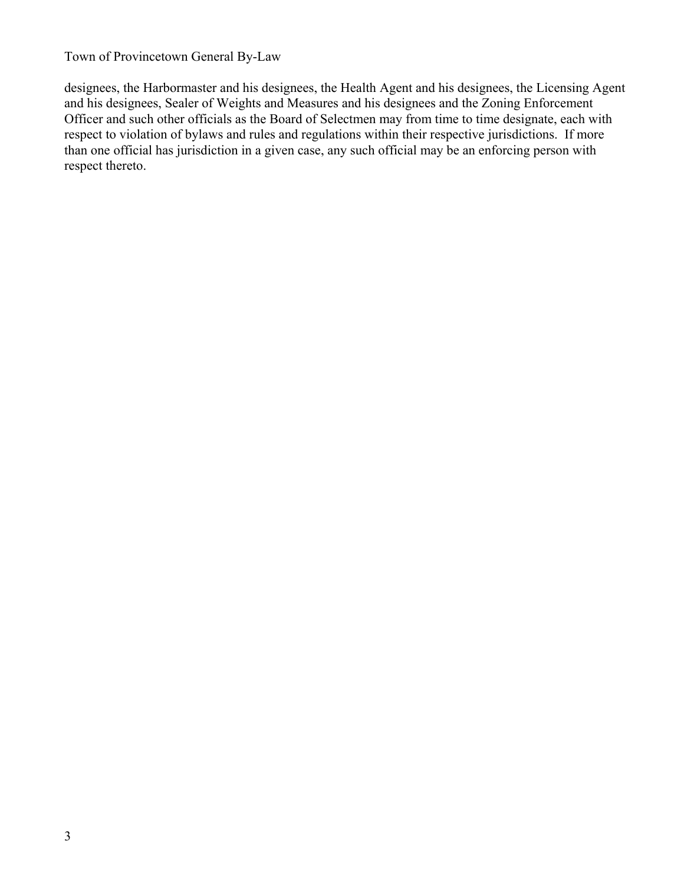designees, the Harbormaster and his designees, the Health Agent and his designees, the Licensing Agent and his designees, Sealer of Weights and Measures and his designees and the Zoning Enforcement Officer and such other officials as the Board of Selectmen may from time to time designate, each with respect to violation of bylaws and rules and regulations within their respective jurisdictions. If more than one official has jurisdiction in a given case, any such official may be an enforcing person with respect thereto.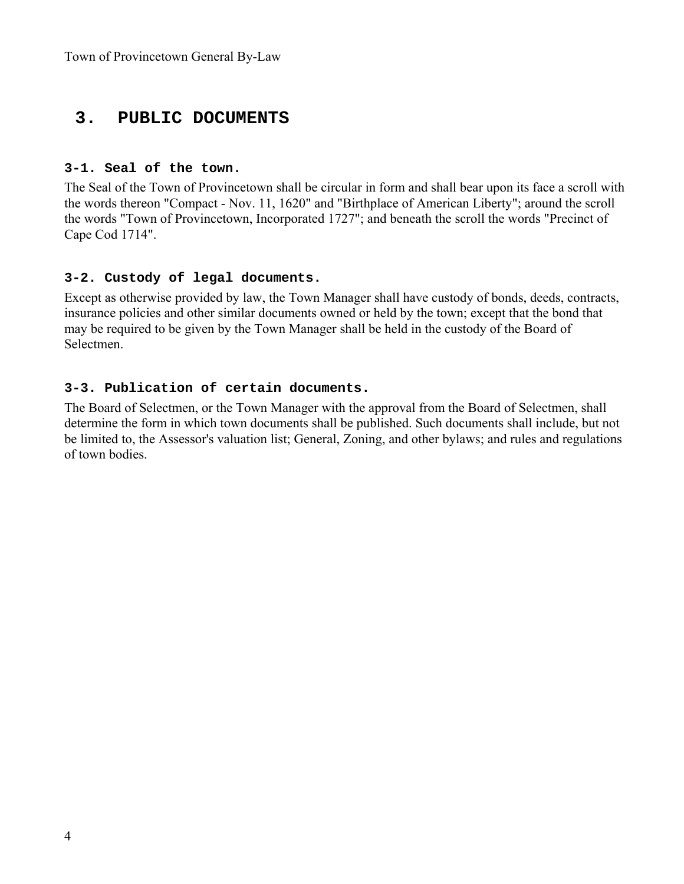### **3. PUBLIC DOCUMENTS**

#### **3-1. Seal of the town.**

The Seal of the Town of Provincetown shall be circular in form and shall bear upon its face a scroll with the words thereon "Compact - Nov. 11, 1620" and "Birthplace of American Liberty"; around the scroll the words "Town of Provincetown, Incorporated 1727"; and beneath the scroll the words "Precinct of Cape Cod 1714".

#### **3-2. Custody of legal documents.**

Except as otherwise provided by law, the Town Manager shall have custody of bonds, deeds, contracts, insurance policies and other similar documents owned or held by the town; except that the bond that may be required to be given by the Town Manager shall be held in the custody of the Board of Selectmen.

#### **3-3. Publication of certain documents.**

The Board of Selectmen, or the Town Manager with the approval from the Board of Selectmen, shall determine the form in which town documents shall be published. Such documents shall include, but not be limited to, the Assessor's valuation list; General, Zoning, and other bylaws; and rules and regulations of town bodies.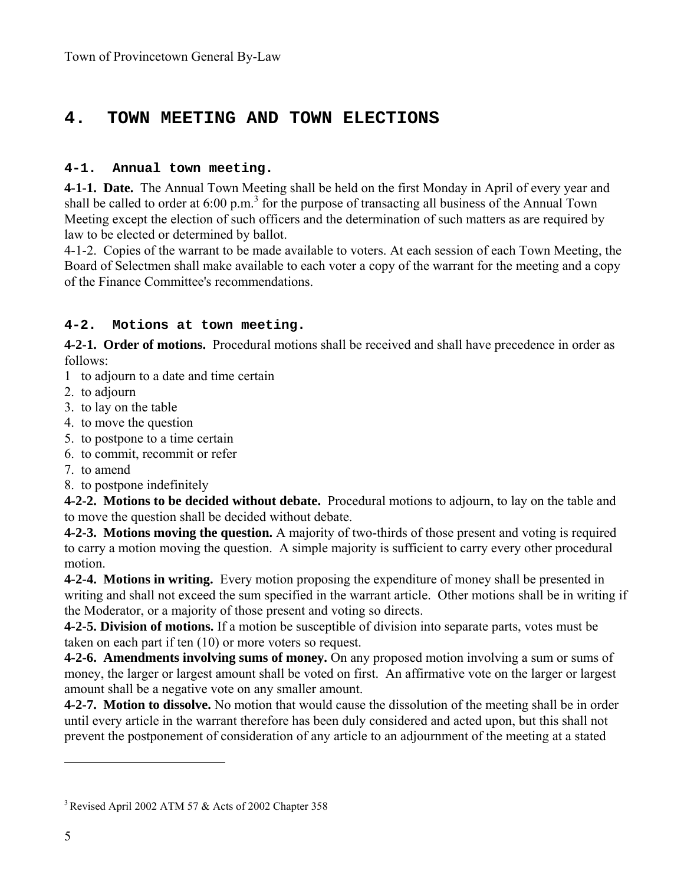### **4. TOWN MEETING AND TOWN ELECTIONS**

#### **4-1. Annual town meeting.**

**4-1-1. Date.** The Annual Town Meeting shall be held on the first Monday in April of every year and shall be called to order at  $6.00 \text{ p.m.}^3$  for the purpose of transacting all business of the Annual Town Meeting except the election of such officers and the determination of such matters as are required by law to be elected or determined by ballot.

4-1-2. Copies of the warrant to be made available to voters. At each session of each Town Meeting, the Board of Selectmen shall make available to each voter a copy of the warrant for the meeting and a copy of the Finance Committee's recommendations.

### **4-2. Motions at town meeting.**

**4-2-1. Order of motions.** Procedural motions shall be received and shall have precedence in order as follows:

- 1 to adjourn to a date and time certain
- 2. to adjourn
- 3. to lay on the table
- 4. to move the question
- 5. to postpone to a time certain
- 6. to commit, recommit or refer
- 7. to amend
- 8. to postpone indefinitely

**4-2-2. Motions to be decided without debate.** Procedural motions to adjourn, to lay on the table and to move the question shall be decided without debate.

**4-2-3. Motions moving the question.** A majority of two-thirds of those present and voting is required to carry a motion moving the question. A simple majority is sufficient to carry every other procedural motion.

**4-2-4. Motions in writing.** Every motion proposing the expenditure of money shall be presented in writing and shall not exceed the sum specified in the warrant article. Other motions shall be in writing if the Moderator, or a majority of those present and voting so directs.

**4-2-5. Division of motions.** If a motion be susceptible of division into separate parts, votes must be taken on each part if ten (10) or more voters so request.

**4-2-6. Amendments involving sums of money.** On any proposed motion involving a sum or sums of money, the larger or largest amount shall be voted on first. An affirmative vote on the larger or largest amount shall be a negative vote on any smaller amount.

**4-2-7. Motion to dissolve.** No motion that would cause the dissolution of the meeting shall be in order until every article in the warrant therefore has been duly considered and acted upon, but this shall not prevent the postponement of consideration of any article to an adjournment of the meeting at a stated

<sup>&</sup>lt;sup>3</sup> Revised April 2002 ATM 57 & Acts of 2002 Chapter 358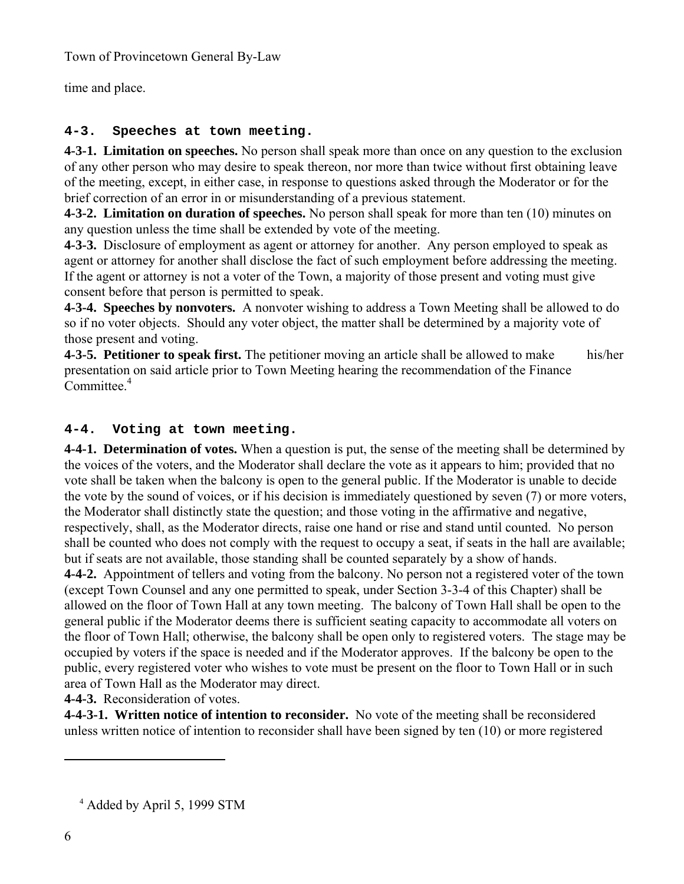time and place.

### **4-3. Speeches at town meeting.**

**4-3-1. Limitation on speeches.** No person shall speak more than once on any question to the exclusion of any other person who may desire to speak thereon, nor more than twice without first obtaining leave of the meeting, except, in either case, in response to questions asked through the Moderator or for the brief correction of an error in or misunderstanding of a previous statement.

**4-3-2. Limitation on duration of speeches.** No person shall speak for more than ten (10) minutes on any question unless the time shall be extended by vote of the meeting.

**4-3-3.** Disclosure of employment as agent or attorney for another. Any person employed to speak as agent or attorney for another shall disclose the fact of such employment before addressing the meeting. If the agent or attorney is not a voter of the Town, a majority of those present and voting must give consent before that person is permitted to speak.

**4-3-4. Speeches by nonvoters.** A nonvoter wishing to address a Town Meeting shall be allowed to do so if no voter objects. Should any voter object, the matter shall be determined by a majority vote of those present and voting.

**4-3-5. Petitioner to speak first.** The petitioner moving an article shall be allowed to make his/her presentation on said article prior to Town Meeting hearing the recommendation of the Finance Committee.<sup>4</sup>

### **4-4. Voting at town meeting.**

**4-4-1. Determination of votes.** When a question is put, the sense of the meeting shall be determined by the voices of the voters, and the Moderator shall declare the vote as it appears to him; provided that no vote shall be taken when the balcony is open to the general public. If the Moderator is unable to decide the vote by the sound of voices, or if his decision is immediately questioned by seven (7) or more voters, the Moderator shall distinctly state the question; and those voting in the affirmative and negative, respectively, shall, as the Moderator directs, raise one hand or rise and stand until counted. No person shall be counted who does not comply with the request to occupy a seat, if seats in the hall are available; but if seats are not available, those standing shall be counted separately by a show of hands. **4-4-2.** Appointment of tellers and voting from the balcony. No person not a registered voter of the town (except Town Counsel and any one permitted to speak, under Section 3-3-4 of this Chapter) shall be allowed on the floor of Town Hall at any town meeting. The balcony of Town Hall shall be open to the general public if the Moderator deems there is sufficient seating capacity to accommodate all voters on the floor of Town Hall; otherwise, the balcony shall be open only to registered voters. The stage may be occupied by voters if the space is needed and if the Moderator approves. If the balcony be open to the public, every registered voter who wishes to vote must be present on the floor to Town Hall or in such area of Town Hall as the Moderator may direct.

**4-4-3.** Reconsideration of votes.

**4-4-3-1. Written notice of intention to reconsider.** No vote of the meeting shall be reconsidered unless written notice of intention to reconsider shall have been signed by ten (10) or more registered

<sup>4</sup> Added by April 5, 1999 STM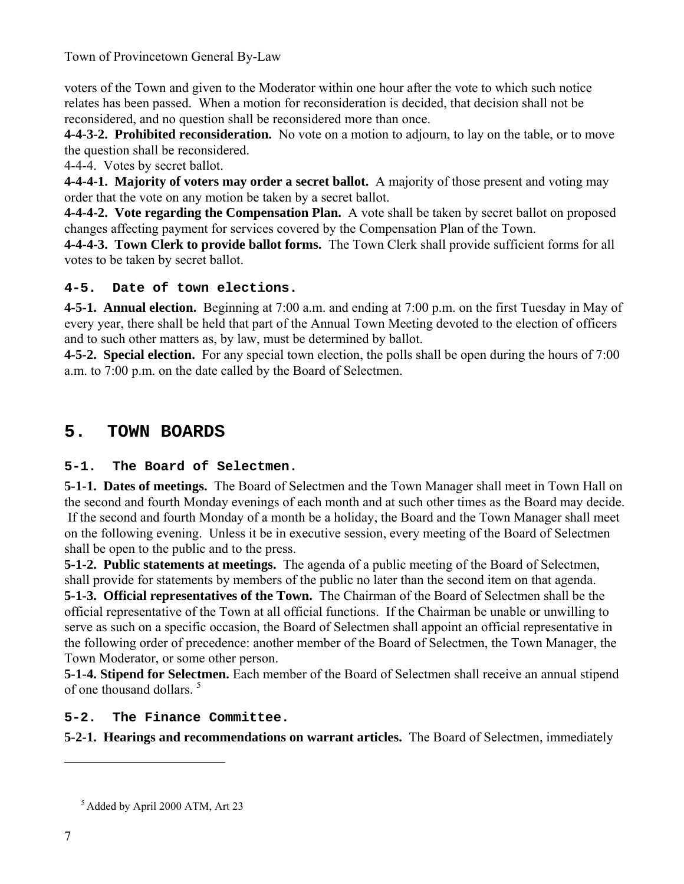voters of the Town and given to the Moderator within one hour after the vote to which such notice relates has been passed. When a motion for reconsideration is decided, that decision shall not be reconsidered, and no question shall be reconsidered more than once.

**4-4-3-2. Prohibited reconsideration.** No vote on a motion to adjourn, to lay on the table, or to move the question shall be reconsidered.

4-4-4. Votes by secret ballot.

**4-4-4-1. Majority of voters may order a secret ballot.** A majority of those present and voting may order that the vote on any motion be taken by a secret ballot.

**4-4-4-2. Vote regarding the Compensation Plan.** A vote shall be taken by secret ballot on proposed changes affecting payment for services covered by the Compensation Plan of the Town.

**4-4-4-3. Town Clerk to provide ballot forms.** The Town Clerk shall provide sufficient forms for all votes to be taken by secret ballot.

### **4-5. Date of town elections.**

**4-5-1. Annual election.** Beginning at 7:00 a.m. and ending at 7:00 p.m. on the first Tuesday in May of every year, there shall be held that part of the Annual Town Meeting devoted to the election of officers and to such other matters as, by law, must be determined by ballot.

**4-5-2. Special election.** For any special town election, the polls shall be open during the hours of 7:00 a.m. to 7:00 p.m. on the date called by the Board of Selectmen.

## **5. TOWN BOARDS**

### **5-1. The Board of Selectmen.**

**5-1-1. Dates of meetings.** The Board of Selectmen and the Town Manager shall meet in Town Hall on the second and fourth Monday evenings of each month and at such other times as the Board may decide. If the second and fourth Monday of a month be a holiday, the Board and the Town Manager shall meet on the following evening. Unless it be in executive session, every meeting of the Board of Selectmen shall be open to the public and to the press.

**5-1-2. Public statements at meetings.** The agenda of a public meeting of the Board of Selectmen, shall provide for statements by members of the public no later than the second item on that agenda.

**5-1-3. Official representatives of the Town.** The Chairman of the Board of Selectmen shall be the official representative of the Town at all official functions. If the Chairman be unable or unwilling to serve as such on a specific occasion, the Board of Selectmen shall appoint an official representative in the following order of precedence: another member of the Board of Selectmen, the Town Manager, the Town Moderator, or some other person.

**5-1-4. Stipend for Selectmen.** Each member of the Board of Selectmen shall receive an annual stipend of one thousand dollars.<sup>5</sup>

### **5-2. The Finance Committee.**

**5-2-1. Hearings and recommendations on warrant articles.** The Board of Selectmen, immediately

5 Added by April 2000 ATM, Art 23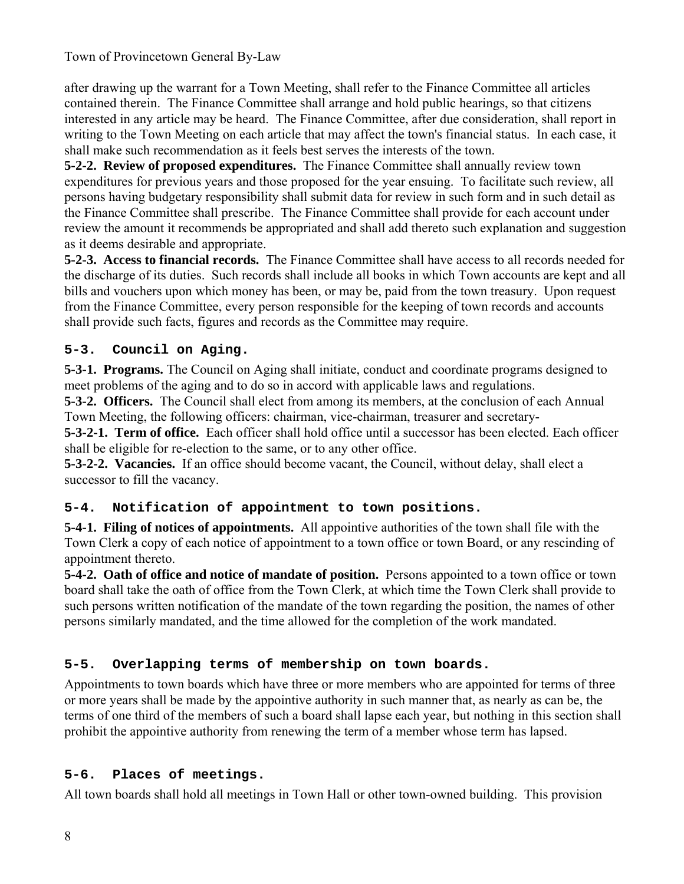after drawing up the warrant for a Town Meeting, shall refer to the Finance Committee all articles contained therein. The Finance Committee shall arrange and hold public hearings, so that citizens interested in any article may be heard. The Finance Committee, after due consideration, shall report in writing to the Town Meeting on each article that may affect the town's financial status. In each case, it shall make such recommendation as it feels best serves the interests of the town.

**5-2-2. Review of proposed expenditures.** The Finance Committee shall annually review town expenditures for previous years and those proposed for the year ensuing. To facilitate such review, all persons having budgetary responsibility shall submit data for review in such form and in such detail as the Finance Committee shall prescribe. The Finance Committee shall provide for each account under review the amount it recommends be appropriated and shall add thereto such explanation and suggestion as it deems desirable and appropriate.

**5-2-3. Access to financial records.** The Finance Committee shall have access to all records needed for the discharge of its duties. Such records shall include all books in which Town accounts are kept and all bills and vouchers upon which money has been, or may be, paid from the town treasury. Upon request from the Finance Committee, every person responsible for the keeping of town records and accounts shall provide such facts, figures and records as the Committee may require.

### **5-3. Council on Aging.**

**5-3-1. Programs.** The Council on Aging shall initiate, conduct and coordinate programs designed to meet problems of the aging and to do so in accord with applicable laws and regulations.

**5-3-2. Officers.** The Council shall elect from among its members, at the conclusion of each Annual Town Meeting, the following officers: chairman, vice-chairman, treasurer and secretary-

**5-3-2-1. Term of office.** Each officer shall hold office until a successor has been elected. Each officer shall be eligible for re-election to the same, or to any other office.

**5-3-2-2. Vacancies.** If an office should become vacant, the Council, without delay, shall elect a successor to fill the vacancy.

### **5-4. Notification of appointment to town positions.**

**5-4-1. Filing of notices of appointments.** All appointive authorities of the town shall file with the Town Clerk a copy of each notice of appointment to a town office or town Board, or any rescinding of appointment thereto.

**5-4-2. Oath of office and notice of mandate of position.** Persons appointed to a town office or town board shall take the oath of office from the Town Clerk, at which time the Town Clerk shall provide to such persons written notification of the mandate of the town regarding the position, the names of other persons similarly mandated, and the time allowed for the completion of the work mandated.

### **5-5. Overlapping terms of membership on town boards.**

Appointments to town boards which have three or more members who are appointed for terms of three or more years shall be made by the appointive authority in such manner that, as nearly as can be, the terms of one third of the members of such a board shall lapse each year, but nothing in this section shall prohibit the appointive authority from renewing the term of a member whose term has lapsed.

### **5-6. Places of meetings.**

All town boards shall hold all meetings in Town Hall or other town-owned building. This provision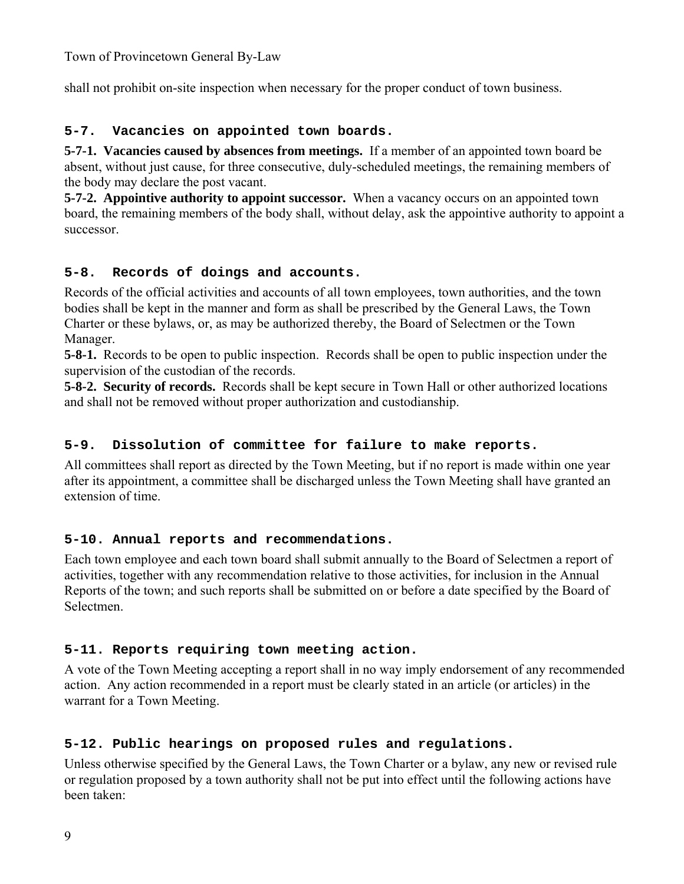shall not prohibit on-site inspection when necessary for the proper conduct of town business.

#### **5-7. Vacancies on appointed town boards.**

**5-7-1. Vacancies caused by absences from meetings.** If a member of an appointed town board be absent, without just cause, for three consecutive, duly-scheduled meetings, the remaining members of the body may declare the post vacant.

**5-7-2. Appointive authority to appoint successor.** When a vacancy occurs on an appointed town board, the remaining members of the body shall, without delay, ask the appointive authority to appoint a successor.

#### **5-8. Records of doings and accounts.**

Records of the official activities and accounts of all town employees, town authorities, and the town bodies shall be kept in the manner and form as shall be prescribed by the General Laws, the Town Charter or these bylaws, or, as may be authorized thereby, the Board of Selectmen or the Town Manager.

**5-8-1.** Records to be open to public inspection. Records shall be open to public inspection under the supervision of the custodian of the records.

**5-8-2. Security of records.** Records shall be kept secure in Town Hall or other authorized locations and shall not be removed without proper authorization and custodianship.

#### **5-9. Dissolution of committee for failure to make reports.**

All committees shall report as directed by the Town Meeting, but if no report is made within one year after its appointment, a committee shall be discharged unless the Town Meeting shall have granted an extension of time.

### **5-10. Annual reports and recommendations.**

Each town employee and each town board shall submit annually to the Board of Selectmen a report of activities, together with any recommendation relative to those activities, for inclusion in the Annual Reports of the town; and such reports shall be submitted on or before a date specified by the Board of Selectmen.

#### **5-11. Reports requiring town meeting action.**

A vote of the Town Meeting accepting a report shall in no way imply endorsement of any recommended action. Any action recommended in a report must be clearly stated in an article (or articles) in the warrant for a Town Meeting.

### **5-12. Public hearings on proposed rules and regulations.**

Unless otherwise specified by the General Laws, the Town Charter or a bylaw, any new or revised rule or regulation proposed by a town authority shall not be put into effect until the following actions have been taken: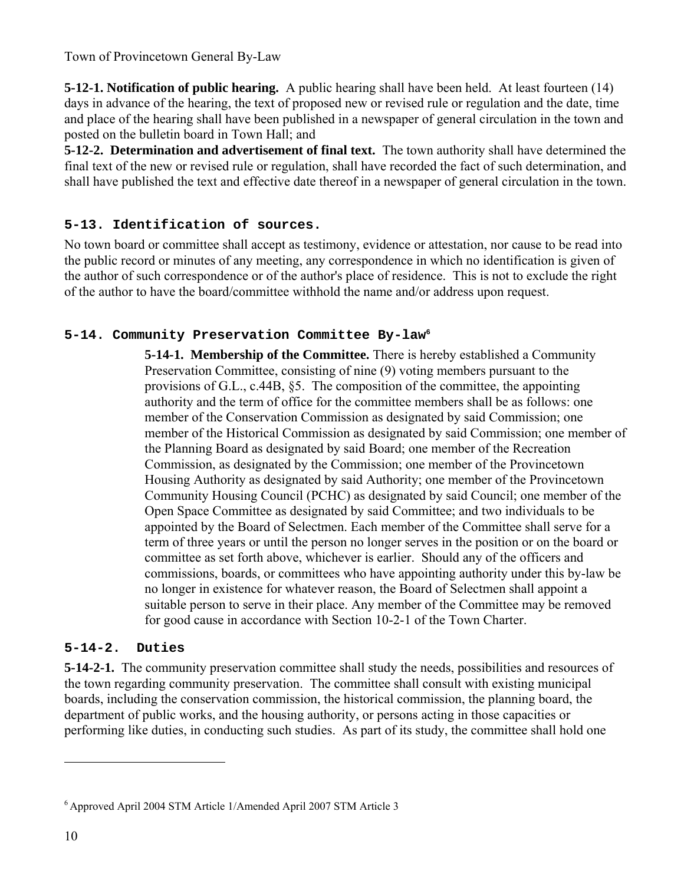**5-12-1. Notification of public hearing.** A public hearing shall have been held. At least fourteen (14) days in advance of the hearing, the text of proposed new or revised rule or regulation and the date, time and place of the hearing shall have been published in a newspaper of general circulation in the town and posted on the bulletin board in Town Hall; and

**5-12-2. Determination and advertisement of final text.** The town authority shall have determined the final text of the new or revised rule or regulation, shall have recorded the fact of such determination, and shall have published the text and effective date thereof in a newspaper of general circulation in the town.

### **5-13. Identification of sources.**

No town board or committee shall accept as testimony, evidence or attestation, nor cause to be read into the public record or minutes of any meeting, any correspondence in which no identification is given of the author of such correspondence or of the author's place of residence. This is not to exclude the right of the author to have the board/committee withhold the name and/or address upon request.

#### **5-14. Community Preservation Committee By-law6**

**5-14-1. Membership of the Committee.** There is hereby established a Community Preservation Committee, consisting of nine (9) voting members pursuant to the provisions of G.L., c.44B, §5. The composition of the committee, the appointing authority and the term of office for the committee members shall be as follows: one member of the Conservation Commission as designated by said Commission; one member of the Historical Commission as designated by said Commission; one member of the Planning Board as designated by said Board; one member of the Recreation Commission, as designated by the Commission; one member of the Provincetown Housing Authority as designated by said Authority; one member of the Provincetown Community Housing Council (PCHC) as designated by said Council; one member of the Open Space Committee as designated by said Committee; and two individuals to be appointed by the Board of Selectmen. Each member of the Committee shall serve for a term of three years or until the person no longer serves in the position or on the board or committee as set forth above, whichever is earlier. Should any of the officers and commissions, boards, or committees who have appointing authority under this by-law be no longer in existence for whatever reason, the Board of Selectmen shall appoint a suitable person to serve in their place. Any member of the Committee may be removed for good cause in accordance with Section 10-2-1 of the Town Charter.

#### **5-14-2. Duties**

**5-14-2-1.** The community preservation committee shall study the needs, possibilities and resources of the town regarding community preservation. The committee shall consult with existing municipal boards, including the conservation commission, the historical commission, the planning board, the department of public works, and the housing authority, or persons acting in those capacities or performing like duties, in conducting such studies. As part of its study, the committee shall hold one

<sup>6</sup> Approved April 2004 STM Article 1/Amended April 2007 STM Article 3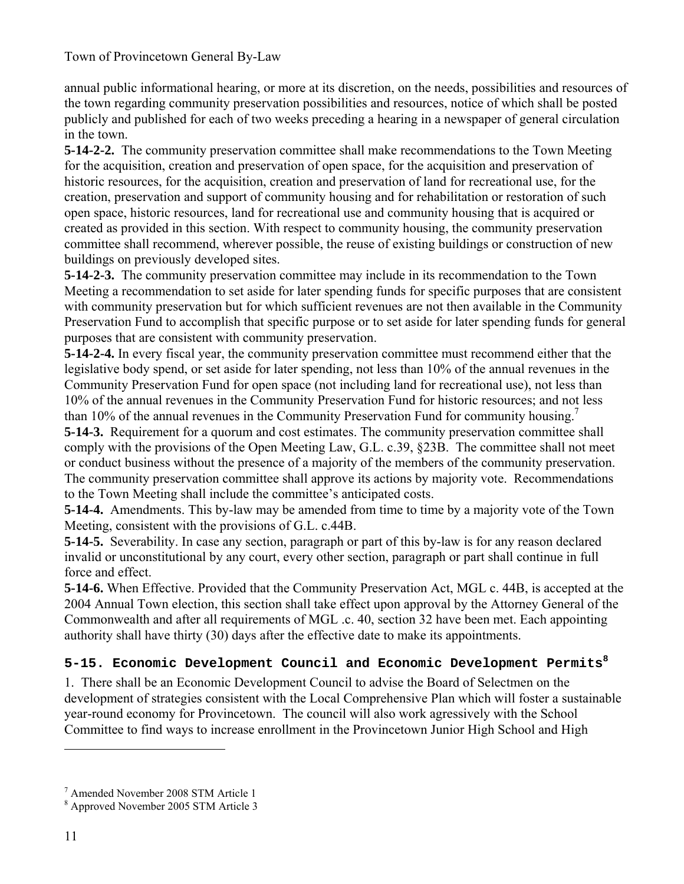annual public informational hearing, or more at its discretion, on the needs, possibilities and resources of the town regarding community preservation possibilities and resources, notice of which shall be posted publicly and published for each of two weeks preceding a hearing in a newspaper of general circulation in the town.

**5-14-2-2.** The community preservation committee shall make recommendations to the Town Meeting for the acquisition, creation and preservation of open space, for the acquisition and preservation of historic resources, for the acquisition, creation and preservation of land for recreational use, for the creation, preservation and support of community housing and for rehabilitation or restoration of such open space, historic resources, land for recreational use and community housing that is acquired or created as provided in this section. With respect to community housing, the community preservation committee shall recommend, wherever possible, the reuse of existing buildings or construction of new buildings on previously developed sites.

**5-14-2-3.** The community preservation committee may include in its recommendation to the Town Meeting a recommendation to set aside for later spending funds for specific purposes that are consistent with community preservation but for which sufficient revenues are not then available in the Community Preservation Fund to accomplish that specific purpose or to set aside for later spending funds for general purposes that are consistent with community preservation.

**5-14-2-4.** In every fiscal year, the community preservation committee must recommend either that the legislative body spend, or set aside for later spending, not less than 10% of the annual revenues in the Community Preservation Fund for open space (not including land for recreational use), not less than 10% of the annual revenues in the Community Preservation Fund for historic resources; and not less than 10% of the annual revenues in the Community Preservation Fund for community housing.<sup>7</sup>

**5-14-3.** Requirement for a quorum and cost estimates. The community preservation committee shall comply with the provisions of the Open Meeting Law, G.L. c.39, §23B. The committee shall not meet or conduct business without the presence of a majority of the members of the community preservation. The community preservation committee shall approve its actions by majority vote. Recommendations to the Town Meeting shall include the committee's anticipated costs.

**5-14-4.** Amendments. This by-law may be amended from time to time by a majority vote of the Town Meeting, consistent with the provisions of G.L. c.44B.

**5-14-5.** Severability. In case any section, paragraph or part of this by-law is for any reason declared invalid or unconstitutional by any court, every other section, paragraph or part shall continue in full force and effect.

**5-14-6.** When Effective. Provided that the Community Preservation Act, MGL c. 44B, is accepted at the 2004 Annual Town election, this section shall take effect upon approval by the Attorney General of the Commonwealth and after all requirements of MGL .c. 40, section 32 have been met. Each appointing authority shall have thirty (30) days after the effective date to make its appointments.

### **5-15. Economic Development Council and Economic Development Permits<sup>8</sup>**

1. There shall be an Economic Development Council to advise the Board of Selectmen on the development of strategies consistent with the Local Comprehensive Plan which will foster a sustainable year-round economy for Provincetown. The council will also work agressively with the School Committee to find ways to increase enrollment in the Provincetown Junior High School and High

<sup>7</sup> Amended November 2008 STM Article 1

<sup>8</sup> Approved November 2005 STM Article 3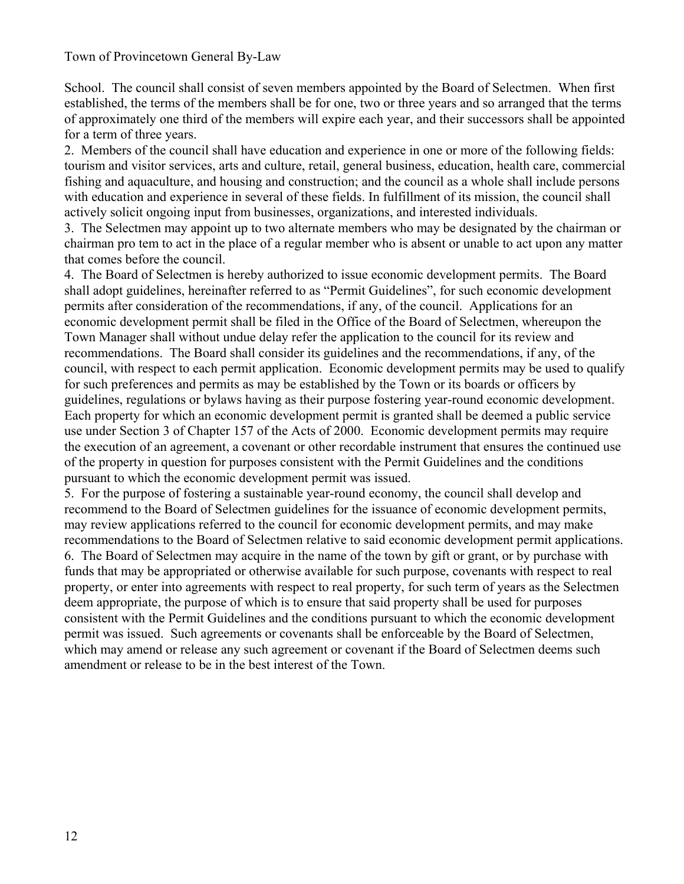School. The council shall consist of seven members appointed by the Board of Selectmen. When first established, the terms of the members shall be for one, two or three years and so arranged that the terms of approximately one third of the members will expire each year, and their successors shall be appointed for a term of three years.

2. Members of the council shall have education and experience in one or more of the following fields: tourism and visitor services, arts and culture, retail, general business, education, health care, commercial fishing and aquaculture, and housing and construction; and the council as a whole shall include persons with education and experience in several of these fields. In fulfillment of its mission, the council shall actively solicit ongoing input from businesses, organizations, and interested individuals.

3. The Selectmen may appoint up to two alternate members who may be designated by the chairman or chairman pro tem to act in the place of a regular member who is absent or unable to act upon any matter that comes before the council.

4. The Board of Selectmen is hereby authorized to issue economic development permits. The Board shall adopt guidelines, hereinafter referred to as "Permit Guidelines", for such economic development permits after consideration of the recommendations, if any, of the council. Applications for an economic development permit shall be filed in the Office of the Board of Selectmen, whereupon the Town Manager shall without undue delay refer the application to the council for its review and recommendations. The Board shall consider its guidelines and the recommendations, if any, of the council, with respect to each permit application. Economic development permits may be used to qualify for such preferences and permits as may be established by the Town or its boards or officers by guidelines, regulations or bylaws having as their purpose fostering year-round economic development. Each property for which an economic development permit is granted shall be deemed a public service use under Section 3 of Chapter 157 of the Acts of 2000. Economic development permits may require the execution of an agreement, a covenant or other recordable instrument that ensures the continued use of the property in question for purposes consistent with the Permit Guidelines and the conditions pursuant to which the economic development permit was issued.

5. For the purpose of fostering a sustainable year-round economy, the council shall develop and recommend to the Board of Selectmen guidelines for the issuance of economic development permits, may review applications referred to the council for economic development permits, and may make recommendations to the Board of Selectmen relative to said economic development permit applications. 6. The Board of Selectmen may acquire in the name of the town by gift or grant, or by purchase with funds that may be appropriated or otherwise available for such purpose, covenants with respect to real property, or enter into agreements with respect to real property, for such term of years as the Selectmen deem appropriate, the purpose of which is to ensure that said property shall be used for purposes consistent with the Permit Guidelines and the conditions pursuant to which the economic development permit was issued. Such agreements or covenants shall be enforceable by the Board of Selectmen, which may amend or release any such agreement or covenant if the Board of Selectmen deems such amendment or release to be in the best interest of the Town.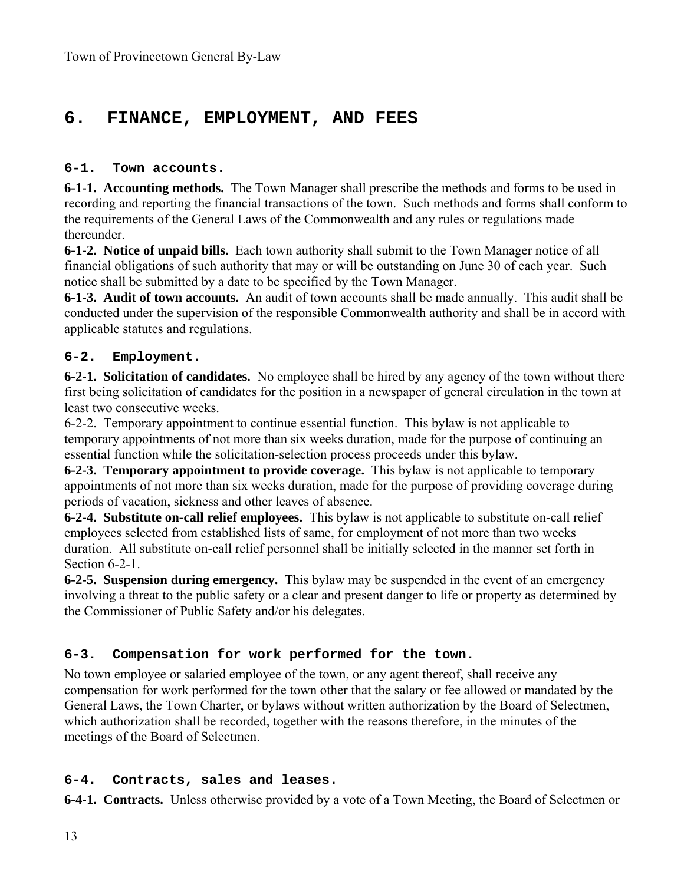## **6. FINANCE, EMPLOYMENT, AND FEES**

#### **6-1. Town accounts.**

**6-1-1. Accounting methods.** The Town Manager shall prescribe the methods and forms to be used in recording and reporting the financial transactions of the town. Such methods and forms shall conform to the requirements of the General Laws of the Commonwealth and any rules or regulations made thereunder.

**6-1-2. Notice of unpaid bills.** Each town authority shall submit to the Town Manager notice of all financial obligations of such authority that may or will be outstanding on June 30 of each year. Such notice shall be submitted by a date to be specified by the Town Manager.

**6-1-3. Audit of town accounts.** An audit of town accounts shall be made annually. This audit shall be conducted under the supervision of the responsible Commonwealth authority and shall be in accord with applicable statutes and regulations.

#### **6-2. Employment.**

**6-2-1. Solicitation of candidates.** No employee shall be hired by any agency of the town without there first being solicitation of candidates for the position in a newspaper of general circulation in the town at least two consecutive weeks.

6-2-2. Temporary appointment to continue essential function. This bylaw is not applicable to temporary appointments of not more than six weeks duration, made for the purpose of continuing an essential function while the solicitation-selection process proceeds under this bylaw.

**6-2-3. Temporary appointment to provide coverage.** This bylaw is not applicable to temporary appointments of not more than six weeks duration, made for the purpose of providing coverage during periods of vacation, sickness and other leaves of absence.

**6-2-4. Substitute on-call relief employees.** This bylaw is not applicable to substitute on-call relief employees selected from established lists of same, for employment of not more than two weeks duration. All substitute on-call relief personnel shall be initially selected in the manner set forth in Section 6-2-1.

**6-2-5. Suspension during emergency.** This bylaw may be suspended in the event of an emergency involving a threat to the public safety or a clear and present danger to life or property as determined by the Commissioner of Public Safety and/or his delegates.

### **6-3. Compensation for work performed for the town.**

No town employee or salaried employee of the town, or any agent thereof, shall receive any compensation for work performed for the town other that the salary or fee allowed or mandated by the General Laws, the Town Charter, or bylaws without written authorization by the Board of Selectmen, which authorization shall be recorded, together with the reasons therefore, in the minutes of the meetings of the Board of Selectmen.

### **6-4. Contracts, sales and leases.**

**6-4-1. Contracts.** Unless otherwise provided by a vote of a Town Meeting, the Board of Selectmen or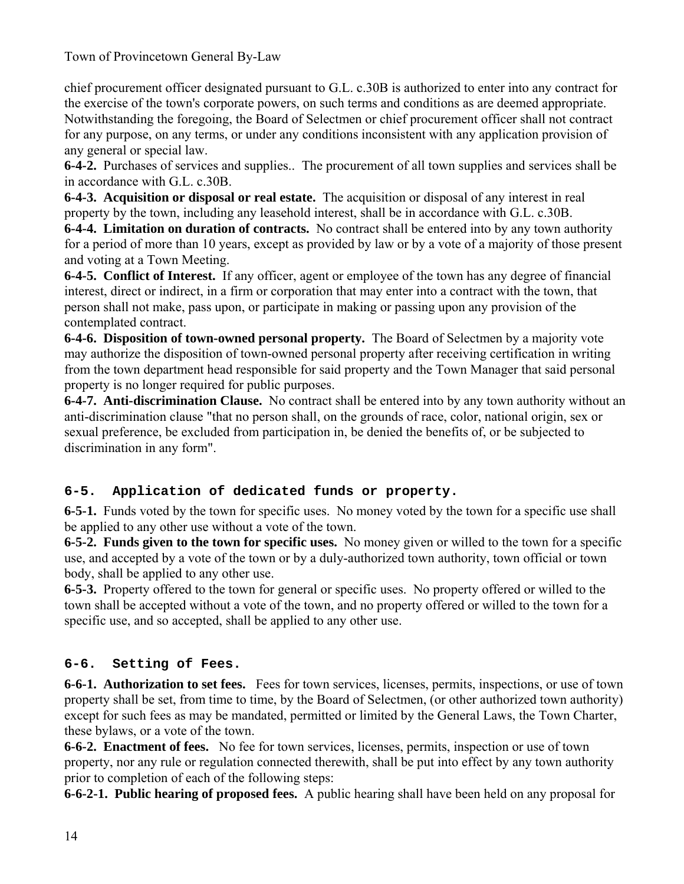chief procurement officer designated pursuant to G.L. c.30B is authorized to enter into any contract for the exercise of the town's corporate powers, on such terms and conditions as are deemed appropriate. Notwithstanding the foregoing, the Board of Selectmen or chief procurement officer shall not contract for any purpose, on any terms, or under any conditions inconsistent with any application provision of any general or special law.

**6-4-2.** Purchases of services and supplies.. The procurement of all town supplies and services shall be in accordance with G.L. c.30B.

**6-4-3. Acquisition or disposal or real estate.** The acquisition or disposal of any interest in real property by the town, including any leasehold interest, shall be in accordance with G.L. c.30B.

**6-4-4. Limitation on duration of contracts.** No contract shall be entered into by any town authority for a period of more than 10 years, except as provided by law or by a vote of a majority of those present and voting at a Town Meeting.

**6-4-5. Conflict of Interest.** If any officer, agent or employee of the town has any degree of financial interest, direct or indirect, in a firm or corporation that may enter into a contract with the town, that person shall not make, pass upon, or participate in making or passing upon any provision of the contemplated contract.

**6-4-6. Disposition of town-owned personal property.** The Board of Selectmen by a majority vote may authorize the disposition of town-owned personal property after receiving certification in writing from the town department head responsible for said property and the Town Manager that said personal property is no longer required for public purposes.

**6-4-7. Anti-discrimination Clause.** No contract shall be entered into by any town authority without an anti-discrimination clause "that no person shall, on the grounds of race, color, national origin, sex or sexual preference, be excluded from participation in, be denied the benefits of, or be subjected to discrimination in any form".

### **6-5. Application of dedicated funds or property.**

**6-5-1.** Funds voted by the town for specific uses. No money voted by the town for a specific use shall be applied to any other use without a vote of the town.

**6-5-2. Funds given to the town for specific uses.** No money given or willed to the town for a specific use, and accepted by a vote of the town or by a duly-authorized town authority, town official or town body, shall be applied to any other use.

**6-5-3.** Property offered to the town for general or specific uses. No property offered or willed to the town shall be accepted without a vote of the town, and no property offered or willed to the town for a specific use, and so accepted, shall be applied to any other use.

### **6-6. Setting of Fees.**

**6-6-1. Authorization to set fees.** Fees for town services, licenses, permits, inspections, or use of town property shall be set, from time to time, by the Board of Selectmen, (or other authorized town authority) except for such fees as may be mandated, permitted or limited by the General Laws, the Town Charter, these bylaws, or a vote of the town.

**6-6-2. Enactment of fees.** No fee for town services, licenses, permits, inspection or use of town property, nor any rule or regulation connected therewith, shall be put into effect by any town authority prior to completion of each of the following steps:

**6-6-2-1. Public hearing of proposed fees.** A public hearing shall have been held on any proposal for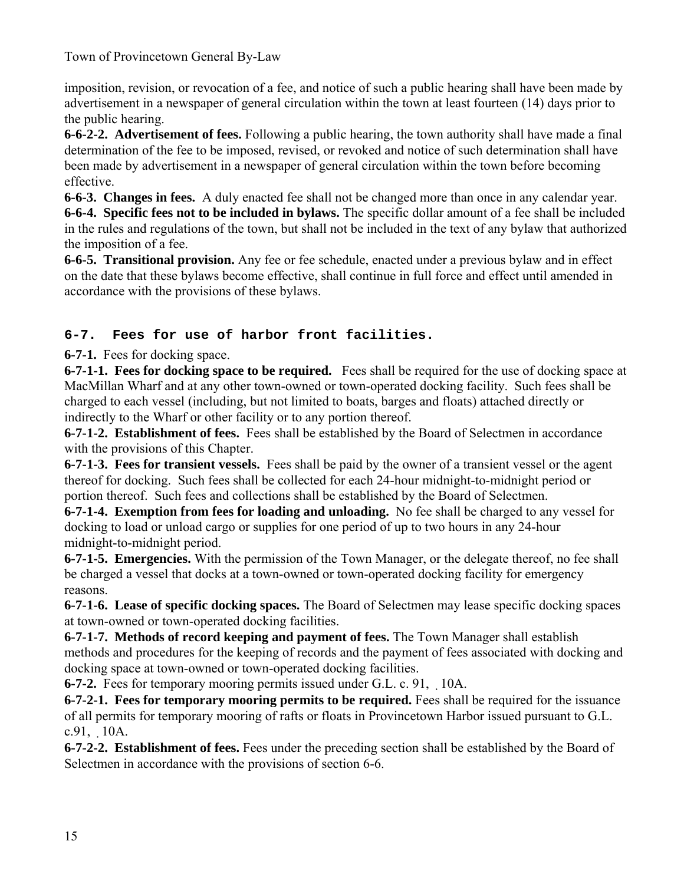imposition, revision, or revocation of a fee, and notice of such a public hearing shall have been made by advertisement in a newspaper of general circulation within the town at least fourteen (14) days prior to the public hearing.

**6-6-2-2. Advertisement of fees.** Following a public hearing, the town authority shall have made a final determination of the fee to be imposed, revised, or revoked and notice of such determination shall have been made by advertisement in a newspaper of general circulation within the town before becoming effective.

**6-6-3. Changes in fees.** A duly enacted fee shall not be changed more than once in any calendar year. **6-6-4. Specific fees not to be included in bylaws.** The specific dollar amount of a fee shall be included in the rules and regulations of the town, but shall not be included in the text of any bylaw that authorized the imposition of a fee.

**6-6-5. Transitional provision.** Any fee or fee schedule, enacted under a previous bylaw and in effect on the date that these bylaws become effective, shall continue in full force and effect until amended in accordance with the provisions of these bylaws.

### **6-7. Fees for use of harbor front facilities.**

**6-7-1.** Fees for docking space.

**6-7-1-1. Fees for docking space to be required.** Fees shall be required for the use of docking space at MacMillan Wharf and at any other town-owned or town-operated docking facility. Such fees shall be charged to each vessel (including, but not limited to boats, barges and floats) attached directly or indirectly to the Wharf or other facility or to any portion thereof.

**6-7-1-2. Establishment of fees.** Fees shall be established by the Board of Selectmen in accordance with the provisions of this Chapter.

**6-7-1-3. Fees for transient vessels.** Fees shall be paid by the owner of a transient vessel or the agent thereof for docking. Such fees shall be collected for each 24-hour midnight-to-midnight period or portion thereof. Such fees and collections shall be established by the Board of Selectmen.

**6-7-1-4. Exemption from fees for loading and unloading.** No fee shall be charged to any vessel for docking to load or unload cargo or supplies for one period of up to two hours in any 24-hour midnight-to-midnight period.

**6-7-1-5. Emergencies.** With the permission of the Town Manager, or the delegate thereof, no fee shall be charged a vessel that docks at a town-owned or town-operated docking facility for emergency reasons.

**6-7-1-6. Lease of specific docking spaces.** The Board of Selectmen may lease specific docking spaces at town-owned or town-operated docking facilities.

**6-7-1-7. Methods of record keeping and payment of fees.** The Town Manager shall establish methods and procedures for the keeping of records and the payment of fees associated with docking and docking space at town-owned or town-operated docking facilities.

**6-7-2.** Fees for temporary mooring permits issued under G.L. c. 91, 10A.

**6-7-2-1. Fees for temporary mooring permits to be required.** Fees shall be required for the issuance of all permits for temporary mooring of rafts or floats in Provincetown Harbor issued pursuant to G.L. c.91, 10A.

**6-7-2-2. Establishment of fees.** Fees under the preceding section shall be established by the Board of Selectmen in accordance with the provisions of section 6-6.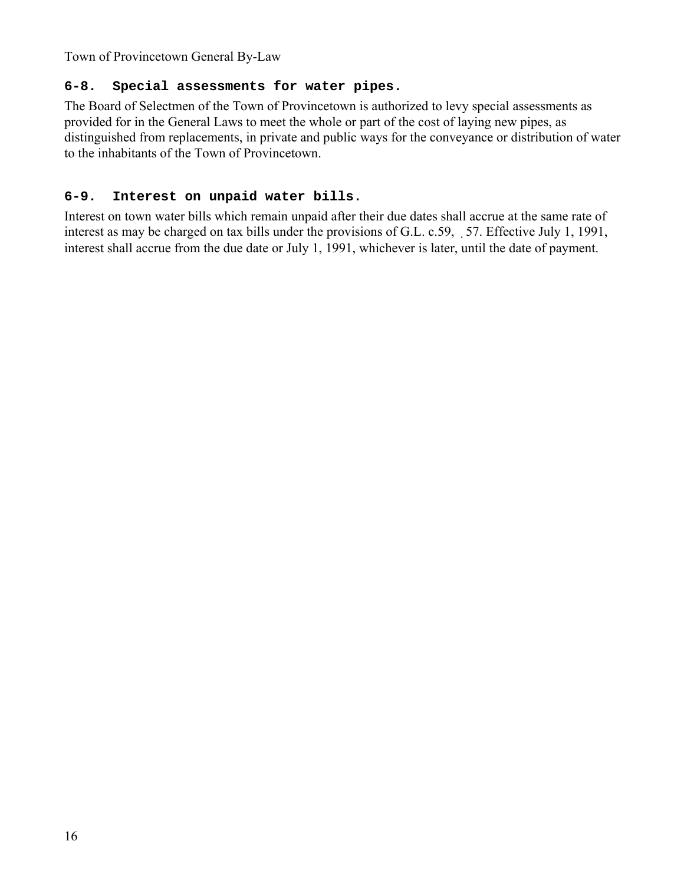#### **6-8. Special assessments for water pipes.**

The Board of Selectmen of the Town of Provincetown is authorized to levy special assessments as provided for in the General Laws to meet the whole or part of the cost of laying new pipes, as distinguished from replacements, in private and public ways for the conveyance or distribution of water to the inhabitants of the Town of Provincetown.

### **6-9. Interest on unpaid water bills.**

Interest on town water bills which remain unpaid after their due dates shall accrue at the same rate of interest as may be charged on tax bills under the provisions of G.L. c.59, 57. Effective July 1, 1991, interest shall accrue from the due date or July 1, 1991, whichever is later, until the date of payment.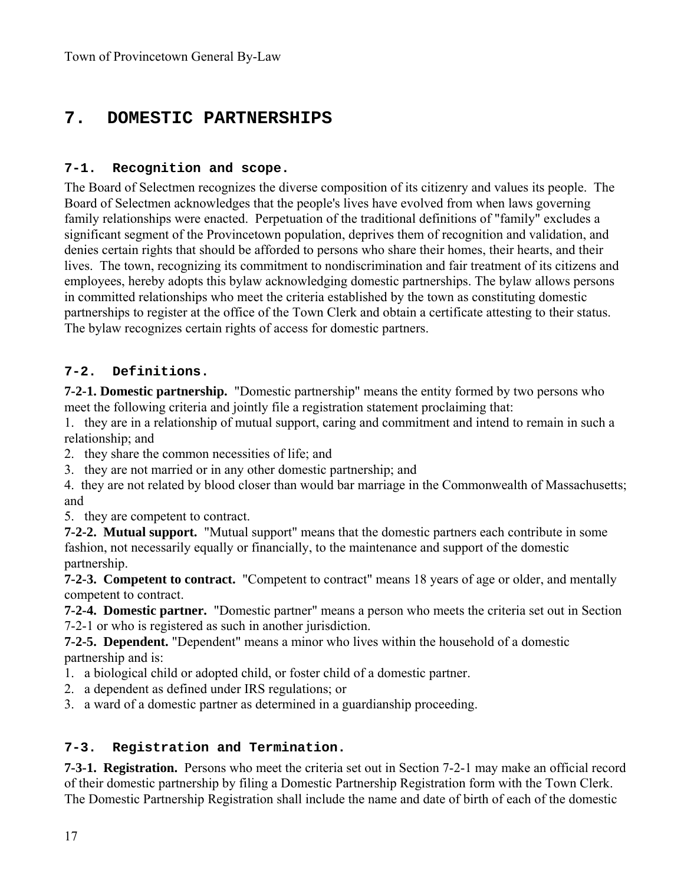## **7. DOMESTIC PARTNERSHIPS**

#### **7-1. Recognition and scope.**

The Board of Selectmen recognizes the diverse composition of its citizenry and values its people. The Board of Selectmen acknowledges that the people's lives have evolved from when laws governing family relationships were enacted. Perpetuation of the traditional definitions of "family" excludes a significant segment of the Provincetown population, deprives them of recognition and validation, and denies certain rights that should be afforded to persons who share their homes, their hearts, and their lives. The town, recognizing its commitment to nondiscrimination and fair treatment of its citizens and employees, hereby adopts this bylaw acknowledging domestic partnerships. The bylaw allows persons in committed relationships who meet the criteria established by the town as constituting domestic partnerships to register at the office of the Town Clerk and obtain a certificate attesting to their status. The bylaw recognizes certain rights of access for domestic partners.

#### **7-2. Definitions.**

**7-2-1. Domestic partnership.** "Domestic partnership" means the entity formed by two persons who meet the following criteria and jointly file a registration statement proclaiming that:

1. they are in a relationship of mutual support, caring and commitment and intend to remain in such a relationship; and

- 2. they share the common necessities of life; and
- 3. they are not married or in any other domestic partnership; and
- 4. they are not related by blood closer than would bar marriage in the Commonwealth of Massachusetts; and

5. they are competent to contract.

**7-2-2. Mutual support.** "Mutual support" means that the domestic partners each contribute in some fashion, not necessarily equally or financially, to the maintenance and support of the domestic partnership.

**7-2-3. Competent to contract.** "Competent to contract" means 18 years of age or older, and mentally competent to contract.

**7-2-4. Domestic partner.** "Domestic partner" means a person who meets the criteria set out in Section 7-2-1 or who is registered as such in another jurisdiction.

**7-2-5. Dependent.** "Dependent" means a minor who lives within the household of a domestic partnership and is:

- 1. a biological child or adopted child, or foster child of a domestic partner.
- 2. a dependent as defined under IRS regulations; or
- 3. a ward of a domestic partner as determined in a guardianship proceeding.

### **7-3. Registration and Termination.**

**7-3-1. Registration.** Persons who meet the criteria set out in Section 7-2-1 may make an official record of their domestic partnership by filing a Domestic Partnership Registration form with the Town Clerk. The Domestic Partnership Registration shall include the name and date of birth of each of the domestic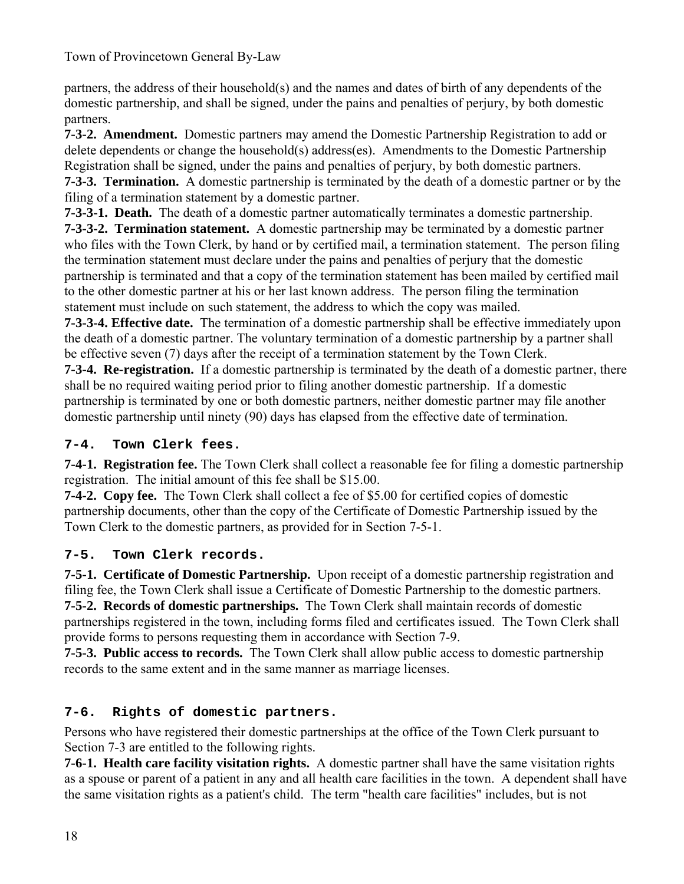partners, the address of their household(s) and the names and dates of birth of any dependents of the domestic partnership, and shall be signed, under the pains and penalties of perjury, by both domestic partners.

**7-3-2. Amendment.** Domestic partners may amend the Domestic Partnership Registration to add or delete dependents or change the household(s) address(es). Amendments to the Domestic Partnership Registration shall be signed, under the pains and penalties of perjury, by both domestic partners. **7-3-3. Termination.** A domestic partnership is terminated by the death of a domestic partner or by the filing of a termination statement by a domestic partner.

**7-3-3-1. Death.** The death of a domestic partner automatically terminates a domestic partnership.

**7-3-3-2. Termination statement.** A domestic partnership may be terminated by a domestic partner who files with the Town Clerk, by hand or by certified mail, a termination statement. The person filing the termination statement must declare under the pains and penalties of perjury that the domestic partnership is terminated and that a copy of the termination statement has been mailed by certified mail to the other domestic partner at his or her last known address. The person filing the termination statement must include on such statement, the address to which the copy was mailed.

**7-3-3-4. Effective date.** The termination of a domestic partnership shall be effective immediately upon the death of a domestic partner. The voluntary termination of a domestic partnership by a partner shall be effective seven (7) days after the receipt of a termination statement by the Town Clerk.

**7-3-4. Re-registration.** If a domestic partnership is terminated by the death of a domestic partner, there shall be no required waiting period prior to filing another domestic partnership. If a domestic partnership is terminated by one or both domestic partners, neither domestic partner may file another domestic partnership until ninety (90) days has elapsed from the effective date of termination.

### **7-4. Town Clerk fees.**

**7-4-1. Registration fee.** The Town Clerk shall collect a reasonable fee for filing a domestic partnership registration. The initial amount of this fee shall be \$15.00.

**7-4-2. Copy fee.** The Town Clerk shall collect a fee of \$5.00 for certified copies of domestic partnership documents, other than the copy of the Certificate of Domestic Partnership issued by the Town Clerk to the domestic partners, as provided for in Section 7-5-1.

### **7-5. Town Clerk records.**

**7-5-1. Certificate of Domestic Partnership.** Upon receipt of a domestic partnership registration and filing fee, the Town Clerk shall issue a Certificate of Domestic Partnership to the domestic partners. **7-5-2. Records of domestic partnerships.** The Town Clerk shall maintain records of domestic partnerships registered in the town, including forms filed and certificates issued. The Town Clerk shall provide forms to persons requesting them in accordance with Section 7-9.

**7-5-3. Public access to records.** The Town Clerk shall allow public access to domestic partnership records to the same extent and in the same manner as marriage licenses.

### **7-6. Rights of domestic partners.**

Persons who have registered their domestic partnerships at the office of the Town Clerk pursuant to Section 7-3 are entitled to the following rights.

**7-6-1. Health care facility visitation rights.** A domestic partner shall have the same visitation rights as a spouse or parent of a patient in any and all health care facilities in the town. A dependent shall have the same visitation rights as a patient's child. The term "health care facilities" includes, but is not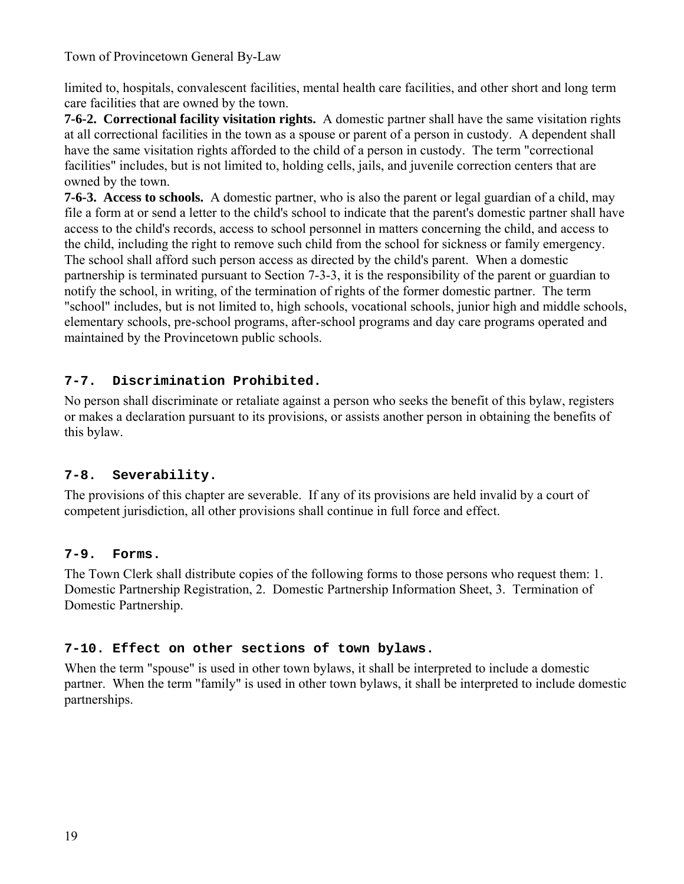limited to, hospitals, convalescent facilities, mental health care facilities, and other short and long term care facilities that are owned by the town.

**7-6-2. Correctional facility visitation rights.** A domestic partner shall have the same visitation rights at all correctional facilities in the town as a spouse or parent of a person in custody. A dependent shall have the same visitation rights afforded to the child of a person in custody. The term "correctional facilities" includes, but is not limited to, holding cells, jails, and juvenile correction centers that are owned by the town.

**7-6-3. Access to schools.** A domestic partner, who is also the parent or legal guardian of a child, may file a form at or send a letter to the child's school to indicate that the parent's domestic partner shall have access to the child's records, access to school personnel in matters concerning the child, and access to the child, including the right to remove such child from the school for sickness or family emergency. The school shall afford such person access as directed by the child's parent. When a domestic partnership is terminated pursuant to Section 7-3-3, it is the responsibility of the parent or guardian to notify the school, in writing, of the termination of rights of the former domestic partner. The term "school" includes, but is not limited to, high schools, vocational schools, junior high and middle schools, elementary schools, pre-school programs, after-school programs and day care programs operated and maintained by the Provincetown public schools.

### **7-7. Discrimination Prohibited.**

No person shall discriminate or retaliate against a person who seeks the benefit of this bylaw, registers or makes a declaration pursuant to its provisions, or assists another person in obtaining the benefits of this bylaw.

### **7-8. Severability.**

The provisions of this chapter are severable. If any of its provisions are held invalid by a court of competent jurisdiction, all other provisions shall continue in full force and effect.

### **7-9. Forms.**

The Town Clerk shall distribute copies of the following forms to those persons who request them: 1. Domestic Partnership Registration, 2. Domestic Partnership Information Sheet, 3. Termination of Domestic Partnership.

### **7-10. Effect on other sections of town bylaws.**

When the term "spouse" is used in other town bylaws, it shall be interpreted to include a domestic partner. When the term "family" is used in other town bylaws, it shall be interpreted to include domestic partnerships.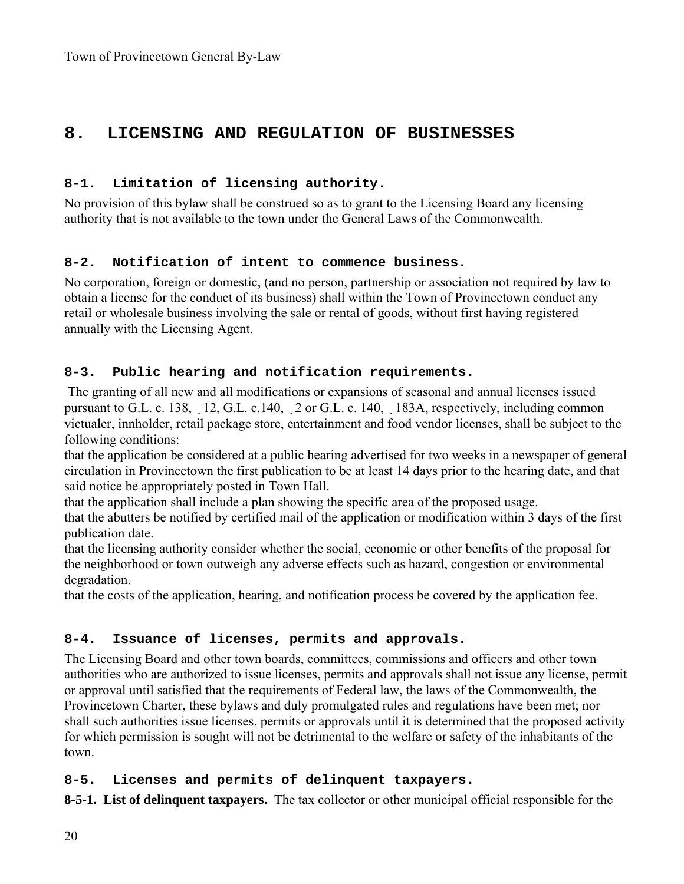## **8. LICENSING AND REGULATION OF BUSINESSES**

#### **8-1. Limitation of licensing authority.**

No provision of this bylaw shall be construed so as to grant to the Licensing Board any licensing authority that is not available to the town under the General Laws of the Commonwealth.

#### **8-2. Notification of intent to commence business.**

No corporation, foreign or domestic, (and no person, partnership or association not required by law to obtain a license for the conduct of its business) shall within the Town of Provincetown conduct any retail or wholesale business involving the sale or rental of goods, without first having registered annually with the Licensing Agent.

#### **8-3. Public hearing and notification requirements.**

 The granting of all new and all modifications or expansions of seasonal and annual licenses issued pursuant to G.L. c. 138, 12, G.L. c.140, 2 or G.L. c. 140, 183A, respectively, including common victualer, innholder, retail package store, entertainment and food vendor licenses, shall be subject to the following conditions:

that the application be considered at a public hearing advertised for two weeks in a newspaper of general circulation in Provincetown the first publication to be at least 14 days prior to the hearing date, and that said notice be appropriately posted in Town Hall.

that the application shall include a plan showing the specific area of the proposed usage.

that the abutters be notified by certified mail of the application or modification within 3 days of the first publication date.

that the licensing authority consider whether the social, economic or other benefits of the proposal for the neighborhood or town outweigh any adverse effects such as hazard, congestion or environmental degradation.

that the costs of the application, hearing, and notification process be covered by the application fee.

### **8-4. Issuance of licenses, permits and approvals.**

The Licensing Board and other town boards, committees, commissions and officers and other town authorities who are authorized to issue licenses, permits and approvals shall not issue any license, permit or approval until satisfied that the requirements of Federal law, the laws of the Commonwealth, the Provincetown Charter, these bylaws and duly promulgated rules and regulations have been met; nor shall such authorities issue licenses, permits or approvals until it is determined that the proposed activity for which permission is sought will not be detrimental to the welfare or safety of the inhabitants of the town.

### **8-5. Licenses and permits of delinquent taxpayers.**

**8-5-1. List of delinquent taxpayers.** The tax collector or other municipal official responsible for the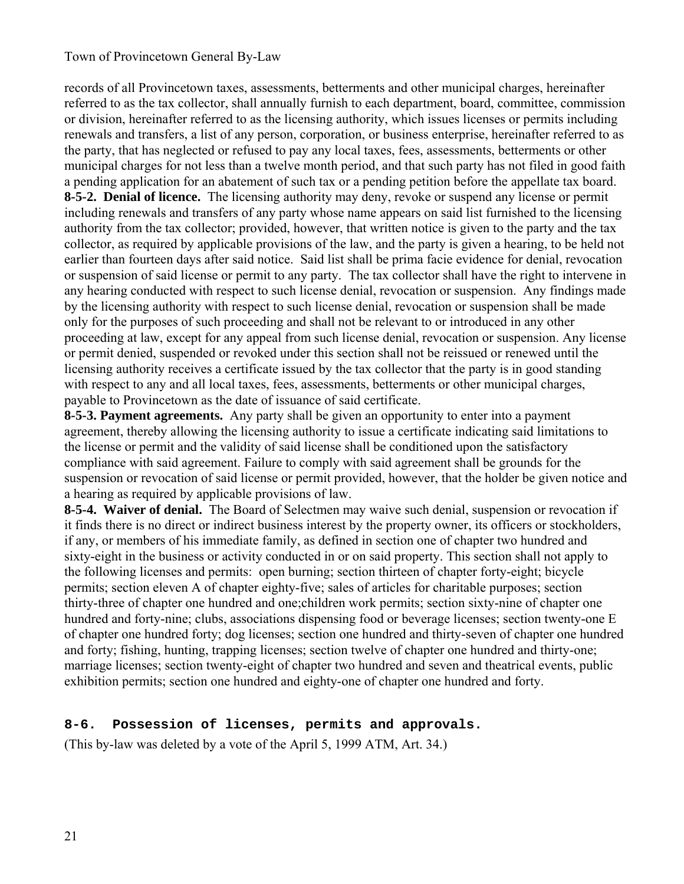records of all Provincetown taxes, assessments, betterments and other municipal charges, hereinafter referred to as the tax collector, shall annually furnish to each department, board, committee, commission or division, hereinafter referred to as the licensing authority, which issues licenses or permits including renewals and transfers, a list of any person, corporation, or business enterprise, hereinafter referred to as the party, that has neglected or refused to pay any local taxes, fees, assessments, betterments or other municipal charges for not less than a twelve month period, and that such party has not filed in good faith a pending application for an abatement of such tax or a pending petition before the appellate tax board. **8-5-2. Denial of licence.** The licensing authority may deny, revoke or suspend any license or permit including renewals and transfers of any party whose name appears on said list furnished to the licensing authority from the tax collector; provided, however, that written notice is given to the party and the tax collector, as required by applicable provisions of the law, and the party is given a hearing, to be held not earlier than fourteen days after said notice. Said list shall be prima facie evidence for denial, revocation or suspension of said license or permit to any party. The tax collector shall have the right to intervene in any hearing conducted with respect to such license denial, revocation or suspension. Any findings made by the licensing authority with respect to such license denial, revocation or suspension shall be made only for the purposes of such proceeding and shall not be relevant to or introduced in any other proceeding at law, except for any appeal from such license denial, revocation or suspension. Any license or permit denied, suspended or revoked under this section shall not be reissued or renewed until the licensing authority receives a certificate issued by the tax collector that the party is in good standing with respect to any and all local taxes, fees, assessments, betterments or other municipal charges, payable to Provincetown as the date of issuance of said certificate.

**8-5-3. Payment agreements.** Any party shall be given an opportunity to enter into a payment agreement, thereby allowing the licensing authority to issue a certificate indicating said limitations to the license or permit and the validity of said license shall be conditioned upon the satisfactory compliance with said agreement. Failure to comply with said agreement shall be grounds for the suspension or revocation of said license or permit provided, however, that the holder be given notice and a hearing as required by applicable provisions of law.

**8-5-4. Waiver of denial.** The Board of Selectmen may waive such denial, suspension or revocation if it finds there is no direct or indirect business interest by the property owner, its officers or stockholders, if any, or members of his immediate family, as defined in section one of chapter two hundred and sixty-eight in the business or activity conducted in or on said property. This section shall not apply to the following licenses and permits: open burning; section thirteen of chapter forty-eight; bicycle permits; section eleven A of chapter eighty-five; sales of articles for charitable purposes; section thirty-three of chapter one hundred and one;children work permits; section sixty-nine of chapter one hundred and forty-nine; clubs, associations dispensing food or beverage licenses; section twenty-one E of chapter one hundred forty; dog licenses; section one hundred and thirty-seven of chapter one hundred and forty; fishing, hunting, trapping licenses; section twelve of chapter one hundred and thirty-one; marriage licenses; section twenty-eight of chapter two hundred and seven and theatrical events, public exhibition permits; section one hundred and eighty-one of chapter one hundred and forty.

### **8-6. Possession of licenses, permits and approvals.**

(This by-law was deleted by a vote of the April 5, 1999 ATM, Art. 34.)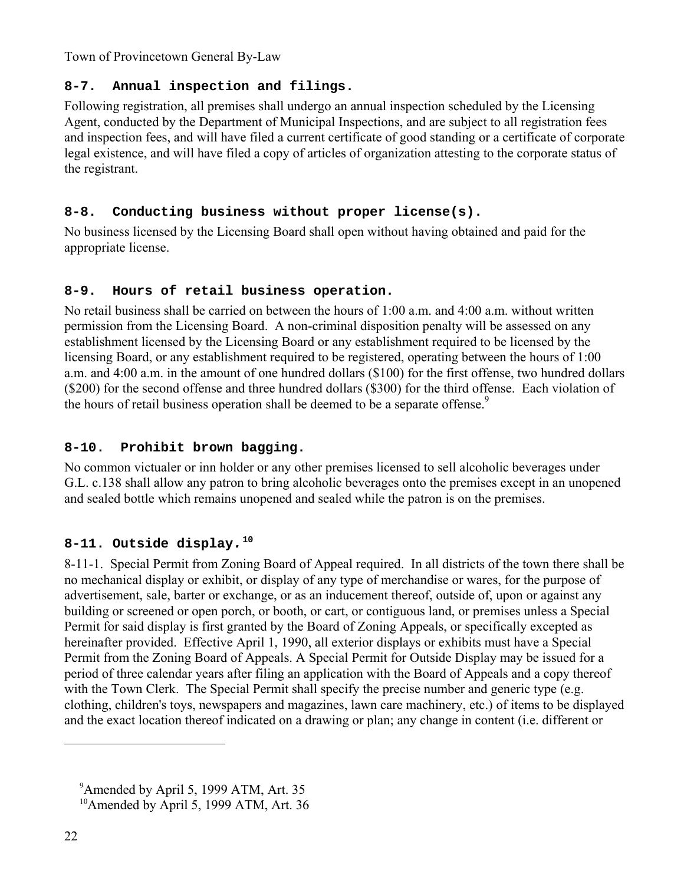### **8-7. Annual inspection and filings.**

Following registration, all premises shall undergo an annual inspection scheduled by the Licensing Agent, conducted by the Department of Municipal Inspections, and are subject to all registration fees and inspection fees, and will have filed a current certificate of good standing or a certificate of corporate legal existence, and will have filed a copy of articles of organization attesting to the corporate status of the registrant.

### **8-8. Conducting business without proper license(s).**

No business licensed by the Licensing Board shall open without having obtained and paid for the appropriate license.

### **8-9. Hours of retail business operation.**

No retail business shall be carried on between the hours of 1:00 a.m. and 4:00 a.m. without written permission from the Licensing Board. A non-criminal disposition penalty will be assessed on any establishment licensed by the Licensing Board or any establishment required to be licensed by the licensing Board, or any establishment required to be registered, operating between the hours of 1:00 a.m. and 4:00 a.m. in the amount of one hundred dollars (\$100) for the first offense, two hundred dollars (\$200) for the second offense and three hundred dollars (\$300) for the third offense. Each violation of the hours of retail business operation shall be deemed to be a separate offense.<sup>9</sup>

### **8-10. Prohibit brown bagging.**

No common victualer or inn holder or any other premises licensed to sell alcoholic beverages under G.L. c.138 shall allow any patron to bring alcoholic beverages onto the premises except in an unopened and sealed bottle which remains unopened and sealed while the patron is on the premises.

### **8-11. Outside display***.***<sup>10</sup>**

8-11-1. Special Permit from Zoning Board of Appeal required. In all districts of the town there shall be no mechanical display or exhibit, or display of any type of merchandise or wares, for the purpose of advertisement, sale, barter or exchange, or as an inducement thereof, outside of, upon or against any building or screened or open porch, or booth, or cart, or contiguous land, or premises unless a Special Permit for said display is first granted by the Board of Zoning Appeals, or specifically excepted as hereinafter provided. Effective April 1, 1990, all exterior displays or exhibits must have a Special Permit from the Zoning Board of Appeals. A Special Permit for Outside Display may be issued for a period of three calendar years after filing an application with the Board of Appeals and a copy thereof with the Town Clerk. The Special Permit shall specify the precise number and generic type (e.g. clothing, children's toys, newspapers and magazines, lawn care machinery, etc.) of items to be displayed and the exact location thereof indicated on a drawing or plan; any change in content (i.e. different or

<sup>&</sup>lt;sup>9</sup> Amended by April 5, 1999 ATM, Art. 35

<sup>&</sup>lt;sup>10</sup>Amended by April 5, 1999 ATM, Art. 36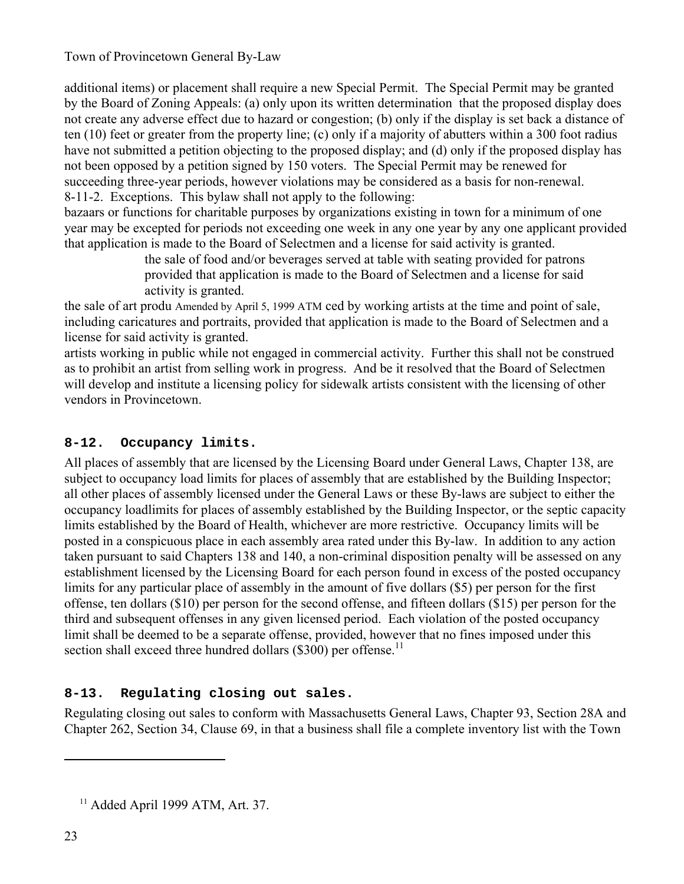additional items) or placement shall require a new Special Permit. The Special Permit may be granted by the Board of Zoning Appeals: (a) only upon its written determination that the proposed display does not create any adverse effect due to hazard or congestion; (b) only if the display is set back a distance of ten (10) feet or greater from the property line; (c) only if a majority of abutters within a 300 foot radius have not submitted a petition objecting to the proposed display; and (d) only if the proposed display has not been opposed by a petition signed by 150 voters. The Special Permit may be renewed for succeeding three-year periods, however violations may be considered as a basis for non-renewal. 8-11-2. Exceptions. This bylaw shall not apply to the following:

bazaars or functions for charitable purposes by organizations existing in town for a minimum of one year may be excepted for periods not exceeding one week in any one year by any one applicant provided that application is made to the Board of Selectmen and a license for said activity is granted.

the sale of food and/or beverages served at table with seating provided for patrons provided that application is made to the Board of Selectmen and a license for said activity is granted.

the sale of art produ Amended by April 5, 1999 ATM ced by working artists at the time and point of sale, including caricatures and portraits, provided that application is made to the Board of Selectmen and a license for said activity is granted.

artists working in public while not engaged in commercial activity. Further this shall not be construed as to prohibit an artist from selling work in progress. And be it resolved that the Board of Selectmen will develop and institute a licensing policy for sidewalk artists consistent with the licensing of other vendors in Provincetown.

### **8-12. Occupancy limits.**

All places of assembly that are licensed by the Licensing Board under General Laws, Chapter 138, are subject to occupancy load limits for places of assembly that are established by the Building Inspector; all other places of assembly licensed under the General Laws or these By-laws are subject to either the occupancy loadlimits for places of assembly established by the Building Inspector, or the septic capacity limits established by the Board of Health, whichever are more restrictive. Occupancy limits will be posted in a conspicuous place in each assembly area rated under this By-law. In addition to any action taken pursuant to said Chapters 138 and 140, a non-criminal disposition penalty will be assessed on any establishment licensed by the Licensing Board for each person found in excess of the posted occupancy limits for any particular place of assembly in the amount of five dollars (\$5) per person for the first offense, ten dollars (\$10) per person for the second offense, and fifteen dollars (\$15) per person for the third and subsequent offenses in any given licensed period. Each violation of the posted occupancy limit shall be deemed to be a separate offense, provided, however that no fines imposed under this section shall exceed three hundred dollars (\$300) per offense.<sup>11</sup>

### **8-13. Regulating closing out sales.**

Regulating closing out sales to conform with Massachusetts General Laws, Chapter 93, Section 28A and Chapter 262, Section 34, Clause 69, in that a business shall file a complete inventory list with the Town

 $11$  Added April 1999 ATM, Art. 37.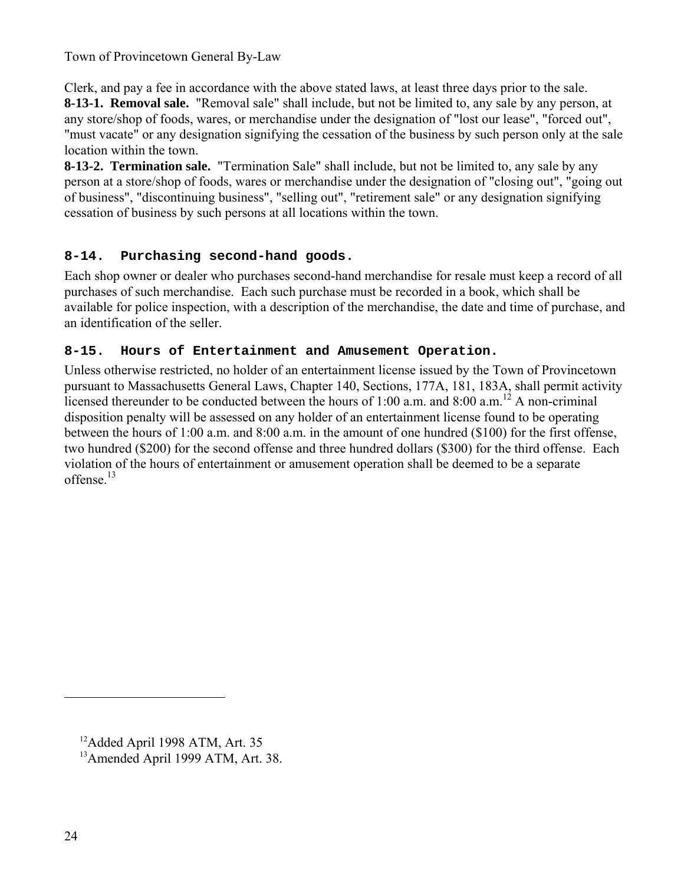Clerk, and pay a fee in accordance with the above stated laws, at least three days prior to the sale. **8-13-1. Removal sale.** "Removal sale" shall include, but not be limited to, any sale by any person, at any store/shop of foods, wares, or merchandise under the designation of "lost our lease", "forced out", "must vacate" or any designation signifying the cessation of the business by such person only at the sale location within the town.

**8-13-2. Termination sale.** "Termination Sale" shall include, but not be limited to, any sale by any person at a store/shop of foods, wares or merchandise under the designation of "closing out", "going out of business", "discontinuing business", "selling out", "retirement sale" or any designation signifying cessation of business by such persons at all locations within the town.

### **8-14. Purchasing second-hand goods.**

Each shop owner or dealer who purchases second-hand merchandise for resale must keep a record of all purchases of such merchandise. Each such purchase must be recorded in a book, which shall be available for police inspection, with a description of the merchandise, the date and time of purchase, and an identification of the seller.

### **8-15. Hours of Entertainment and Amusement Operation.**

Unless otherwise restricted, no holder of an entertainment license issued by the Town of Provincetown pursuant to Massachusetts General Laws, Chapter 140, Sections, 177A, 181, 183A, shall permit activity licensed thereunder to be conducted between the hours of 1:00 a.m. and 8:00 a.m.<sup>12</sup> A non-criminal disposition penalty will be assessed on any holder of an entertainment license found to be operating between the hours of 1:00 a.m. and 8:00 a.m. in the amount of one hundred (\$100) for the first offense, two hundred (\$200) for the second offense and three hundred dollars (\$300) for the third offense. Each violation of the hours of entertainment or amusement operation shall be deemed to be a separate offense. $13$ 

<sup>&</sup>lt;sup>12</sup>Added April 1998 ATM, Art. 35

13Amended April 1999 ATM, Art. 38.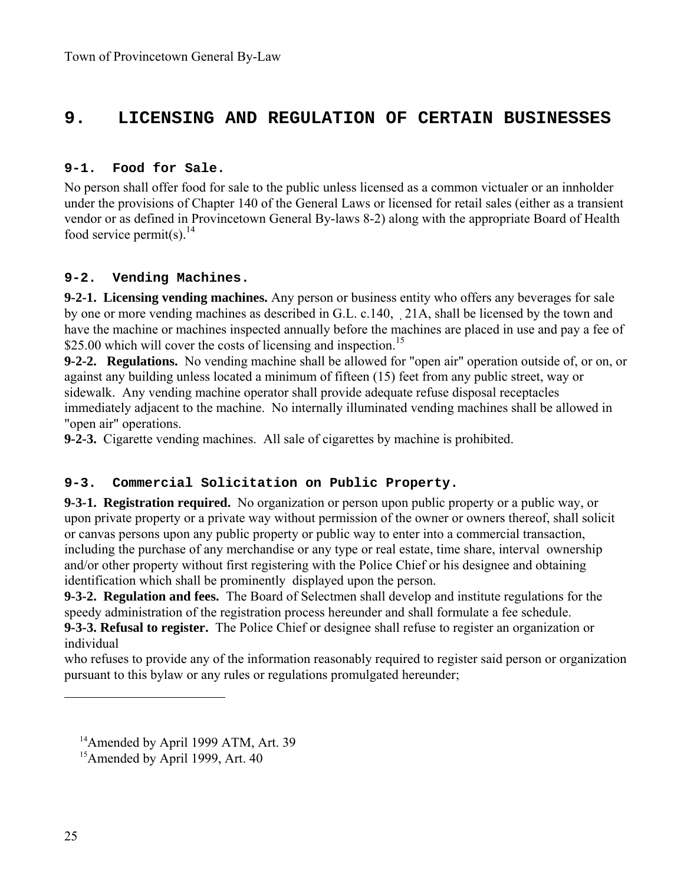### **9. LICENSING AND REGULATION OF CERTAIN BUSINESSES**

#### **9-1. Food for Sale.**

No person shall offer food for sale to the public unless licensed as a common victualer or an innholder under the provisions of Chapter 140 of the General Laws or licensed for retail sales (either as a transient vendor or as defined in Provincetown General By-laws 8-2) along with the appropriate Board of Health food service permit(s).  $^{14}$ 

#### **9-2. Vending Machines.**

**9-2-1. Licensing vending machines.** Any person or business entity who offers any beverages for sale by one or more vending machines as described in G.L. c.140, 21A, shall be licensed by the town and have the machine or machines inspected annually before the machines are placed in use and pay a fee of \$25.00 which will cover the costs of licensing and inspection.<sup>15</sup>

**9-2-2. Regulations.** No vending machine shall be allowed for "open air" operation outside of, or on, or against any building unless located a minimum of fifteen (15) feet from any public street, way or sidewalk. Any vending machine operator shall provide adequate refuse disposal receptacles immediately adjacent to the machine. No internally illuminated vending machines shall be allowed in "open air" operations.

**9-2-3.** Cigarette vending machines. All sale of cigarettes by machine is prohibited.

### **9-3. Commercial Solicitation on Public Property.**

**9-3-1. Registration required.** No organization or person upon public property or a public way, or upon private property or a private way without permission of the owner or owners thereof, shall solicit or canvas persons upon any public property or public way to enter into a commercial transaction, including the purchase of any merchandise or any type or real estate, time share, interval ownership and/or other property without first registering with the Police Chief or his designee and obtaining identification which shall be prominently displayed upon the person.

**9-3-2. Regulation and fees.** The Board of Selectmen shall develop and institute regulations for the speedy administration of the registration process hereunder and shall formulate a fee schedule.

**9-3-3. Refusal to register.** The Police Chief or designee shall refuse to register an organization or individual

who refuses to provide any of the information reasonably required to register said person or organization pursuant to this bylaw or any rules or regulations promulgated hereunder;

<sup>&</sup>lt;sup>14</sup>Amended by April 1999 ATM, Art. 39

<sup>&</sup>lt;sup>15</sup> Amended by April 1999, Art. 40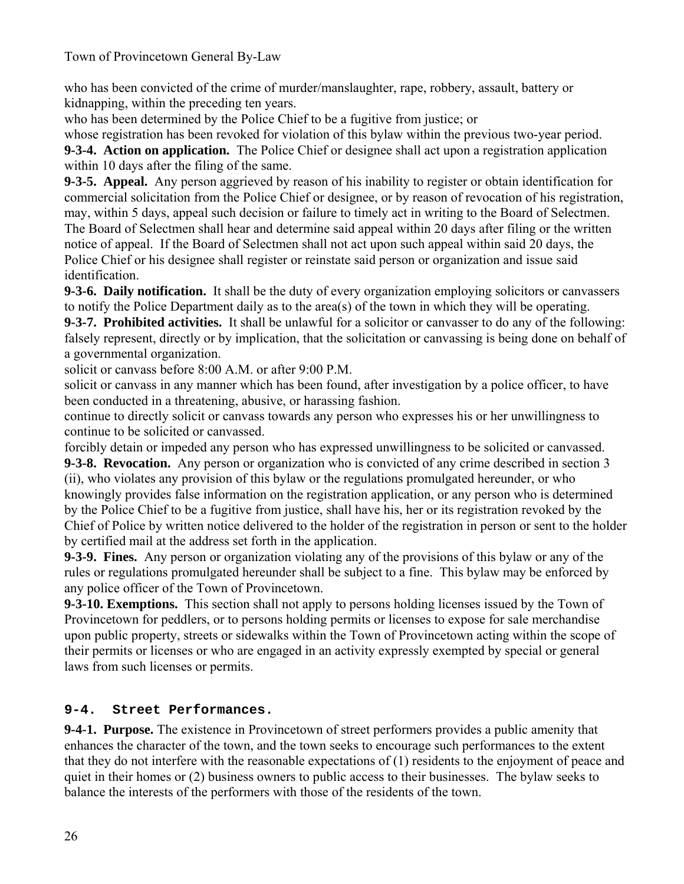who has been convicted of the crime of murder/manslaughter, rape, robbery, assault, battery or kidnapping, within the preceding ten years.

who has been determined by the Police Chief to be a fugitive from justice; or

whose registration has been revoked for violation of this bylaw within the previous two-year period. **9-3-4. Action on application.** The Police Chief or designee shall act upon a registration application within 10 days after the filing of the same.

**9-3-5. Appeal.** Any person aggrieved by reason of his inability to register or obtain identification for commercial solicitation from the Police Chief or designee, or by reason of revocation of his registration, may, within 5 days, appeal such decision or failure to timely act in writing to the Board of Selectmen. The Board of Selectmen shall hear and determine said appeal within 20 days after filing or the written notice of appeal. If the Board of Selectmen shall not act upon such appeal within said 20 days, the Police Chief or his designee shall register or reinstate said person or organization and issue said identification.

**9-3-6. Daily notification.** It shall be the duty of every organization employing solicitors or canvassers to notify the Police Department daily as to the area(s) of the town in which they will be operating.

**9-3-7. Prohibited activities.** It shall be unlawful for a solicitor or canvasser to do any of the following: falsely represent, directly or by implication, that the solicitation or canvassing is being done on behalf of a governmental organization.

solicit or canvass before 8:00 A.M. or after 9:00 P.M.

solicit or canvass in any manner which has been found, after investigation by a police officer, to have been conducted in a threatening, abusive, or harassing fashion.

continue to directly solicit or canvass towards any person who expresses his or her unwillingness to continue to be solicited or canvassed.

forcibly detain or impeded any person who has expressed unwillingness to be solicited or canvassed. **9-3-8. Revocation.** Any person or organization who is convicted of any crime described in section 3

(ii), who violates any provision of this bylaw or the regulations promulgated hereunder, or who knowingly provides false information on the registration application, or any person who is determined by the Police Chief to be a fugitive from justice, shall have his, her or its registration revoked by the Chief of Police by written notice delivered to the holder of the registration in person or sent to the holder by certified mail at the address set forth in the application.

**9-3-9. Fines.** Any person or organization violating any of the provisions of this bylaw or any of the rules or regulations promulgated hereunder shall be subject to a fine. This bylaw may be enforced by any police officer of the Town of Provincetown.

**9-3-10. Exemptions.** This section shall not apply to persons holding licenses issued by the Town of Provincetown for peddlers, or to persons holding permits or licenses to expose for sale merchandise upon public property, streets or sidewalks within the Town of Provincetown acting within the scope of their permits or licenses or who are engaged in an activity expressly exempted by special or general laws from such licenses or permits.

### **9-4. Street Performances.**

**9-4-1. Purpose.** The existence in Provincetown of street performers provides a public amenity that enhances the character of the town, and the town seeks to encourage such performances to the extent that they do not interfere with the reasonable expectations of (1) residents to the enjoyment of peace and quiet in their homes or (2) business owners to public access to their businesses. The bylaw seeks to balance the interests of the performers with those of the residents of the town.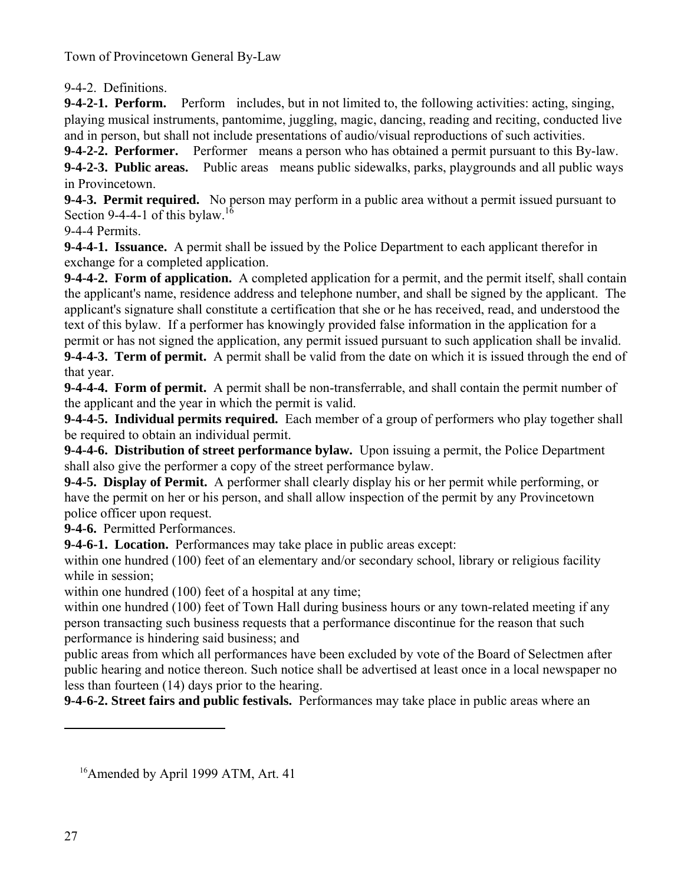9-4-2. Definitions.

**9-4-2-1. Perform.** Perform includes, but in not limited to, the following activities: acting, singing, playing musical instruments, pantomime, juggling, magic, dancing, reading and reciting, conducted live and in person, but shall not include presentations of audio/visual reproductions of such activities.

**9-4-2-2. Performer.** Performer means a person who has obtained a permit pursuant to this By-law. **9-4-2-3. Public areas.** Public areas means public sidewalks, parks, playgrounds and all public ways in Provincetown.

**9-4-3. Permit required.** No person may perform in a public area without a permit issued pursuant to Section 9-4-4-1 of this bylaw.<sup>16</sup>

9-4-4 Permits.

**9-4-4-1. Issuance.** A permit shall be issued by the Police Department to each applicant therefor in exchange for a completed application.

**9-4-4-2. Form of application.** A completed application for a permit, and the permit itself, shall contain the applicant's name, residence address and telephone number, and shall be signed by the applicant. The applicant's signature shall constitute a certification that she or he has received, read, and understood the text of this bylaw. If a performer has knowingly provided false information in the application for a permit or has not signed the application, any permit issued pursuant to such application shall be invalid.

**9-4-4-3. Term of permit.** A permit shall be valid from the date on which it is issued through the end of that year.

**9-4-4-4. Form of permit.** A permit shall be non-transferrable, and shall contain the permit number of the applicant and the year in which the permit is valid.

**9-4-4-5. Individual permits required.** Each member of a group of performers who play together shall be required to obtain an individual permit.

**9-4-4-6. Distribution of street performance bylaw.** Upon issuing a permit, the Police Department shall also give the performer a copy of the street performance bylaw.

**9-4-5. Display of Permit.** A performer shall clearly display his or her permit while performing, or have the permit on her or his person, and shall allow inspection of the permit by any Provincetown police officer upon request.

**9-4-6.** Permitted Performances.

**9-4-6-1. Location.** Performances may take place in public areas except:

within one hundred (100) feet of an elementary and/or secondary school, library or religious facility while in session;

within one hundred (100) feet of a hospital at any time:

within one hundred (100) feet of Town Hall during business hours or any town-related meeting if any person transacting such business requests that a performance discontinue for the reason that such performance is hindering said business; and

public areas from which all performances have been excluded by vote of the Board of Selectmen after public hearing and notice thereon. Such notice shall be advertised at least once in a local newspaper no less than fourteen (14) days prior to the hearing.

**9-4-6-2. Street fairs and public festivals.** Performances may take place in public areas where an

<sup>&</sup>lt;sup>16</sup>Amended by April 1999 ATM, Art. 41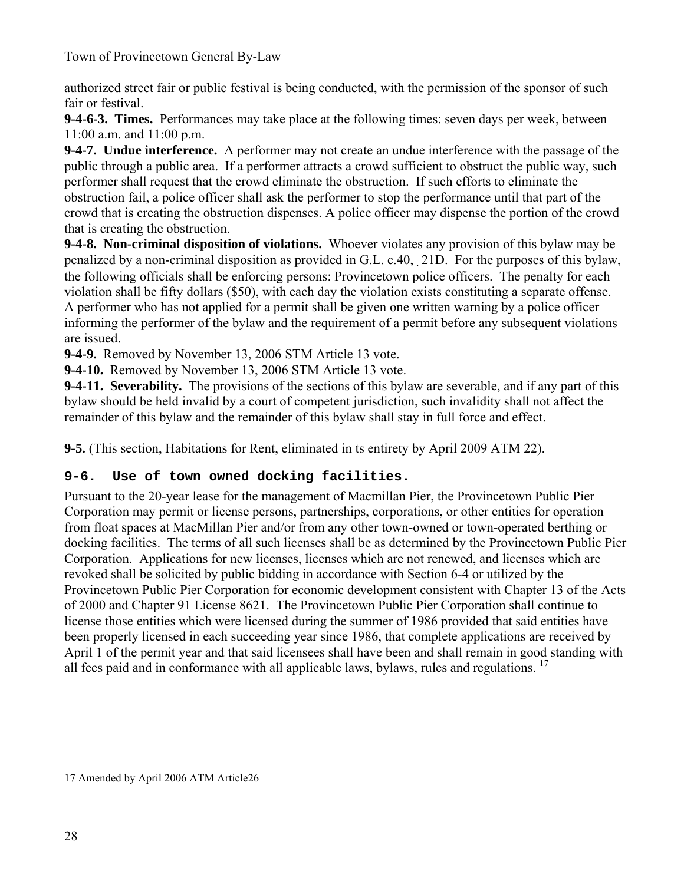authorized street fair or public festival is being conducted, with the permission of the sponsor of such fair or festival.

**9-4-6-3. Times.** Performances may take place at the following times: seven days per week, between 11:00 a.m. and 11:00 p.m.

**9-4-7. Undue interference.** A performer may not create an undue interference with the passage of the public through a public area. If a performer attracts a crowd sufficient to obstruct the public way, such performer shall request that the crowd eliminate the obstruction. If such efforts to eliminate the obstruction fail, a police officer shall ask the performer to stop the performance until that part of the crowd that is creating the obstruction dispenses. A police officer may dispense the portion of the crowd that is creating the obstruction.

**9-4-8. Non-criminal disposition of violations.** Whoever violates any provision of this bylaw may be penalized by a non-criminal disposition as provided in G.L. c.40,21D. For the purposes of this bylaw, the following officials shall be enforcing persons: Provincetown police officers. The penalty for each violation shall be fifty dollars (\$50), with each day the violation exists constituting a separate offense. A performer who has not applied for a permit shall be given one written warning by a police officer informing the performer of the bylaw and the requirement of a permit before any subsequent violations are issued.

**9-4-9.** Removed by November 13, 2006 STM Article 13 vote.

**9-4-10.** Removed by November 13, 2006 STM Article 13 vote.

**9-4-11. Severability.** The provisions of the sections of this bylaw are severable, and if any part of this bylaw should be held invalid by a court of competent jurisdiction, such invalidity shall not affect the remainder of this bylaw and the remainder of this bylaw shall stay in full force and effect.

**9-5.** (This section, Habitations for Rent, eliminated in ts entirety by April 2009 ATM 22).

### **9-6. Use of town owned docking facilities.**

Pursuant to the 20-year lease for the management of Macmillan Pier, the Provincetown Public Pier Corporation may permit or license persons, partnerships, corporations, or other entities for operation from float spaces at MacMillan Pier and/or from any other town-owned or town-operated berthing or docking facilities. The terms of all such licenses shall be as determined by the Provincetown Public Pier Corporation. Applications for new licenses, licenses which are not renewed, and licenses which are revoked shall be solicited by public bidding in accordance with Section 6-4 or utilized by the Provincetown Public Pier Corporation for economic development consistent with Chapter 13 of the Acts of 2000 and Chapter 91 License 8621. The Provincetown Public Pier Corporation shall continue to license those entities which were licensed during the summer of 1986 provided that said entities have been properly licensed in each succeeding year since 1986, that complete applications are received by April 1 of the permit year and that said licensees shall have been and shall remain in good standing with all fees paid and in conformance with all applicable laws, bylaws, rules and regulations.  $17$ 

<sup>17</sup> Amended by April 2006 ATM Article26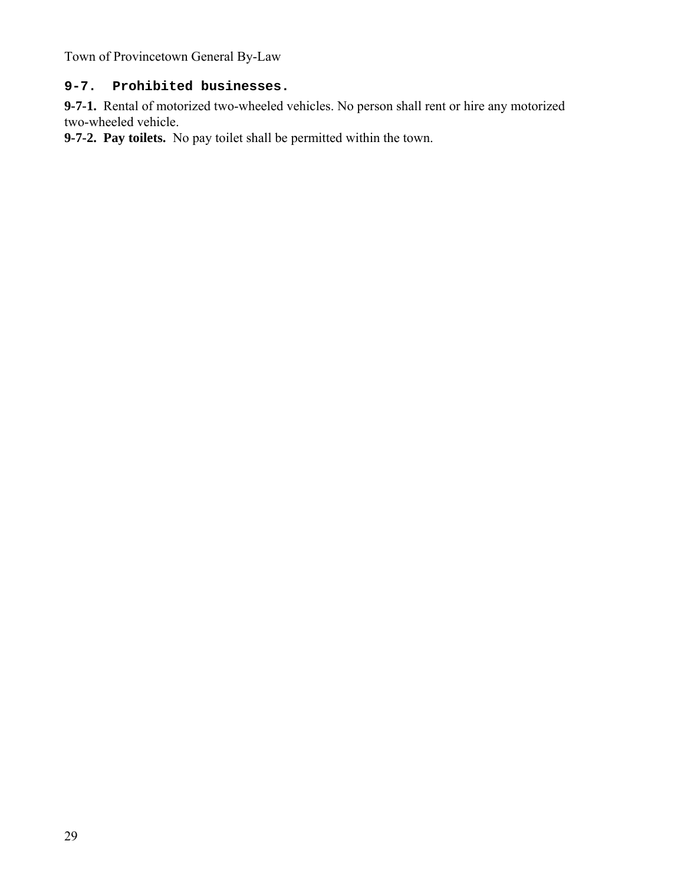### **9-7. Prohibited businesses.**

**9-7-1.** Rental of motorized two-wheeled vehicles. No person shall rent or hire any motorized two-wheeled vehicle.

**9-7-2. Pay toilets.** No pay toilet shall be permitted within the town.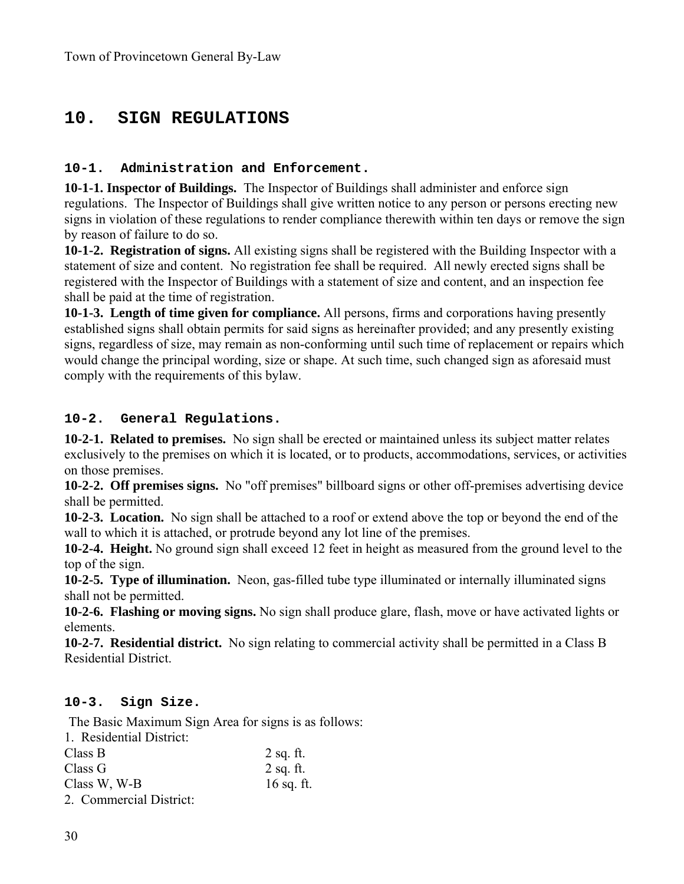# **10. SIGN REGULATIONS**

#### **10-1. Administration and Enforcement.**

**10-1-1. Inspector of Buildings.** The Inspector of Buildings shall administer and enforce sign regulations. The Inspector of Buildings shall give written notice to any person or persons erecting new signs in violation of these regulations to render compliance therewith within ten days or remove the sign by reason of failure to do so.

**10-1-2. Registration of signs.** All existing signs shall be registered with the Building Inspector with a statement of size and content. No registration fee shall be required. All newly erected signs shall be registered with the Inspector of Buildings with a statement of size and content, and an inspection fee shall be paid at the time of registration.

**10-1-3. Length of time given for compliance.** All persons, firms and corporations having presently established signs shall obtain permits for said signs as hereinafter provided; and any presently existing signs, regardless of size, may remain as non-conforming until such time of replacement or repairs which would change the principal wording, size or shape. At such time, such changed sign as aforesaid must comply with the requirements of this bylaw.

#### **10-2. General Regulations.**

**10-2-1. Related to premises.** No sign shall be erected or maintained unless its subject matter relates exclusively to the premises on which it is located, or to products, accommodations, services, or activities on those premises.

**10-2-2. Off premises signs.** No "off premises" billboard signs or other off-premises advertising device shall be permitted.

**10-2-3. Location.** No sign shall be attached to a roof or extend above the top or beyond the end of the wall to which it is attached, or protrude beyond any lot line of the premises.

**10-2-4. Height.** No ground sign shall exceed 12 feet in height as measured from the ground level to the top of the sign.

**10-2-5. Type of illumination.** Neon, gas-filled tube type illuminated or internally illuminated signs shall not be permitted.

**10-2-6. Flashing or moving signs.** No sign shall produce glare, flash, move or have activated lights or elements.

**10-2-7. Residential district.** No sign relating to commercial activity shall be permitted in a Class B Residential District.

### **10-3. Sign Size.**

The Basic Maximum Sign Area for signs is as follows:

| 1. Residential District: |              |
|--------------------------|--------------|
| Class B                  | $2$ sq. ft.  |
| Class G                  | $2$ sq. ft.  |
| Class W, W-B             | $16$ sq. ft. |
| 2. Commercial District:  |              |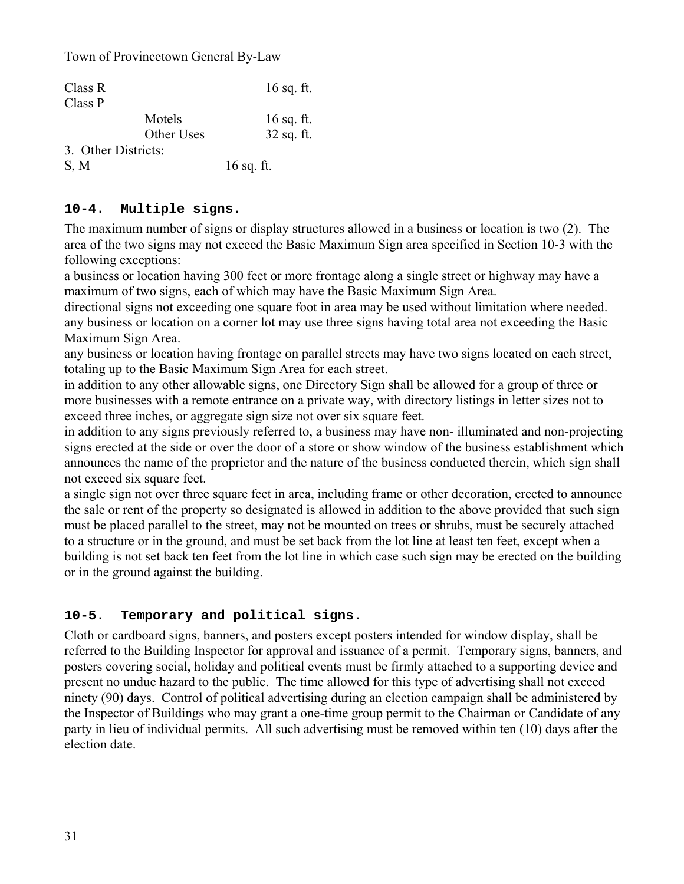| Class R             |            | $16$ sq. ft. |
|---------------------|------------|--------------|
| Class P             |            |              |
|                     | Motels     | $16$ sq. ft. |
|                     | Other Uses | 32 sq. ft.   |
| 3. Other Districts: |            |              |
| S, M                |            | $16$ sq. ft. |

### **10-4. Multiple signs.**

The maximum number of signs or display structures allowed in a business or location is two (2). The area of the two signs may not exceed the Basic Maximum Sign area specified in Section 10-3 with the following exceptions:

a business or location having 300 feet or more frontage along a single street or highway may have a maximum of two signs, each of which may have the Basic Maximum Sign Area.

directional signs not exceeding one square foot in area may be used without limitation where needed. any business or location on a corner lot may use three signs having total area not exceeding the Basic Maximum Sign Area.

any business or location having frontage on parallel streets may have two signs located on each street, totaling up to the Basic Maximum Sign Area for each street.

in addition to any other allowable signs, one Directory Sign shall be allowed for a group of three or more businesses with a remote entrance on a private way, with directory listings in letter sizes not to exceed three inches, or aggregate sign size not over six square feet.

in addition to any signs previously referred to, a business may have non- illuminated and non-projecting signs erected at the side or over the door of a store or show window of the business establishment which announces the name of the proprietor and the nature of the business conducted therein, which sign shall not exceed six square feet.

a single sign not over three square feet in area, including frame or other decoration, erected to announce the sale or rent of the property so designated is allowed in addition to the above provided that such sign must be placed parallel to the street, may not be mounted on trees or shrubs, must be securely attached to a structure or in the ground, and must be set back from the lot line at least ten feet, except when a building is not set back ten feet from the lot line in which case such sign may be erected on the building or in the ground against the building.

### **10-5. Temporary and political signs.**

Cloth or cardboard signs, banners, and posters except posters intended for window display, shall be referred to the Building Inspector for approval and issuance of a permit. Temporary signs, banners, and posters covering social, holiday and political events must be firmly attached to a supporting device and present no undue hazard to the public. The time allowed for this type of advertising shall not exceed ninety (90) days. Control of political advertising during an election campaign shall be administered by the Inspector of Buildings who may grant a one-time group permit to the Chairman or Candidate of any party in lieu of individual permits. All such advertising must be removed within ten (10) days after the election date.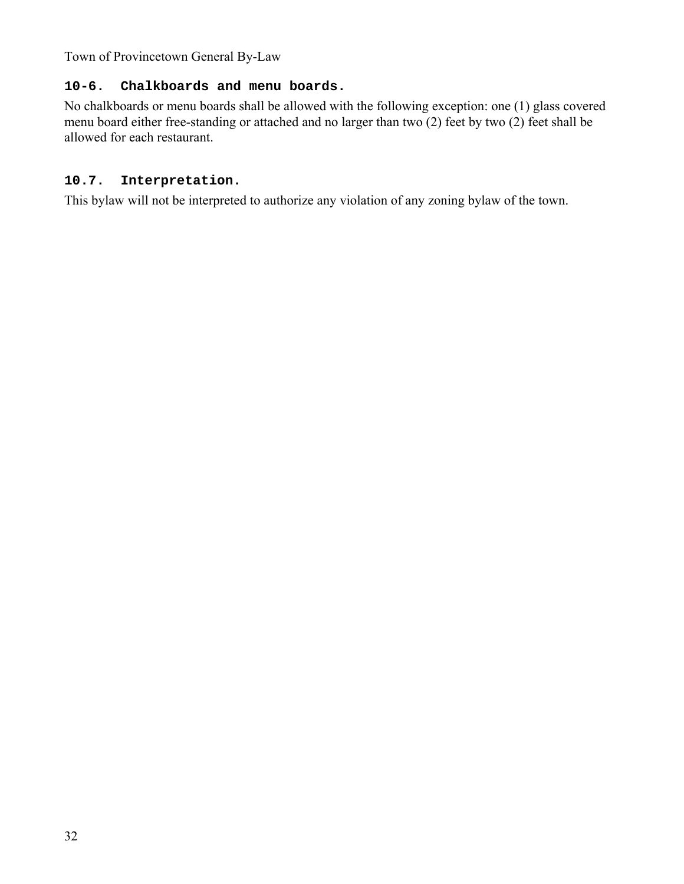### **10-6. Chalkboards and menu boards.**

No chalkboards or menu boards shall be allowed with the following exception: one (1) glass covered menu board either free-standing or attached and no larger than two (2) feet by two (2) feet shall be allowed for each restaurant.

### **10.7. Interpretation.**

This bylaw will not be interpreted to authorize any violation of any zoning bylaw of the town.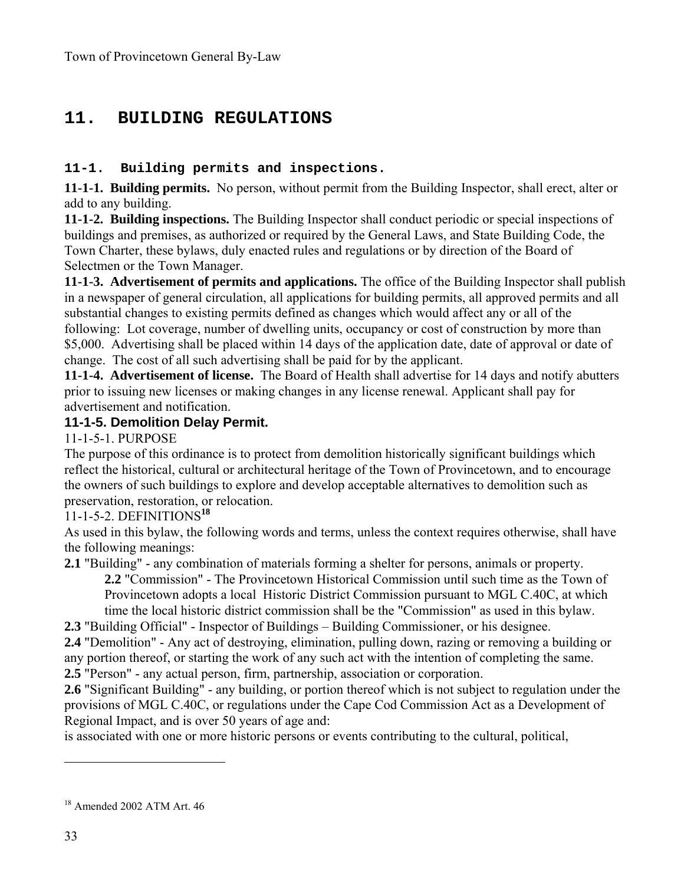# **11. BUILDING REGULATIONS**

### **11-1. Building permits and inspections.**

**11-1-1. Building permits.** No person, without permit from the Building Inspector, shall erect, alter or add to any building.

**11-1-2. Building inspections.** The Building Inspector shall conduct periodic or special inspections of buildings and premises, as authorized or required by the General Laws, and State Building Code, the Town Charter, these bylaws, duly enacted rules and regulations or by direction of the Board of Selectmen or the Town Manager.

**11-1-3. Advertisement of permits and applications.** The office of the Building Inspector shall publish in a newspaper of general circulation, all applications for building permits, all approved permits and all substantial changes to existing permits defined as changes which would affect any or all of the following: Lot coverage, number of dwelling units, occupancy or cost of construction by more than \$5,000. Advertising shall be placed within 14 days of the application date, date of approval or date of change. The cost of all such advertising shall be paid for by the applicant.

**11-1-4. Advertisement of license.** The Board of Health shall advertise for 14 days and notify abutters prior to issuing new licenses or making changes in any license renewal. Applicant shall pay for advertisement and notification.

#### **11-1-5. Demolition Delay Permit.**

11-1-5-1. PURPOSE

The purpose of this ordinance is to protect from demolition historically significant buildings which reflect the historical, cultural or architectural heritage of the Town of Provincetown, and to encourage the owners of such buildings to explore and develop acceptable alternatives to demolition such as preservation, restoration, or relocation.

### 11-1-5-2. DEFINITIONS**<sup>18</sup>**

As used in this bylaw, the following words and terms, unless the context requires otherwise, shall have the following meanings:

**2.1** "Building" - any combination of materials forming a shelter for persons, animals or property.

**2.2** "Commission" - The Provincetown Historical Commission until such time as the Town of Provincetown adopts a local Historic District Commission pursuant to MGL C.40C, at which time the local historic district commission shall be the "Commission" as used in this bylaw.

**2.3** "Building Official" - Inspector of Buildings – Building Commissioner, or his designee.

**2.4** "Demolition" - Any act of destroying, elimination, pulling down, razing or removing a building or any portion thereof, or starting the work of any such act with the intention of completing the same. **2.5** "Person" - any actual person, firm, partnership, association or corporation.

**2.6** "Significant Building" - any building, or portion thereof which is not subject to regulation under the provisions of MGL C.40C, or regulations under the Cape Cod Commission Act as a Development of Regional Impact, and is over 50 years of age and:

is associated with one or more historic persons or events contributing to the cultural, political,

<sup>18</sup> Amended 2002 ATM Art. 46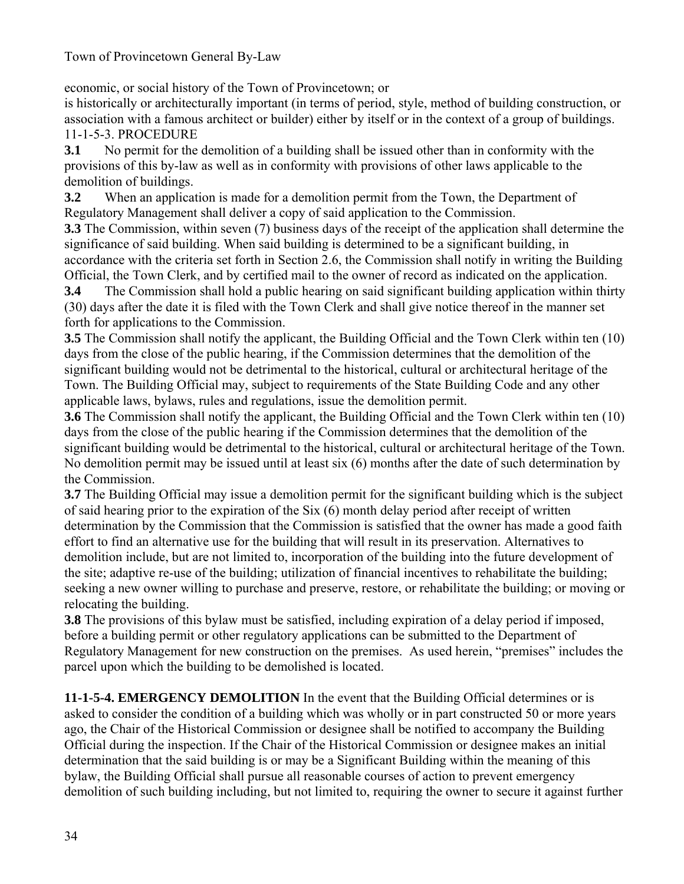economic, or social history of the Town of Provincetown; or

is historically or architecturally important (in terms of period, style, method of building construction, or association with a famous architect or builder) either by itself or in the context of a group of buildings. 11-1-5-3. PROCEDURE

**3.1** No permit for the demolition of a building shall be issued other than in conformity with the provisions of this by-law as well as in conformity with provisions of other laws applicable to the demolition of buildings.

**3.2** When an application is made for a demolition permit from the Town, the Department of Regulatory Management shall deliver a copy of said application to the Commission.

**3.3** The Commission, within seven (7) business days of the receipt of the application shall determine the significance of said building. When said building is determined to be a significant building, in accordance with the criteria set forth in Section 2.6, the Commission shall notify in writing the Building Official, the Town Clerk, and by certified mail to the owner of record as indicated on the application.

**3.4** The Commission shall hold a public hearing on said significant building application within thirty (30) days after the date it is filed with the Town Clerk and shall give notice thereof in the manner set forth for applications to the Commission.

**3.5** The Commission shall notify the applicant, the Building Official and the Town Clerk within ten (10) days from the close of the public hearing, if the Commission determines that the demolition of the significant building would not be detrimental to the historical, cultural or architectural heritage of the Town. The Building Official may, subject to requirements of the State Building Code and any other applicable laws, bylaws, rules and regulations, issue the demolition permit.

**3.6** The Commission shall notify the applicant, the Building Official and the Town Clerk within ten (10) days from the close of the public hearing if the Commission determines that the demolition of the significant building would be detrimental to the historical, cultural or architectural heritage of the Town. No demolition permit may be issued until at least six (6) months after the date of such determination by the Commission.

**3.7** The Building Official may issue a demolition permit for the significant building which is the subject of said hearing prior to the expiration of the Six (6) month delay period after receipt of written determination by the Commission that the Commission is satisfied that the owner has made a good faith effort to find an alternative use for the building that will result in its preservation. Alternatives to demolition include, but are not limited to, incorporation of the building into the future development of the site; adaptive re-use of the building; utilization of financial incentives to rehabilitate the building; seeking a new owner willing to purchase and preserve, restore, or rehabilitate the building; or moving or relocating the building.

**3.8** The provisions of this bylaw must be satisfied, including expiration of a delay period if imposed, before a building permit or other regulatory applications can be submitted to the Department of Regulatory Management for new construction on the premises. As used herein, "premises" includes the parcel upon which the building to be demolished is located.

**11-1-5-4. EMERGENCY DEMOLITION** In the event that the Building Official determines or is asked to consider the condition of a building which was wholly or in part constructed 50 or more years ago, the Chair of the Historical Commission or designee shall be notified to accompany the Building Official during the inspection. If the Chair of the Historical Commission or designee makes an initial determination that the said building is or may be a Significant Building within the meaning of this bylaw, the Building Official shall pursue all reasonable courses of action to prevent emergency demolition of such building including, but not limited to, requiring the owner to secure it against further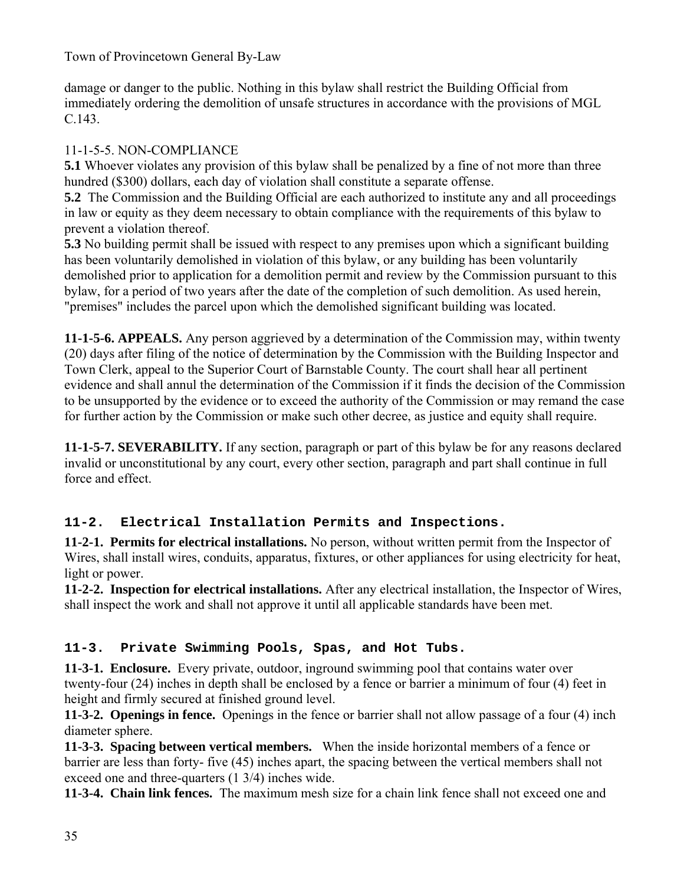damage or danger to the public. Nothing in this bylaw shall restrict the Building Official from immediately ordering the demolition of unsafe structures in accordance with the provisions of MGL C.143.

## 11-1-5-5. NON-COMPLIANCE

**5.1** Whoever violates any provision of this bylaw shall be penalized by a fine of not more than three hundred (\$300) dollars, each day of violation shall constitute a separate offense.

**5.2** The Commission and the Building Official are each authorized to institute any and all proceedings in law or equity as they deem necessary to obtain compliance with the requirements of this bylaw to prevent a violation thereof.

**5.3** No building permit shall be issued with respect to any premises upon which a significant building has been voluntarily demolished in violation of this bylaw, or any building has been voluntarily demolished prior to application for a demolition permit and review by the Commission pursuant to this bylaw, for a period of two years after the date of the completion of such demolition. As used herein, "premises" includes the parcel upon which the demolished significant building was located.

**11-1-5-6. APPEALS.** Any person aggrieved by a determination of the Commission may, within twenty (20) days after filing of the notice of determination by the Commission with the Building Inspector and Town Clerk, appeal to the Superior Court of Barnstable County. The court shall hear all pertinent evidence and shall annul the determination of the Commission if it finds the decision of the Commission to be unsupported by the evidence or to exceed the authority of the Commission or may remand the case for further action by the Commission or make such other decree, as justice and equity shall require.

**11-1-5-7. SEVERABILITY.** If any section, paragraph or part of this bylaw be for any reasons declared invalid or unconstitutional by any court, every other section, paragraph and part shall continue in full force and effect.

## **11-2. Electrical Installation Permits and Inspections.**

**11-2-1. Permits for electrical installations.** No person, without written permit from the Inspector of Wires, shall install wires, conduits, apparatus, fixtures, or other appliances for using electricity for heat, light or power.

**11-2-2. Inspection for electrical installations.** After any electrical installation, the Inspector of Wires, shall inspect the work and shall not approve it until all applicable standards have been met.

## **11-3. Private Swimming Pools, Spas, and Hot Tubs.**

**11-3-1. Enclosure.** Every private, outdoor, inground swimming pool that contains water over twenty-four (24) inches in depth shall be enclosed by a fence or barrier a minimum of four (4) feet in height and firmly secured at finished ground level.

**11-3-2. Openings in fence.** Openings in the fence or barrier shall not allow passage of a four (4) inch diameter sphere.

**11-3-3. Spacing between vertical members.** When the inside horizontal members of a fence or barrier are less than forty- five (45) inches apart, the spacing between the vertical members shall not exceed one and three-quarters (1 3/4) inches wide.

**11-3-4. Chain link fences.** The maximum mesh size for a chain link fence shall not exceed one and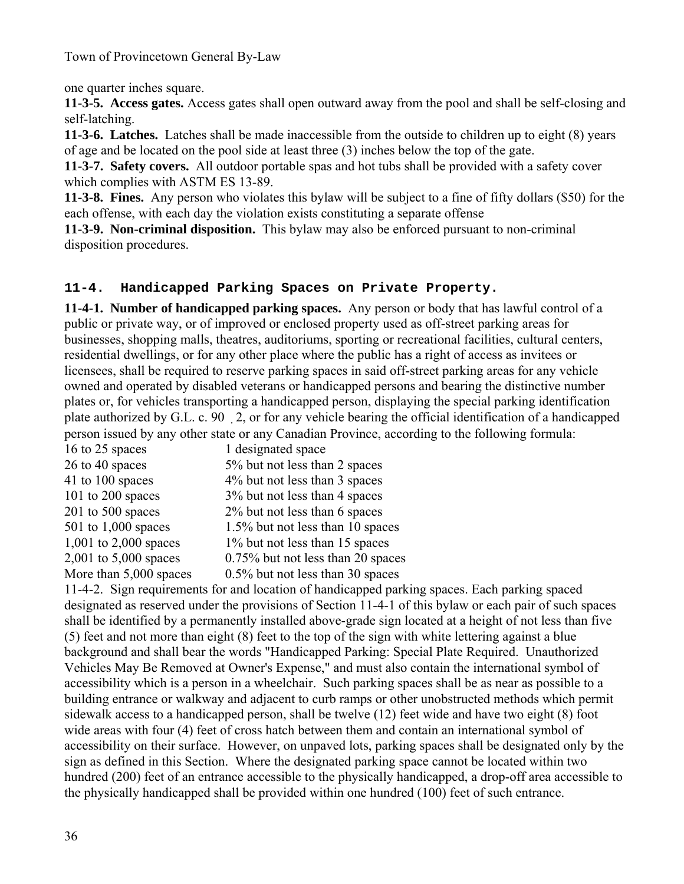one quarter inches square.

**11-3-5. Access gates.** Access gates shall open outward away from the pool and shall be self-closing and self-latching.

**11-3-6. Latches.** Latches shall be made inaccessible from the outside to children up to eight (8) years of age and be located on the pool side at least three (3) inches below the top of the gate.

**11-3-7. Safety covers.** All outdoor portable spas and hot tubs shall be provided with a safety cover which complies with ASTM ES 13-89.

**11-3-8. Fines.** Any person who violates this bylaw will be subject to a fine of fifty dollars (\$50) for the each offense, with each day the violation exists constituting a separate offense

**11-3-9. Non-criminal disposition.** This bylaw may also be enforced pursuant to non-criminal disposition procedures.

## **11-4. Handicapped Parking Spaces on Private Property.**

**11-4-1. Number of handicapped parking spaces.** Any person or body that has lawful control of a public or private way, or of improved or enclosed property used as off-street parking areas for businesses, shopping malls, theatres, auditoriums, sporting or recreational facilities, cultural centers, residential dwellings, or for any other place where the public has a right of access as invitees or licensees, shall be required to reserve parking spaces in said off-street parking areas for any vehicle owned and operated by disabled veterans or handicapped persons and bearing the distinctive number plates or, for vehicles transporting a handicapped person, displaying the special parking identification plate authorized by G.L. c. 90 2, or for any vehicle bearing the official identification of a handicapped person issued by any other state or any Canadian Province, according to the following formula:

| 16 to 25 spaces         | 1 designated space                |
|-------------------------|-----------------------------------|
| 26 to 40 spaces         | 5% but not less than 2 spaces     |
| 41 to 100 spaces        | 4% but not less than 3 spaces     |
| $101$ to $200$ spaces   | 3% but not less than 4 spaces     |
| $201$ to $500$ spaces   | 2% but not less than 6 spaces     |
| $501$ to 1,000 spaces   | 1.5% but not less than 10 spaces  |
| 1,001 to 2,000 spaces   | 1% but not less than 15 spaces    |
| 2,001 to $5,000$ spaces | 0.75% but not less than 20 spaces |
| More than 5,000 spaces  | 0.5% but not less than 30 spaces  |

11-4-2. Sign requirements for and location of handicapped parking spaces. Each parking spaced designated as reserved under the provisions of Section 11-4-1 of this bylaw or each pair of such spaces shall be identified by a permanently installed above-grade sign located at a height of not less than five (5) feet and not more than eight (8) feet to the top of the sign with white lettering against a blue background and shall bear the words "Handicapped Parking: Special Plate Required. Unauthorized Vehicles May Be Removed at Owner's Expense," and must also contain the international symbol of accessibility which is a person in a wheelchair. Such parking spaces shall be as near as possible to a building entrance or walkway and adjacent to curb ramps or other unobstructed methods which permit sidewalk access to a handicapped person, shall be twelve (12) feet wide and have two eight (8) foot wide areas with four (4) feet of cross hatch between them and contain an international symbol of accessibility on their surface. However, on unpaved lots, parking spaces shall be designated only by the sign as defined in this Section. Where the designated parking space cannot be located within two hundred (200) feet of an entrance accessible to the physically handicapped, a drop-off area accessible to the physically handicapped shall be provided within one hundred (100) feet of such entrance.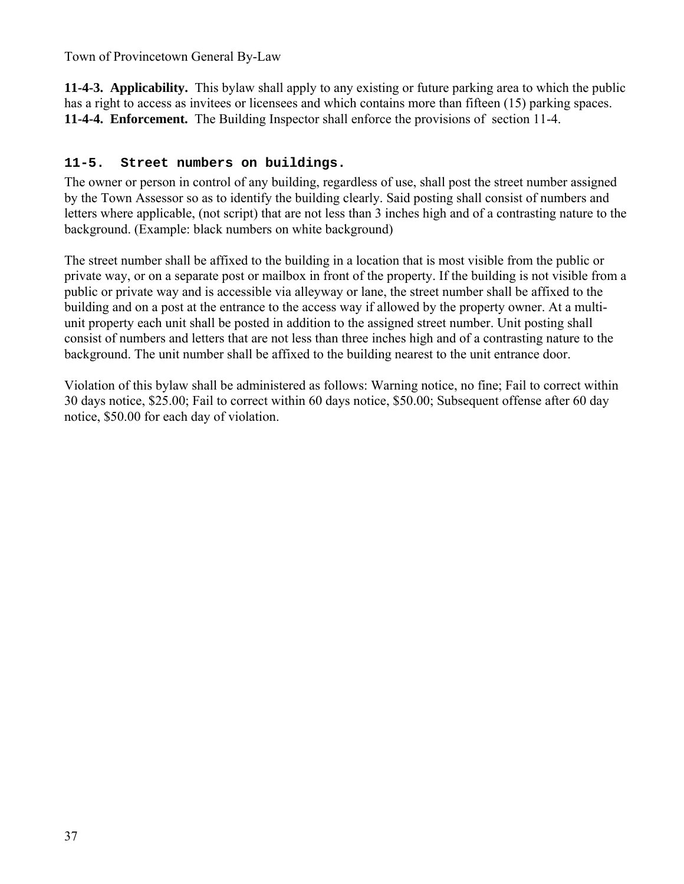**11-4-3. Applicability.** This bylaw shall apply to any existing or future parking area to which the public has a right to access as invitees or licensees and which contains more than fifteen (15) parking spaces. **11-4-4. Enforcement.** The Building Inspector shall enforce the provisions of section 11-4.

### **11-5. Street numbers on buildings.**

The owner or person in control of any building, regardless of use, shall post the street number assigned by the Town Assessor so as to identify the building clearly. Said posting shall consist of numbers and letters where applicable, (not script) that are not less than 3 inches high and of a contrasting nature to the background. (Example: black numbers on white background)

The street number shall be affixed to the building in a location that is most visible from the public or private way, or on a separate post or mailbox in front of the property. If the building is not visible from a public or private way and is accessible via alleyway or lane, the street number shall be affixed to the building and on a post at the entrance to the access way if allowed by the property owner. At a multiunit property each unit shall be posted in addition to the assigned street number. Unit posting shall consist of numbers and letters that are not less than three inches high and of a contrasting nature to the background. The unit number shall be affixed to the building nearest to the unit entrance door.

Violation of this bylaw shall be administered as follows: Warning notice, no fine; Fail to correct within 30 days notice, \$25.00; Fail to correct within 60 days notice, \$50.00; Subsequent offense after 60 day notice, \$50.00 for each day of violation.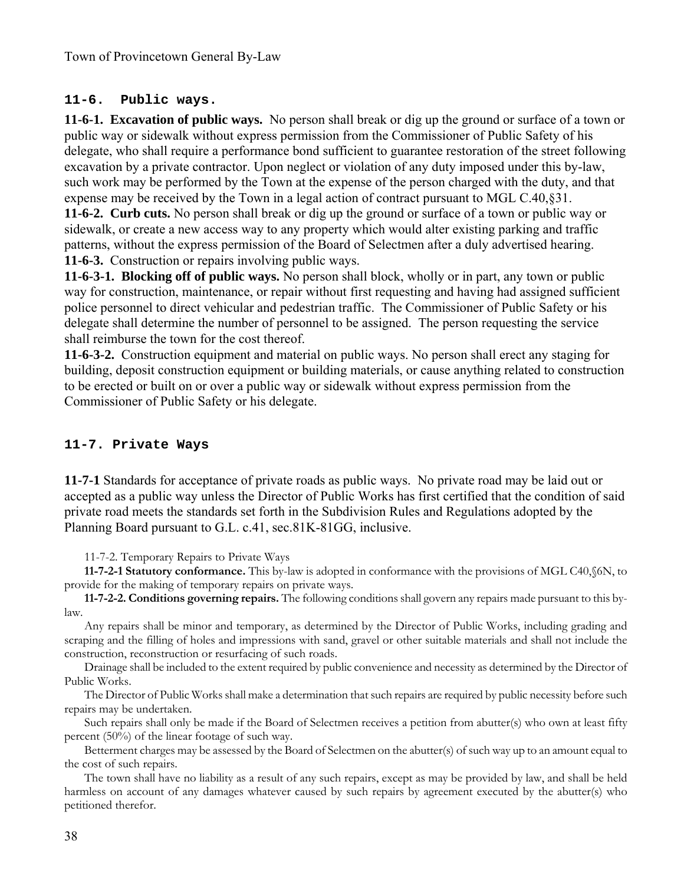#### **11-6. Public ways.**

**11-6-1. Excavation of public ways.** No person shall break or dig up the ground or surface of a town or public way or sidewalk without express permission from the Commissioner of Public Safety of his delegate, who shall require a performance bond sufficient to guarantee restoration of the street following excavation by a private contractor. Upon neglect or violation of any duty imposed under this by-law, such work may be performed by the Town at the expense of the person charged with the duty, and that expense may be received by the Town in a legal action of contract pursuant to MGL C.40,§31. **11-6-2. Curb cuts.** No person shall break or dig up the ground or surface of a town or public way or sidewalk, or create a new access way to any property which would alter existing parking and traffic patterns, without the express permission of the Board of Selectmen after a duly advertised hearing. **11-6-3.** Construction or repairs involving public ways.

**11-6-3-1. Blocking off of public ways.** No person shall block, wholly or in part, any town or public way for construction, maintenance, or repair without first requesting and having had assigned sufficient police personnel to direct vehicular and pedestrian traffic. The Commissioner of Public Safety or his delegate shall determine the number of personnel to be assigned. The person requesting the service shall reimburse the town for the cost thereof.

**11-6-3-2.** Construction equipment and material on public ways. No person shall erect any staging for building, deposit construction equipment or building materials, or cause anything related to construction to be erected or built on or over a public way or sidewalk without express permission from the Commissioner of Public Safety or his delegate.

### **11-7. Private Ways**

**11-7-1** Standards for acceptance of private roads as public ways. No private road may be laid out or accepted as a public way unless the Director of Public Works has first certified that the condition of said private road meets the standards set forth in the Subdivision Rules and Regulations adopted by the Planning Board pursuant to G.L. c.41, sec.81K-81GG, inclusive.

11-7-2. Temporary Repairs to Private Ways

**11-7-2-1 Statutory conformance.** This by-law is adopted in conformance with the provisions of MGL C40,§6N, to provide for the making of temporary repairs on private ways.

**11-7-2-2. Conditions governing repairs.** The following conditions shall govern any repairs made pursuant to this bylaw.

Any repairs shall be minor and temporary, as determined by the Director of Public Works, including grading and scraping and the filling of holes and impressions with sand, gravel or other suitable materials and shall not include the construction, reconstruction or resurfacing of such roads.

Drainage shall be included to the extent required by public convenience and necessity as determined by the Director of Public Works.

The Director of Public Works shall make a determination that such repairs are required by public necessity before such repairs may be undertaken.

Such repairs shall only be made if the Board of Selectmen receives a petition from abutter(s) who own at least fifty percent (50%) of the linear footage of such way.

Betterment charges may be assessed by the Board of Selectmen on the abutter(s) of such way up to an amount equal to the cost of such repairs.

The town shall have no liability as a result of any such repairs, except as may be provided by law, and shall be held harmless on account of any damages whatever caused by such repairs by agreement executed by the abutter(s) who petitioned therefor.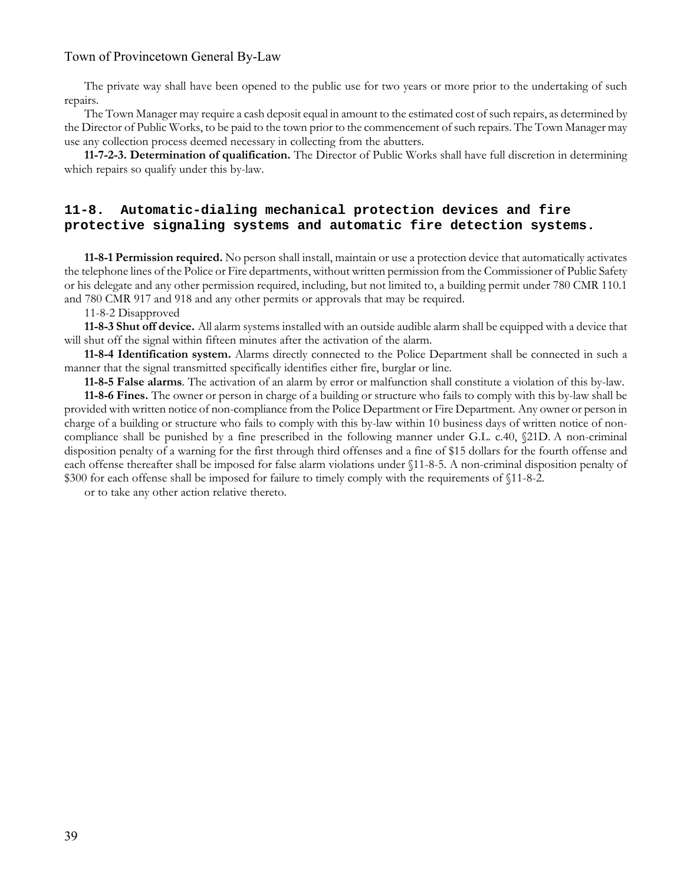The private way shall have been opened to the public use for two years or more prior to the undertaking of such repairs.

The Town Manager may require a cash deposit equal in amount to the estimated cost of such repairs, as determined by the Director of Public Works, to be paid to the town prior to the commencement of such repairs. The Town Manager may use any collection process deemed necessary in collecting from the abutters.

**11-7-2-3. Determination of qualification.** The Director of Public Works shall have full discretion in determining which repairs so qualify under this by-law.

#### **11-8. Automatic-dialing mechanical protection devices and fire protective signaling systems and automatic fire detection systems.**

**11-8-1 Permission required.** No person shall install, maintain or use a protection device that automatically activates the telephone lines of the Police or Fire departments, without written permission from the Commissioner of Public Safety or his delegate and any other permission required, including, but not limited to, a building permit under 780 CMR 110.1 and 780 CMR 917 and 918 and any other permits or approvals that may be required.

11-8-2 Disapproved

**11-8-3 Shut off device.** All alarm systems installed with an outside audible alarm shall be equipped with a device that will shut off the signal within fifteen minutes after the activation of the alarm.

**11-8-4 Identification system.** Alarms directly connected to the Police Department shall be connected in such a manner that the signal transmitted specifically identifies either fire, burglar or line.

**11-8-5 False alarms**. The activation of an alarm by error or malfunction shall constitute a violation of this by-law.

**11-8-6 Fines.** The owner or person in charge of a building or structure who fails to comply with this by-law shall be provided with written notice of non-compliance from the Police Department or Fire Department. Any owner or person in charge of a building or structure who fails to comply with this by-law within 10 business days of written notice of noncompliance shall be punished by a fine prescribed in the following manner under G.L. c.40, §21D. A non-criminal disposition penalty of a warning for the first through third offenses and a fine of \$15 dollars for the fourth offense and each offense thereafter shall be imposed for false alarm violations under §11-8-5. A non-criminal disposition penalty of \$300 for each offense shall be imposed for failure to timely comply with the requirements of §11-8-2.

or to take any other action relative thereto.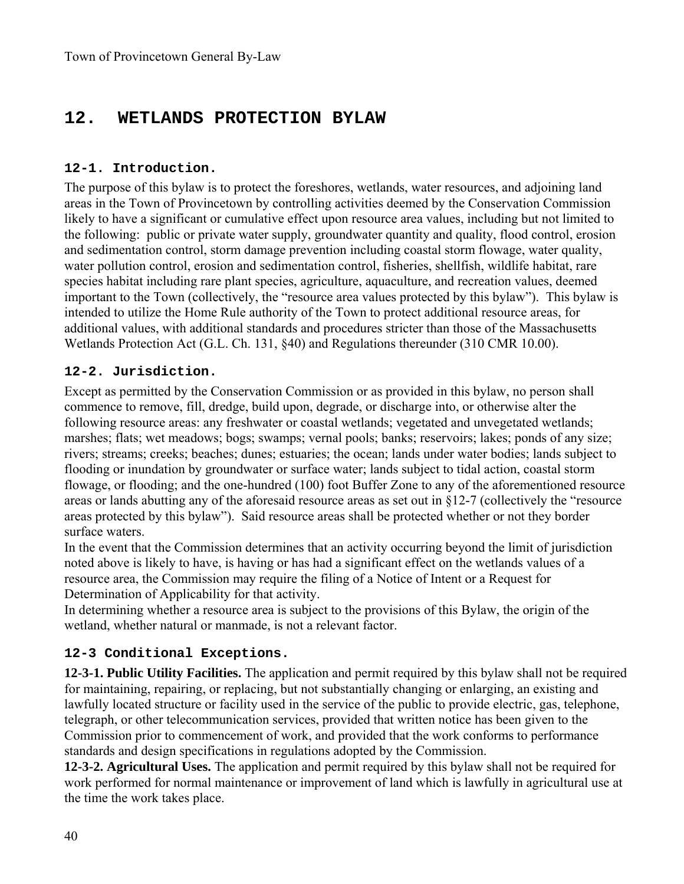# **12. WETLANDS PROTECTION BYLAW**

### **12-1. Introduction.**

The purpose of this bylaw is to protect the foreshores, wetlands, water resources, and adjoining land areas in the Town of Provincetown by controlling activities deemed by the Conservation Commission likely to have a significant or cumulative effect upon resource area values, including but not limited to the following: public or private water supply, groundwater quantity and quality, flood control, erosion and sedimentation control, storm damage prevention including coastal storm flowage, water quality, water pollution control, erosion and sedimentation control, fisheries, shellfish, wildlife habitat, rare species habitat including rare plant species, agriculture, aquaculture, and recreation values, deemed important to the Town (collectively, the "resource area values protected by this bylaw"). This bylaw is intended to utilize the Home Rule authority of the Town to protect additional resource areas, for additional values, with additional standards and procedures stricter than those of the Massachusetts Wetlands Protection Act (G.L. Ch. 131, §40) and Regulations thereunder (310 CMR 10.00).

#### **12-2. Jurisdiction.**

Except as permitted by the Conservation Commission or as provided in this bylaw, no person shall commence to remove, fill, dredge, build upon, degrade, or discharge into, or otherwise alter the following resource areas: any freshwater or coastal wetlands; vegetated and unvegetated wetlands; marshes; flats; wet meadows; bogs; swamps; vernal pools; banks; reservoirs; lakes; ponds of any size; rivers; streams; creeks; beaches; dunes; estuaries; the ocean; lands under water bodies; lands subject to flooding or inundation by groundwater or surface water; lands subject to tidal action, coastal storm flowage, or flooding; and the one-hundred (100) foot Buffer Zone to any of the aforementioned resource areas or lands abutting any of the aforesaid resource areas as set out in §12-7 (collectively the "resource areas protected by this bylaw"). Said resource areas shall be protected whether or not they border surface waters.

In the event that the Commission determines that an activity occurring beyond the limit of jurisdiction noted above is likely to have, is having or has had a significant effect on the wetlands values of a resource area, the Commission may require the filing of a Notice of Intent or a Request for Determination of Applicability for that activity.

In determining whether a resource area is subject to the provisions of this Bylaw, the origin of the wetland, whether natural or manmade, is not a relevant factor.

### **12-3 Conditional Exceptions.**

**12-3-1. Public Utility Facilities.** The application and permit required by this bylaw shall not be required for maintaining, repairing, or replacing, but not substantially changing or enlarging, an existing and lawfully located structure or facility used in the service of the public to provide electric, gas, telephone, telegraph, or other telecommunication services, provided that written notice has been given to the Commission prior to commencement of work, and provided that the work conforms to performance standards and design specifications in regulations adopted by the Commission.

**12-3-2. Agricultural Uses.** The application and permit required by this bylaw shall not be required for work performed for normal maintenance or improvement of land which is lawfully in agricultural use at the time the work takes place.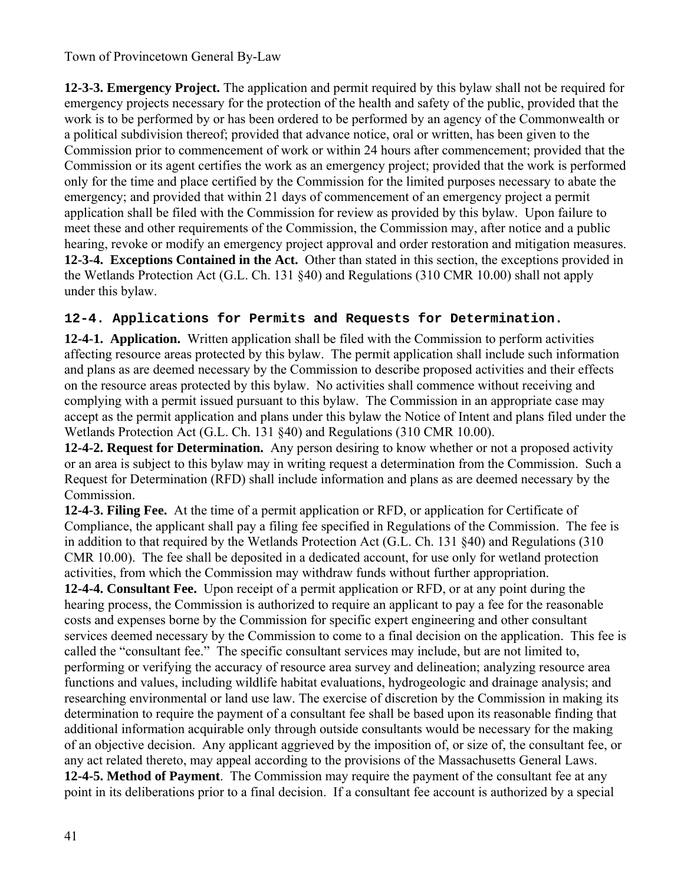**12-3-3. Emergency Project.** The application and permit required by this bylaw shall not be required for emergency projects necessary for the protection of the health and safety of the public, provided that the work is to be performed by or has been ordered to be performed by an agency of the Commonwealth or a political subdivision thereof; provided that advance notice, oral or written, has been given to the Commission prior to commencement of work or within 24 hours after commencement; provided that the Commission or its agent certifies the work as an emergency project; provided that the work is performed only for the time and place certified by the Commission for the limited purposes necessary to abate the emergency; and provided that within 21 days of commencement of an emergency project a permit application shall be filed with the Commission for review as provided by this bylaw. Upon failure to meet these and other requirements of the Commission, the Commission may, after notice and a public hearing, revoke or modify an emergency project approval and order restoration and mitigation measures. **12-3-4. Exceptions Contained in the Act.** Other than stated in this section, the exceptions provided in the Wetlands Protection Act (G.L. Ch. 131 §40) and Regulations (310 CMR 10.00) shall not apply under this bylaw.

## **12-4. Applications for Permits and Requests for Determination.**

**12-4-1. Application.** Written application shall be filed with the Commission to perform activities affecting resource areas protected by this bylaw. The permit application shall include such information and plans as are deemed necessary by the Commission to describe proposed activities and their effects on the resource areas protected by this bylaw. No activities shall commence without receiving and complying with a permit issued pursuant to this bylaw. The Commission in an appropriate case may accept as the permit application and plans under this bylaw the Notice of Intent and plans filed under the Wetlands Protection Act (G.L. Ch. 131 §40) and Regulations (310 CMR 10.00).

**12-4-2. Request for Determination.** Any person desiring to know whether or not a proposed activity or an area is subject to this bylaw may in writing request a determination from the Commission. Such a Request for Determination (RFD) shall include information and plans as are deemed necessary by the Commission.

**12-4-3. Filing Fee.** At the time of a permit application or RFD, or application for Certificate of Compliance, the applicant shall pay a filing fee specified in Regulations of the Commission. The fee is in addition to that required by the Wetlands Protection Act (G.L. Ch. 131 §40) and Regulations (310 CMR 10.00). The fee shall be deposited in a dedicated account, for use only for wetland protection activities, from which the Commission may withdraw funds without further appropriation.

**12-4-4. Consultant Fee.** Upon receipt of a permit application or RFD, or at any point during the hearing process, the Commission is authorized to require an applicant to pay a fee for the reasonable costs and expenses borne by the Commission for specific expert engineering and other consultant services deemed necessary by the Commission to come to a final decision on the application. This fee is called the "consultant fee." The specific consultant services may include, but are not limited to, performing or verifying the accuracy of resource area survey and delineation; analyzing resource area functions and values, including wildlife habitat evaluations, hydrogeologic and drainage analysis; and researching environmental or land use law. The exercise of discretion by the Commission in making its determination to require the payment of a consultant fee shall be based upon its reasonable finding that additional information acquirable only through outside consultants would be necessary for the making of an objective decision. Any applicant aggrieved by the imposition of, or size of, the consultant fee, or any act related thereto, may appeal according to the provisions of the Massachusetts General Laws. **12-4-5. Method of Payment**. The Commission may require the payment of the consultant fee at any point in its deliberations prior to a final decision. If a consultant fee account is authorized by a special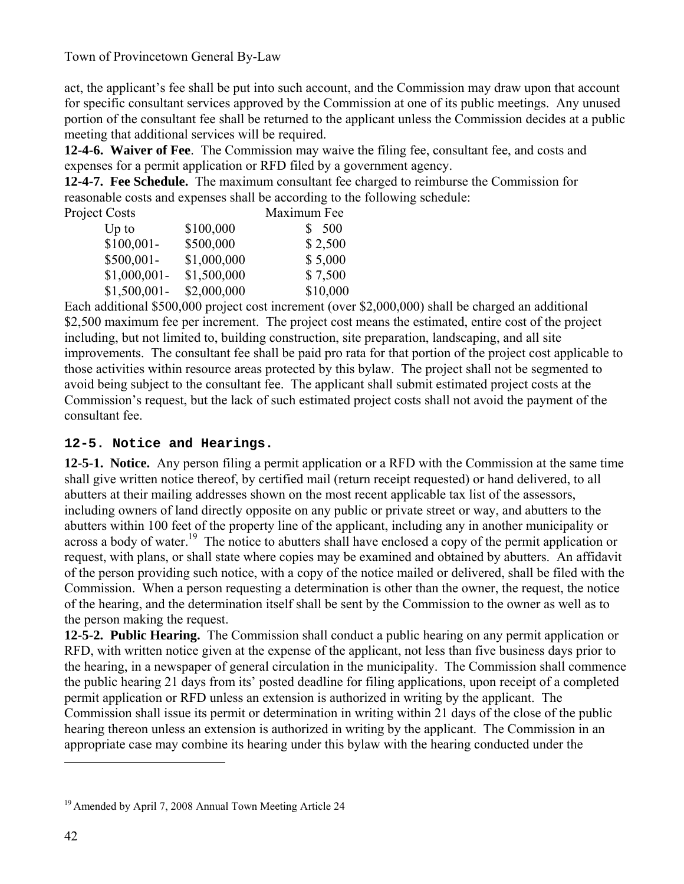act, the applicant's fee shall be put into such account, and the Commission may draw upon that account for specific consultant services approved by the Commission at one of its public meetings. Any unused portion of the consultant fee shall be returned to the applicant unless the Commission decides at a public meeting that additional services will be required.

**12-4-6. Waiver of Fee**. The Commission may waive the filing fee, consultant fee, and costs and expenses for a permit application or RFD filed by a government agency.

**12-4-7. Fee Schedule.** The maximum consultant fee charged to reimburse the Commission for reasonable costs and expenses shall be according to the following schedule:

| <b>Project Costs</b> |             | Maximum Fee |
|----------------------|-------------|-------------|
| $Up$ to              | \$100,000   | 500         |
| $$100,001-$          | \$500,000   | \$2,500     |
| \$500,001-           | \$1,000,000 | \$5,000     |
| $$1,000,001-$        | \$1,500,000 | \$7,500     |
| $$1,500,001$ -       | \$2,000,000 | \$10,000    |

Each additional \$500,000 project cost increment (over \$2,000,000) shall be charged an additional \$2,500 maximum fee per increment. The project cost means the estimated, entire cost of the project including, but not limited to, building construction, site preparation, landscaping, and all site improvements. The consultant fee shall be paid pro rata for that portion of the project cost applicable to those activities within resource areas protected by this bylaw. The project shall not be segmented to avoid being subject to the consultant fee. The applicant shall submit estimated project costs at the Commission's request, but the lack of such estimated project costs shall not avoid the payment of the consultant fee.

### **12-5. Notice and Hearings.**

**12-5-1. Notice.** Any person filing a permit application or a RFD with the Commission at the same time shall give written notice thereof, by certified mail (return receipt requested) or hand delivered, to all abutters at their mailing addresses shown on the most recent applicable tax list of the assessors, including owners of land directly opposite on any public or private street or way, and abutters to the abutters within 100 feet of the property line of the applicant, including any in another municipality or across a body of water.<sup>19</sup> The notice to abutters shall have enclosed a copy of the permit application or request, with plans, or shall state where copies may be examined and obtained by abutters. An affidavit of the person providing such notice, with a copy of the notice mailed or delivered, shall be filed with the Commission. When a person requesting a determination is other than the owner, the request, the notice of the hearing, and the determination itself shall be sent by the Commission to the owner as well as to the person making the request.

**12-5-2. Public Hearing.** The Commission shall conduct a public hearing on any permit application or RFD, with written notice given at the expense of the applicant, not less than five business days prior to the hearing, in a newspaper of general circulation in the municipality. The Commission shall commence the public hearing 21 days from its' posted deadline for filing applications, upon receipt of a completed permit application or RFD unless an extension is authorized in writing by the applicant. The Commission shall issue its permit or determination in writing within 21 days of the close of the public hearing thereon unless an extension is authorized in writing by the applicant. The Commission in an appropriate case may combine its hearing under this bylaw with the hearing conducted under the

<sup>19</sup> Amended by April 7, 2008 Annual Town Meeting Article 24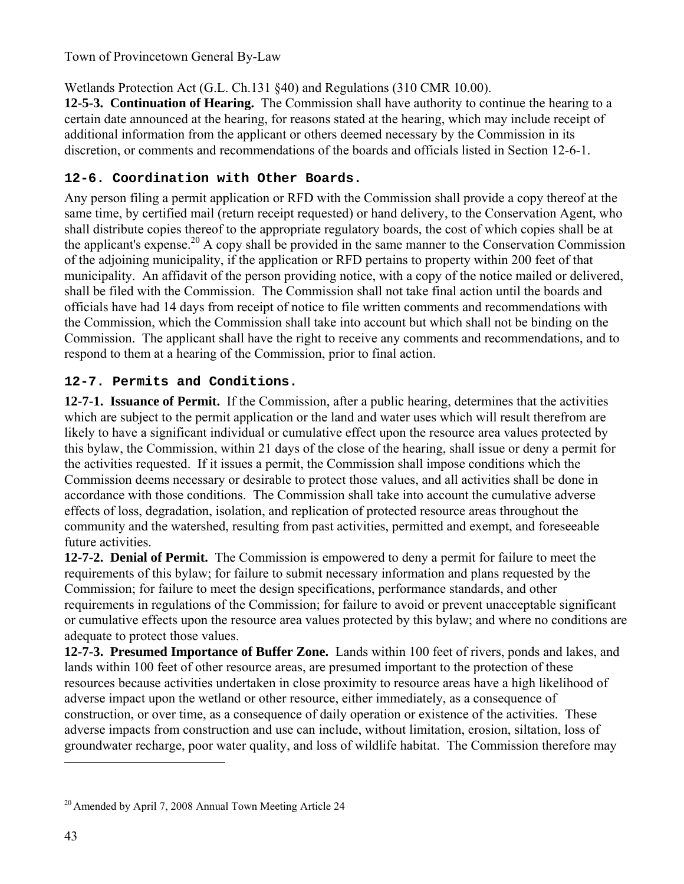Wetlands Protection Act (G.L. Ch.131 §40) and Regulations (310 CMR 10.00).

**12-5-3. Continuation of Hearing.** The Commission shall have authority to continue the hearing to a certain date announced at the hearing, for reasons stated at the hearing, which may include receipt of additional information from the applicant or others deemed necessary by the Commission in its discretion, or comments and recommendations of the boards and officials listed in Section 12-6-1.

## **12-6. Coordination with Other Boards.**

Any person filing a permit application or RFD with the Commission shall provide a copy thereof at the same time, by certified mail (return receipt requested) or hand delivery, to the Conservation Agent, who shall distribute copies thereof to the appropriate regulatory boards, the cost of which copies shall be at the applicant's expense.<sup>20</sup> A copy shall be provided in the same manner to the Conservation Commission of the adjoining municipality, if the application or RFD pertains to property within 200 feet of that municipality. An affidavit of the person providing notice, with a copy of the notice mailed or delivered, shall be filed with the Commission. The Commission shall not take final action until the boards and officials have had 14 days from receipt of notice to file written comments and recommendations with the Commission, which the Commission shall take into account but which shall not be binding on the Commission. The applicant shall have the right to receive any comments and recommendations, and to respond to them at a hearing of the Commission, prior to final action.

## **12-7. Permits and Conditions.**

**12-7-1. Issuance of Permit.** If the Commission, after a public hearing, determines that the activities which are subject to the permit application or the land and water uses which will result therefrom are likely to have a significant individual or cumulative effect upon the resource area values protected by this bylaw, the Commission, within 21 days of the close of the hearing, shall issue or deny a permit for the activities requested. If it issues a permit, the Commission shall impose conditions which the Commission deems necessary or desirable to protect those values, and all activities shall be done in accordance with those conditions. The Commission shall take into account the cumulative adverse effects of loss, degradation, isolation, and replication of protected resource areas throughout the community and the watershed, resulting from past activities, permitted and exempt, and foreseeable future activities.

**12-7-2. Denial of Permit.** The Commission is empowered to deny a permit for failure to meet the requirements of this bylaw; for failure to submit necessary information and plans requested by the Commission; for failure to meet the design specifications, performance standards, and other requirements in regulations of the Commission; for failure to avoid or prevent unacceptable significant or cumulative effects upon the resource area values protected by this bylaw; and where no conditions are adequate to protect those values.

**12-7-3. Presumed Importance of Buffer Zone.** Lands within 100 feet of rivers, ponds and lakes, and lands within 100 feet of other resource areas, are presumed important to the protection of these resources because activities undertaken in close proximity to resource areas have a high likelihood of adverse impact upon the wetland or other resource, either immediately, as a consequence of construction, or over time, as a consequence of daily operation or existence of the activities. These adverse impacts from construction and use can include, without limitation, erosion, siltation, loss of groundwater recharge, poor water quality, and loss of wildlife habitat. The Commission therefore may

<sup>&</sup>lt;sup>20</sup> Amended by April 7, 2008 Annual Town Meeting Article 24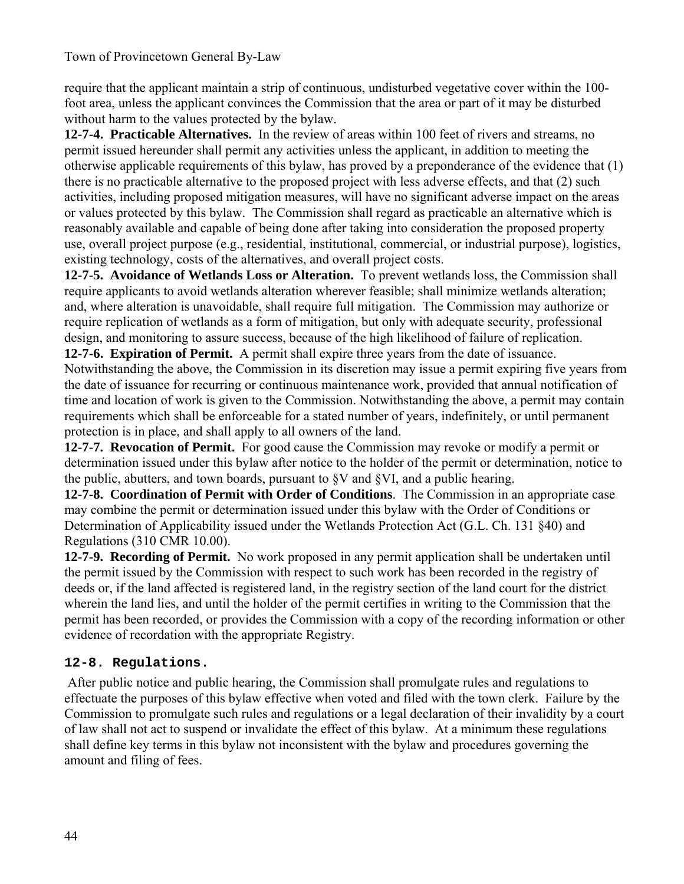require that the applicant maintain a strip of continuous, undisturbed vegetative cover within the 100 foot area, unless the applicant convinces the Commission that the area or part of it may be disturbed without harm to the values protected by the bylaw.

**12-7-4. Practicable Alternatives.** In the review of areas within 100 feet of rivers and streams, no permit issued hereunder shall permit any activities unless the applicant, in addition to meeting the otherwise applicable requirements of this bylaw, has proved by a preponderance of the evidence that (1) there is no practicable alternative to the proposed project with less adverse effects, and that (2) such activities, including proposed mitigation measures, will have no significant adverse impact on the areas or values protected by this bylaw. The Commission shall regard as practicable an alternative which is reasonably available and capable of being done after taking into consideration the proposed property use, overall project purpose (e.g., residential, institutional, commercial, or industrial purpose), logistics, existing technology, costs of the alternatives, and overall project costs.

**12-7-5. Avoidance of Wetlands Loss or Alteration.** To prevent wetlands loss, the Commission shall require applicants to avoid wetlands alteration wherever feasible; shall minimize wetlands alteration; and, where alteration is unavoidable, shall require full mitigation. The Commission may authorize or require replication of wetlands as a form of mitigation, but only with adequate security, professional design, and monitoring to assure success, because of the high likelihood of failure of replication. **12-7-6. Expiration of Permit.** A permit shall expire three years from the date of issuance.

Notwithstanding the above, the Commission in its discretion may issue a permit expiring five years from the date of issuance for recurring or continuous maintenance work, provided that annual notification of time and location of work is given to the Commission. Notwithstanding the above, a permit may contain requirements which shall be enforceable for a stated number of years, indefinitely, or until permanent protection is in place, and shall apply to all owners of the land.

**12-7-7. Revocation of Permit.** For good cause the Commission may revoke or modify a permit or determination issued under this bylaw after notice to the holder of the permit or determination, notice to the public, abutters, and town boards, pursuant to §V and §VI, and a public hearing.

**12-7-8. Coordination of Permit with Order of Conditions**. The Commission in an appropriate case may combine the permit or determination issued under this bylaw with the Order of Conditions or Determination of Applicability issued under the Wetlands Protection Act (G.L. Ch. 131 §40) and Regulations (310 CMR 10.00).

**12-7-9. Recording of Permit.** No work proposed in any permit application shall be undertaken until the permit issued by the Commission with respect to such work has been recorded in the registry of deeds or, if the land affected is registered land, in the registry section of the land court for the district wherein the land lies, and until the holder of the permit certifies in writing to the Commission that the permit has been recorded, or provides the Commission with a copy of the recording information or other evidence of recordation with the appropriate Registry.

## **12-8. Regulations.**

 After public notice and public hearing, the Commission shall promulgate rules and regulations to effectuate the purposes of this bylaw effective when voted and filed with the town clerk. Failure by the Commission to promulgate such rules and regulations or a legal declaration of their invalidity by a court of law shall not act to suspend or invalidate the effect of this bylaw. At a minimum these regulations shall define key terms in this bylaw not inconsistent with the bylaw and procedures governing the amount and filing of fees.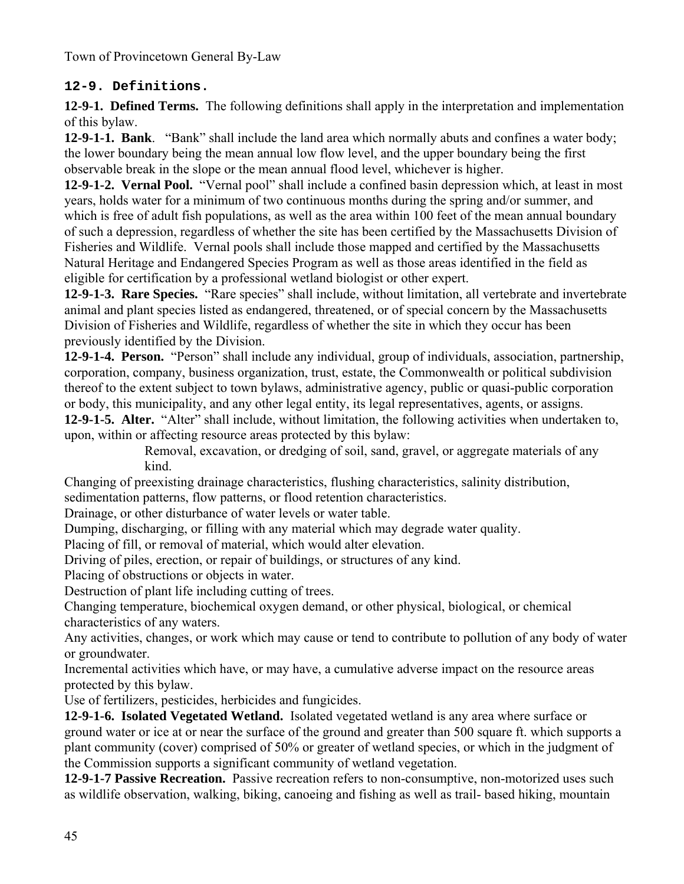### **12-9. Definitions.**

**12-9-1. Defined Terms.** The following definitions shall apply in the interpretation and implementation of this bylaw.

**12-9-1-1. Bank**. "Bank" shall include the land area which normally abuts and confines a water body; the lower boundary being the mean annual low flow level, and the upper boundary being the first observable break in the slope or the mean annual flood level, whichever is higher.

**12-9-1-2. Vernal Pool.** "Vernal pool" shall include a confined basin depression which, at least in most years, holds water for a minimum of two continuous months during the spring and/or summer, and which is free of adult fish populations, as well as the area within 100 feet of the mean annual boundary of such a depression, regardless of whether the site has been certified by the Massachusetts Division of Fisheries and Wildlife. Vernal pools shall include those mapped and certified by the Massachusetts Natural Heritage and Endangered Species Program as well as those areas identified in the field as eligible for certification by a professional wetland biologist or other expert.

**12-9-1-3. Rare Species.** "Rare species" shall include, without limitation, all vertebrate and invertebrate animal and plant species listed as endangered, threatened, or of special concern by the Massachusetts Division of Fisheries and Wildlife, regardless of whether the site in which they occur has been previously identified by the Division.

**12-9-1-4. Person.** "Person" shall include any individual, group of individuals, association, partnership, corporation, company, business organization, trust, estate, the Commonwealth or political subdivision thereof to the extent subject to town bylaws, administrative agency, public or quasi-public corporation or body, this municipality, and any other legal entity, its legal representatives, agents, or assigns.

**12-9-1-5. Alter.** "Alter" shall include, without limitation, the following activities when undertaken to, upon, within or affecting resource areas protected by this bylaw:

Removal, excavation, or dredging of soil, sand, gravel, or aggregate materials of any kind.

Changing of preexisting drainage characteristics, flushing characteristics, salinity distribution,

sedimentation patterns, flow patterns, or flood retention characteristics.

Drainage, or other disturbance of water levels or water table.

Dumping, discharging, or filling with any material which may degrade water quality.

Placing of fill, or removal of material, which would alter elevation.

Driving of piles, erection, or repair of buildings, or structures of any kind.

Placing of obstructions or objects in water.

Destruction of plant life including cutting of trees.

Changing temperature, biochemical oxygen demand, or other physical, biological, or chemical characteristics of any waters.

Any activities, changes, or work which may cause or tend to contribute to pollution of any body of water or groundwater.

Incremental activities which have, or may have, a cumulative adverse impact on the resource areas protected by this bylaw.

Use of fertilizers, pesticides, herbicides and fungicides.

**12-9-1-6. Isolated Vegetated Wetland.** Isolated vegetated wetland is any area where surface or ground water or ice at or near the surface of the ground and greater than 500 square ft. which supports a plant community (cover) comprised of 50% or greater of wetland species, or which in the judgment of the Commission supports a significant community of wetland vegetation.

**12-9-1-7 Passive Recreation.** Passive recreation refers to non-consumptive, non-motorized uses such as wildlife observation, walking, biking, canoeing and fishing as well as trail- based hiking, mountain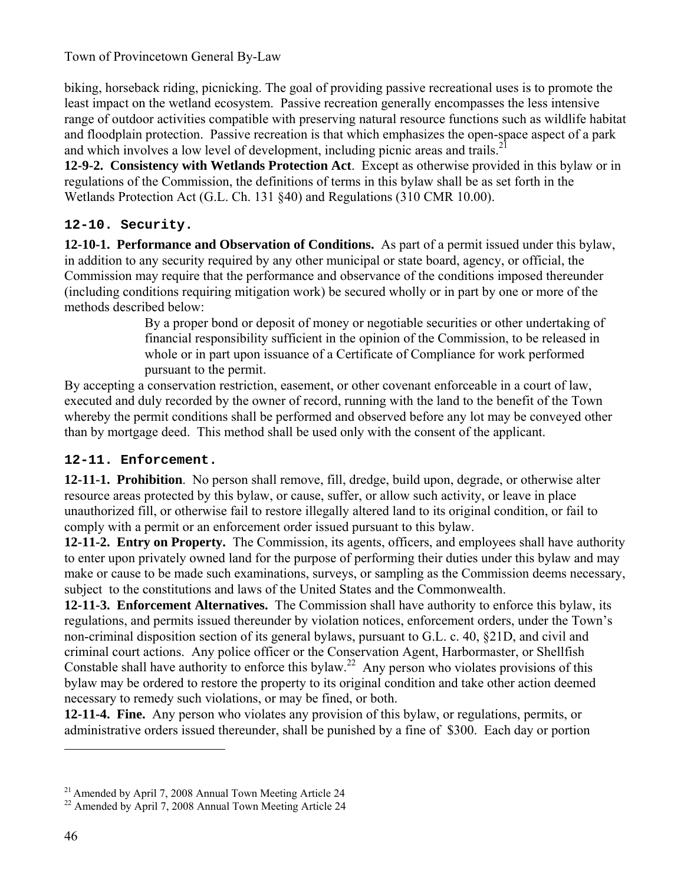biking, horseback riding, picnicking. The goal of providing passive recreational uses is to promote the least impact on the wetland ecosystem. Passive recreation generally encompasses the less intensive range of outdoor activities compatible with preserving natural resource functions such as wildlife habitat and floodplain protection. Passive recreation is that which emphasizes the open-space aspect of a park and which involves a low level of development, including picnic areas and trails.<sup>21</sup>

**12-9-2. Consistency with Wetlands Protection Act**. Except as otherwise provided in this bylaw or in regulations of the Commission, the definitions of terms in this bylaw shall be as set forth in the Wetlands Protection Act (G.L. Ch. 131 §40) and Regulations (310 CMR 10.00).

### **12-10. Security.**

**12-10-1. Performance and Observation of Conditions.** As part of a permit issued under this bylaw, in addition to any security required by any other municipal or state board, agency, or official, the Commission may require that the performance and observance of the conditions imposed thereunder (including conditions requiring mitigation work) be secured wholly or in part by one or more of the methods described below:

> By a proper bond or deposit of money or negotiable securities or other undertaking of financial responsibility sufficient in the opinion of the Commission, to be released in whole or in part upon issuance of a Certificate of Compliance for work performed pursuant to the permit.

By accepting a conservation restriction, easement, or other covenant enforceable in a court of law, executed and duly recorded by the owner of record, running with the land to the benefit of the Town whereby the permit conditions shall be performed and observed before any lot may be conveyed other than by mortgage deed. This method shall be used only with the consent of the applicant.

### **12-11. Enforcement.**

**12-11-1. Prohibition**. No person shall remove, fill, dredge, build upon, degrade, or otherwise alter resource areas protected by this bylaw, or cause, suffer, or allow such activity, or leave in place unauthorized fill, or otherwise fail to restore illegally altered land to its original condition, or fail to comply with a permit or an enforcement order issued pursuant to this bylaw.

**12-11-2. Entry on Property.** The Commission, its agents, officers, and employees shall have authority to enter upon privately owned land for the purpose of performing their duties under this bylaw and may make or cause to be made such examinations, surveys, or sampling as the Commission deems necessary, subject to the constitutions and laws of the United States and the Commonwealth.

**12-11-3. Enforcement Alternatives.** The Commission shall have authority to enforce this bylaw, its regulations, and permits issued thereunder by violation notices, enforcement orders, under the Town's non-criminal disposition section of its general bylaws, pursuant to G.L. c. 40, §21D, and civil and criminal court actions. Any police officer or the Conservation Agent, Harbormaster, or Shellfish Constable shall have authority to enforce this bylaw.<sup>22</sup> Any person who violates provisions of this bylaw may be ordered to restore the property to its original condition and take other action deemed necessary to remedy such violations, or may be fined, or both.

**12-11-4. Fine.** Any person who violates any provision of this bylaw, or regulations, permits, or administrative orders issued thereunder, shall be punished by a fine of \$300. Each day or portion

<sup>&</sup>lt;sup>21</sup> Amended by April 7, 2008 Annual Town Meeting Article 24<br><sup>22</sup> Amended by April 7, 2008 Annual Town Meeting Article 24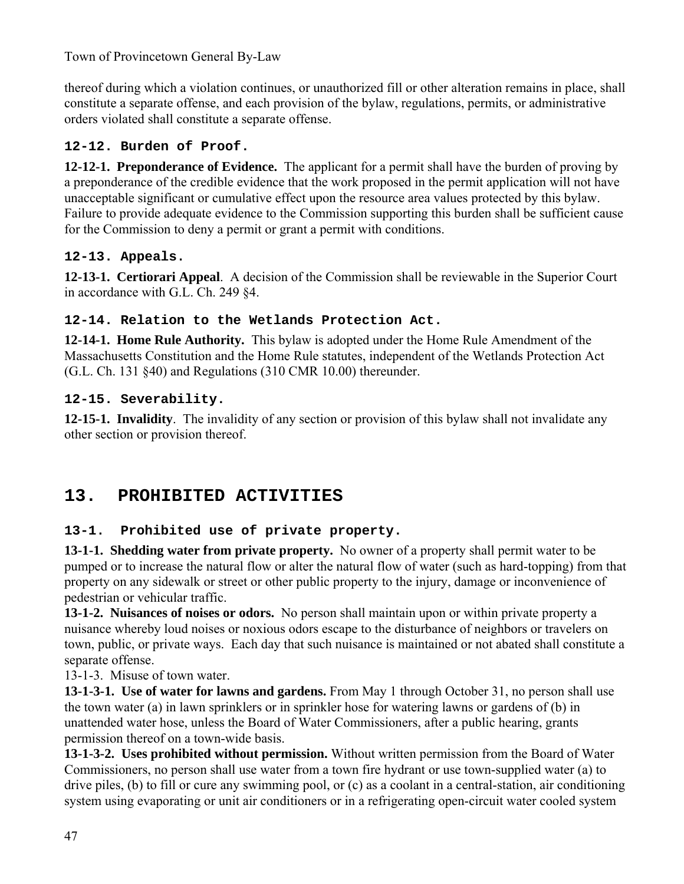thereof during which a violation continues, or unauthorized fill or other alteration remains in place, shall constitute a separate offense, and each provision of the bylaw, regulations, permits, or administrative orders violated shall constitute a separate offense.

## **12-12. Burden of Proof.**

**12-12-1. Preponderance of Evidence.** The applicant for a permit shall have the burden of proving by a preponderance of the credible evidence that the work proposed in the permit application will not have unacceptable significant or cumulative effect upon the resource area values protected by this bylaw. Failure to provide adequate evidence to the Commission supporting this burden shall be sufficient cause for the Commission to deny a permit or grant a permit with conditions.

## **12-13. Appeals.**

**12-13-1. Certiorari Appeal**. A decision of the Commission shall be reviewable in the Superior Court in accordance with G.L. Ch. 249 §4.

## **12-14. Relation to the Wetlands Protection Act.**

**12-14-1. Home Rule Authority.** This bylaw is adopted under the Home Rule Amendment of the Massachusetts Constitution and the Home Rule statutes, independent of the Wetlands Protection Act (G.L. Ch. 131 §40) and Regulations (310 CMR 10.00) thereunder.

## **12-15. Severability.**

**12-15-1. Invalidity**. The invalidity of any section or provision of this bylaw shall not invalidate any other section or provision thereof.

# **13. PROHIBITED ACTIVITIES**

## **13-1. Prohibited use of private property.**

**13-1-1. Shedding water from private property.** No owner of a property shall permit water to be pumped or to increase the natural flow or alter the natural flow of water (such as hard-topping) from that property on any sidewalk or street or other public property to the injury, damage or inconvenience of pedestrian or vehicular traffic.

**13-1-2. Nuisances of noises or odors.** No person shall maintain upon or within private property a nuisance whereby loud noises or noxious odors escape to the disturbance of neighbors or travelers on town, public, or private ways. Each day that such nuisance is maintained or not abated shall constitute a separate offense.

13-1-3. Misuse of town water.

**13-1-3-1. Use of water for lawns and gardens.** From May 1 through October 31, no person shall use the town water (a) in lawn sprinklers or in sprinkler hose for watering lawns or gardens of (b) in unattended water hose, unless the Board of Water Commissioners, after a public hearing, grants permission thereof on a town-wide basis.

**13-1-3-2. Uses prohibited without permission.** Without written permission from the Board of Water Commissioners, no person shall use water from a town fire hydrant or use town-supplied water (a) to drive piles, (b) to fill or cure any swimming pool, or (c) as a coolant in a central-station, air conditioning system using evaporating or unit air conditioners or in a refrigerating open-circuit water cooled system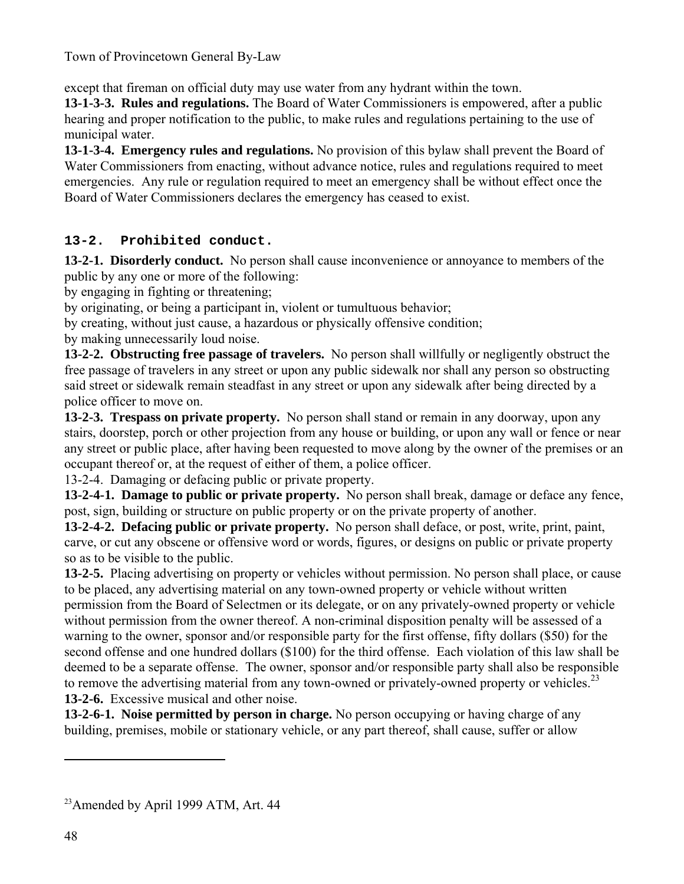except that fireman on official duty may use water from any hydrant within the town.

**13-1-3-3. Rules and regulations.** The Board of Water Commissioners is empowered, after a public hearing and proper notification to the public, to make rules and regulations pertaining to the use of municipal water.

**13-1-3-4. Emergency rules and regulations.** No provision of this bylaw shall prevent the Board of Water Commissioners from enacting, without advance notice, rules and regulations required to meet emergencies. Any rule or regulation required to meet an emergency shall be without effect once the Board of Water Commissioners declares the emergency has ceased to exist.

## **13-2. Prohibited conduct.**

**13-2-1. Disorderly conduct.** No person shall cause inconvenience or annoyance to members of the public by any one or more of the following:

by engaging in fighting or threatening;

by originating, or being a participant in, violent or tumultuous behavior;

by creating, without just cause, a hazardous or physically offensive condition;

by making unnecessarily loud noise.

**13-2-2. Obstructing free passage of travelers.** No person shall willfully or negligently obstruct the free passage of travelers in any street or upon any public sidewalk nor shall any person so obstructing said street or sidewalk remain steadfast in any street or upon any sidewalk after being directed by a police officer to move on.

**13-2-3. Trespass on private property.** No person shall stand or remain in any doorway, upon any stairs, doorstep, porch or other projection from any house or building, or upon any wall or fence or near any street or public place, after having been requested to move along by the owner of the premises or an occupant thereof or, at the request of either of them, a police officer.

13-2-4. Damaging or defacing public or private property.

**13-2-4-1. Damage to public or private property.** No person shall break, damage or deface any fence, post, sign, building or structure on public property or on the private property of another.

**13-2-4-2. Defacing public or private property.** No person shall deface, or post, write, print, paint, carve, or cut any obscene or offensive word or words, figures, or designs on public or private property so as to be visible to the public.

**13-2-5.** Placing advertising on property or vehicles without permission. No person shall place, or cause to be placed, any advertising material on any town-owned property or vehicle without written permission from the Board of Selectmen or its delegate, or on any privately-owned property or vehicle without permission from the owner thereof. A non-criminal disposition penalty will be assessed of a warning to the owner, sponsor and/or responsible party for the first offense, fifty dollars (\$50) for the second offense and one hundred dollars (\$100) for the third offense. Each violation of this law shall be deemed to be a separate offense. The owner, sponsor and/or responsible party shall also be responsible to remove the advertising material from any town-owned or privately-owned property or vehicles.<sup>23</sup> **13-2-6.** Excessive musical and other noise.

**13-2-6-1. Noise permitted by person in charge.** No person occupying or having charge of any building, premises, mobile or stationary vehicle, or any part thereof, shall cause, suffer or allow

<sup>&</sup>lt;sup>23</sup> Amended by April 1999 ATM, Art. 44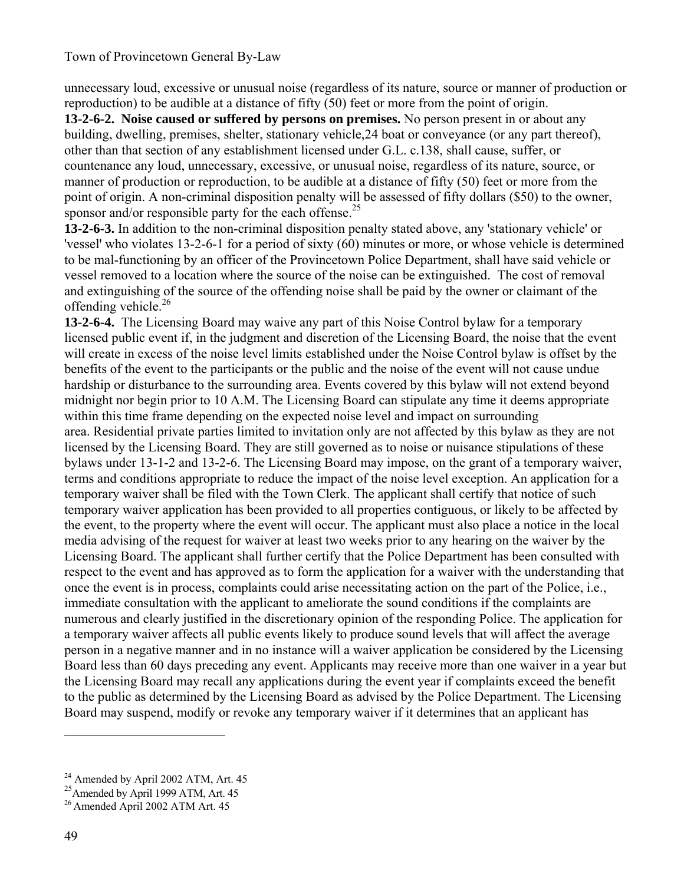unnecessary loud, excessive or unusual noise (regardless of its nature, source or manner of production or reproduction) to be audible at a distance of fifty (50) feet or more from the point of origin.

**13-2-6-2. Noise caused or suffered by persons on premises.** No person present in or about any building, dwelling, premises, shelter, stationary vehicle,24 boat or conveyance (or any part thereof), other than that section of any establishment licensed under G.L. c.138, shall cause, suffer, or countenance any loud, unnecessary, excessive, or unusual noise, regardless of its nature, source, or manner of production or reproduction, to be audible at a distance of fifty (50) feet or more from the point of origin. A non-criminal disposition penalty will be assessed of fifty dollars (\$50) to the owner, sponsor and/or responsible party for the each offense.<sup>25</sup>

**13-2-6-3.** In addition to the non-criminal disposition penalty stated above, any 'stationary vehicle' or 'vessel' who violates 13-2-6-1 for a period of sixty (60) minutes or more, or whose vehicle is determined to be mal-functioning by an officer of the Provincetown Police Department, shall have said vehicle or vessel removed to a location where the source of the noise can be extinguished. The cost of removal and extinguishing of the source of the offending noise shall be paid by the owner or claimant of the offending vehicle.<sup>26</sup>

**13-2-6-4.** The Licensing Board may waive any part of this Noise Control bylaw for a temporary licensed public event if, in the judgment and discretion of the Licensing Board, the noise that the event will create in excess of the noise level limits established under the Noise Control bylaw is offset by the benefits of the event to the participants or the public and the noise of the event will not cause undue hardship or disturbance to the surrounding area. Events covered by this bylaw will not extend beyond midnight nor begin prior to 10 A.M. The Licensing Board can stipulate any time it deems appropriate within this time frame depending on the expected noise level and impact on surrounding area. Residential private parties limited to invitation only are not affected by this bylaw as they are not licensed by the Licensing Board. They are still governed as to noise or nuisance stipulations of these bylaws under 13-1-2 and 13-2-6. The Licensing Board may impose, on the grant of a temporary waiver, terms and conditions appropriate to reduce the impact of the noise level exception. An application for a temporary waiver shall be filed with the Town Clerk. The applicant shall certify that notice of such temporary waiver application has been provided to all properties contiguous, or likely to be affected by the event, to the property where the event will occur. The applicant must also place a notice in the local media advising of the request for waiver at least two weeks prior to any hearing on the waiver by the Licensing Board. The applicant shall further certify that the Police Department has been consulted with respect to the event and has approved as to form the application for a waiver with the understanding that once the event is in process, complaints could arise necessitating action on the part of the Police, i.e., immediate consultation with the applicant to ameliorate the sound conditions if the complaints are numerous and clearly justified in the discretionary opinion of the responding Police. The application for a temporary waiver affects all public events likely to produce sound levels that will affect the average person in a negative manner and in no instance will a waiver application be considered by the Licensing Board less than 60 days preceding any event. Applicants may receive more than one waiver in a year but the Licensing Board may recall any applications during the event year if complaints exceed the benefit to the public as determined by the Licensing Board as advised by the Police Department. The Licensing Board may suspend, modify or revoke any temporary waiver if it determines that an applicant has

<sup>&</sup>lt;sup>24</sup> Amended by April 2002 ATM, Art. 45

<sup>&</sup>lt;sup>25</sup> Amended by April 1999 ATM, Art. 45

<sup>26</sup> Amended April 2002 ATM Art. 45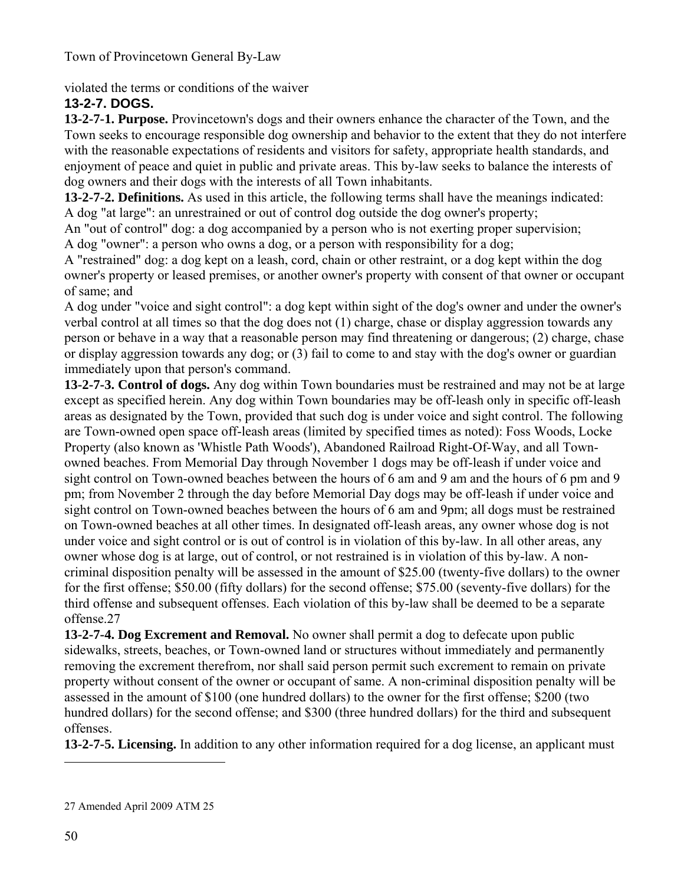violated the terms or conditions of the waiver

## **13-2-7. DOGS.**

**13-2-7-1. Purpose.** Provincetown's dogs and their owners enhance the character of the Town, and the Town seeks to encourage responsible dog ownership and behavior to the extent that they do not interfere with the reasonable expectations of residents and visitors for safety, appropriate health standards, and enjoyment of peace and quiet in public and private areas. This by-law seeks to balance the interests of dog owners and their dogs with the interests of all Town inhabitants.

**13-2-7-2. Definitions.** As used in this article, the following terms shall have the meanings indicated: A dog "at large": an unrestrained or out of control dog outside the dog owner's property;

An "out of control" dog: a dog accompanied by a person who is not exerting proper supervision; A dog "owner": a person who owns a dog, or a person with responsibility for a dog;

A "restrained" dog: a dog kept on a leash, cord, chain or other restraint, or a dog kept within the dog owner's property or leased premises, or another owner's property with consent of that owner or occupant of same; and

A dog under "voice and sight control": a dog kept within sight of the dog's owner and under the owner's verbal control at all times so that the dog does not (1) charge, chase or display aggression towards any person or behave in a way that a reasonable person may find threatening or dangerous; (2) charge, chase or display aggression towards any dog; or (3) fail to come to and stay with the dog's owner or guardian immediately upon that person's command.

**13-2-7-3. Control of dogs.** Any dog within Town boundaries must be restrained and may not be at large except as specified herein. Any dog within Town boundaries may be off-leash only in specific off-leash areas as designated by the Town, provided that such dog is under voice and sight control. The following are Town-owned open space off-leash areas (limited by specified times as noted): Foss Woods, Locke Property (also known as 'Whistle Path Woods'), Abandoned Railroad Right-Of-Way, and all Townowned beaches. From Memorial Day through November 1 dogs may be off-leash if under voice and sight control on Town-owned beaches between the hours of 6 am and 9 am and the hours of 6 pm and 9 pm; from November 2 through the day before Memorial Day dogs may be off-leash if under voice and sight control on Town-owned beaches between the hours of 6 am and 9pm; all dogs must be restrained on Town-owned beaches at all other times. In designated off-leash areas, any owner whose dog is not under voice and sight control or is out of control is in violation of this by-law. In all other areas, any owner whose dog is at large, out of control, or not restrained is in violation of this by-law. A noncriminal disposition penalty will be assessed in the amount of \$25.00 (twenty-five dollars) to the owner for the first offense; \$50.00 (fifty dollars) for the second offense; \$75.00 (seventy-five dollars) for the third offense and subsequent offenses. Each violation of this by-law shall be deemed to be a separate offense.27

**13-2-7-4. Dog Excrement and Removal.** No owner shall permit a dog to defecate upon public sidewalks, streets, beaches, or Town-owned land or structures without immediately and permanently removing the excrement therefrom, nor shall said person permit such excrement to remain on private property without consent of the owner or occupant of same. A non-criminal disposition penalty will be assessed in the amount of \$100 (one hundred dollars) to the owner for the first offense; \$200 (two hundred dollars) for the second offense; and \$300 (three hundred dollars) for the third and subsequent offenses.

**13-2-7-5. Licensing.** In addition to any other information required for a dog license, an applicant must

<sup>27</sup> Amended April 2009 ATM 25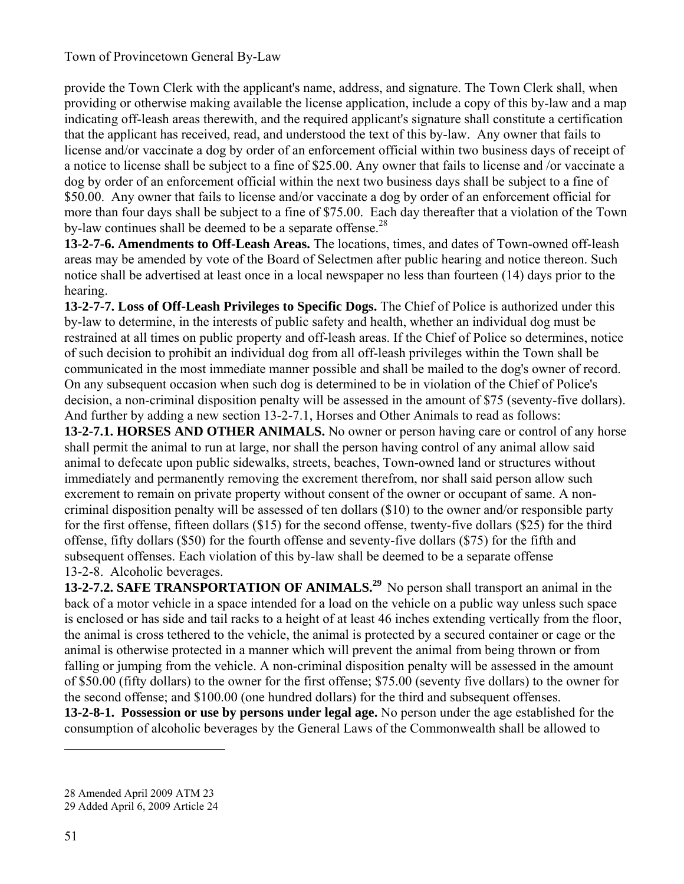provide the Town Clerk with the applicant's name, address, and signature. The Town Clerk shall, when providing or otherwise making available the license application, include a copy of this by-law and a map indicating off-leash areas therewith, and the required applicant's signature shall constitute a certification that the applicant has received, read, and understood the text of this by-law. Any owner that fails to license and/or vaccinate a dog by order of an enforcement official within two business days of receipt of a notice to license shall be subject to a fine of \$25.00. Any owner that fails to license and /or vaccinate a dog by order of an enforcement official within the next two business days shall be subject to a fine of \$50.00. Any owner that fails to license and/or vaccinate a dog by order of an enforcement official for more than four days shall be subject to a fine of \$75.00. Each day thereafter that a violation of the Town by-law continues shall be deemed to be a separate offense.<sup>28</sup>

**13-2-7-6. Amendments to Off-Leash Areas.** The locations, times, and dates of Town-owned off-leash areas may be amended by vote of the Board of Selectmen after public hearing and notice thereon. Such notice shall be advertised at least once in a local newspaper no less than fourteen (14) days prior to the hearing.

**13-2-7-7. Loss of Off-Leash Privileges to Specific Dogs.** The Chief of Police is authorized under this by-law to determine, in the interests of public safety and health, whether an individual dog must be restrained at all times on public property and off-leash areas. If the Chief of Police so determines, notice of such decision to prohibit an individual dog from all off-leash privileges within the Town shall be communicated in the most immediate manner possible and shall be mailed to the dog's owner of record. On any subsequent occasion when such dog is determined to be in violation of the Chief of Police's decision, a non-criminal disposition penalty will be assessed in the amount of \$75 (seventy-five dollars). And further by adding a new section 13-2-7.1, Horses and Other Animals to read as follows:

**13-2-7.1. HORSES AND OTHER ANIMALS.** No owner or person having care or control of any horse shall permit the animal to run at large, nor shall the person having control of any animal allow said animal to defecate upon public sidewalks, streets, beaches, Town-owned land or structures without immediately and permanently removing the excrement therefrom, nor shall said person allow such excrement to remain on private property without consent of the owner or occupant of same. A noncriminal disposition penalty will be assessed of ten dollars (\$10) to the owner and/or responsible party for the first offense, fifteen dollars (\$15) for the second offense, twenty-five dollars (\$25) for the third offense, fifty dollars (\$50) for the fourth offense and seventy-five dollars (\$75) for the fifth and subsequent offenses. Each violation of this by-law shall be deemed to be a separate offense 13-2-8. Alcoholic beverages.

**13-2-7.2. SAFE TRANSPORTATION OF ANIMALS.<sup>29</sup> No person shall transport an animal in the** back of a motor vehicle in a space intended for a load on the vehicle on a public way unless such space is enclosed or has side and tail racks to a height of at least 46 inches extending vertically from the floor, the animal is cross tethered to the vehicle, the animal is protected by a secured container or cage or the animal is otherwise protected in a manner which will prevent the animal from being thrown or from falling or jumping from the vehicle. A non-criminal disposition penalty will be assessed in the amount of \$50.00 (fifty dollars) to the owner for the first offense; \$75.00 (seventy five dollars) to the owner for the second offense; and \$100.00 (one hundred dollars) for the third and subsequent offenses. **13-2-8-1. Possession or use by persons under legal age.** No person under the age established for the consumption of alcoholic beverages by the General Laws of the Commonwealth shall be allowed to

<sup>28</sup> Amended April 2009 ATM 23

<sup>29</sup> Added April 6, 2009 Article 24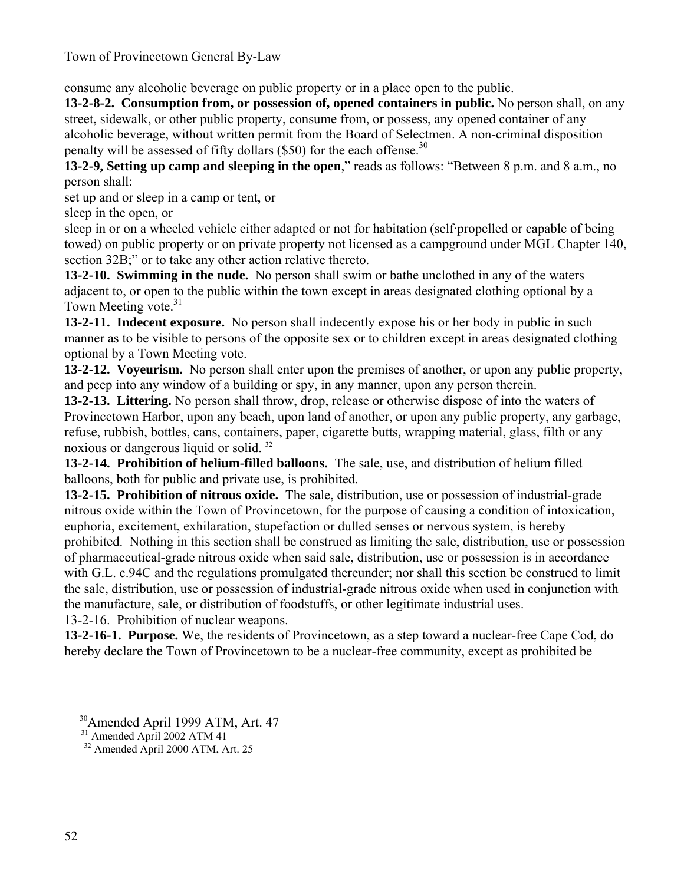consume any alcoholic beverage on public property or in a place open to the public.

**13-2-8-2. Consumption from, or possession of, opened containers in public.** No person shall, on any street, sidewalk, or other public property, consume from, or possess, any opened container of any alcoholic beverage, without written permit from the Board of Selectmen. A non-criminal disposition penalty will be assessed of fifty dollars  $(\$50)$  for the each offense.<sup>30</sup>

**13-2-9, Setting up camp and sleeping in the open**," reads as follows: "Between 8 p.m. and 8 a.m., no person shall:

set up and or sleep in a camp or tent, or

sleep in the open, or

sleep in or on a wheeled vehicle either adapted or not for habitation (self·propelled or capable of being towed) on public property or on private property not licensed as a campground under MGL Chapter 140, section 32B;" or to take any other action relative thereto.

**13-2-10. Swimming in the nude.** No person shall swim or bathe unclothed in any of the waters adjacent to, or open to the public within the town except in areas designated clothing optional by a Town Meeting vote.<sup>31</sup>

**13-2-11. Indecent exposure.** No person shall indecently expose his or her body in public in such manner as to be visible to persons of the opposite sex or to children except in areas designated clothing optional by a Town Meeting vote.

**13-2-12. Voyeurism.** No person shall enter upon the premises of another, or upon any public property, and peep into any window of a building or spy, in any manner, upon any person therein.

**13-2-13. Littering.** No person shall throw, drop, release or otherwise dispose of into the waters of Provincetown Harbor, upon any beach, upon land of another, or upon any public property, any garbage, refuse, rubbish, bottles, cans, containers, paper, cigarette butts*,* wrapping material, glass, filth or any noxious or dangerous liquid or solid. 32

**13-2-14. Prohibition of helium-filled balloons.** The sale, use, and distribution of helium filled balloons, both for public and private use, is prohibited.

**13-2-15. Prohibition of nitrous oxide.** The sale, distribution, use or possession of industrial-grade nitrous oxide within the Town of Provincetown, for the purpose of causing a condition of intoxication, euphoria, excitement, exhilaration, stupefaction or dulled senses or nervous system, is hereby prohibited. Nothing in this section shall be construed as limiting the sale, distribution, use or possession of pharmaceutical-grade nitrous oxide when said sale, distribution, use or possession is in accordance with G.L. c.94C and the regulations promulgated thereunder; nor shall this section be construed to limit the sale, distribution, use or possession of industrial-grade nitrous oxide when used in conjunction with the manufacture, sale, or distribution of foodstuffs, or other legitimate industrial uses. 13-2-16. Prohibition of nuclear weapons.

**13-2-16-1. Purpose.** We, the residents of Provincetown, as a step toward a nuclear-free Cape Cod, do hereby declare the Town of Provincetown to be a nuclear-free community, except as prohibited be

30Amended April 1999 ATM, Art. 47

<sup>&</sup>lt;sup>31</sup> Amended April 2002 ATM 41

32 Amended April 2000 ATM, Art. 25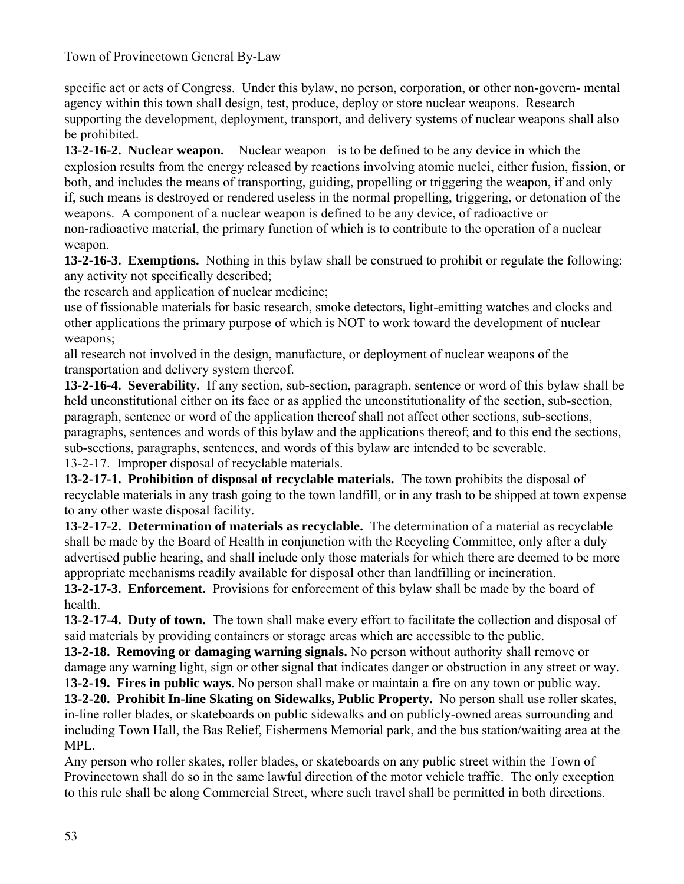specific act or acts of Congress. Under this bylaw, no person, corporation, or other non-govern- mental agency within this town shall design, test, produce, deploy or store nuclear weapons. Research supporting the development, deployment, transport, and delivery systems of nuclear weapons shall also be prohibited.

**13-2-16-2. Nuclear weapon.** Nuclear weapon is to be defined to be any device in which the explosion results from the energy released by reactions involving atomic nuclei, either fusion, fission, or both, and includes the means of transporting, guiding, propelling or triggering the weapon, if and only if, such means is destroyed or rendered useless in the normal propelling, triggering, or detonation of the weapons. A component of a nuclear weapon is defined to be any device, of radioactive or non-radioactive material, the primary function of which is to contribute to the operation of a nuclear weapon.

**13-2-16-3. Exemptions.** Nothing in this bylaw shall be construed to prohibit or regulate the following: any activity not specifically described;

the research and application of nuclear medicine;

use of fissionable materials for basic research, smoke detectors, light-emitting watches and clocks and other applications the primary purpose of which is NOT to work toward the development of nuclear weapons;

all research not involved in the design, manufacture, or deployment of nuclear weapons of the transportation and delivery system thereof.

**13-2-16-4. Severability.** If any section, sub-section, paragraph, sentence or word of this bylaw shall be held unconstitutional either on its face or as applied the unconstitutionality of the section, sub-section, paragraph, sentence or word of the application thereof shall not affect other sections, sub-sections, paragraphs, sentences and words of this bylaw and the applications thereof; and to this end the sections, sub-sections, paragraphs, sentences, and words of this bylaw are intended to be severable. 13-2-17. Improper disposal of recyclable materials.

**13-2-17-1. Prohibition of disposal of recyclable materials.** The town prohibits the disposal of recyclable materials in any trash going to the town landfill, or in any trash to be shipped at town expense to any other waste disposal facility.

**13-2-17-2. Determination of materials as recyclable.** The determination of a material as recyclable shall be made by the Board of Health in conjunction with the Recycling Committee, only after a duly advertised public hearing, and shall include only those materials for which there are deemed to be more appropriate mechanisms readily available for disposal other than landfilling or incineration.

**13-2-17-3. Enforcement.** Provisions for enforcement of this bylaw shall be made by the board of health.

**13-2-17-4. Duty of town.** The town shall make every effort to facilitate the collection and disposal of said materials by providing containers or storage areas which are accessible to the public.

**13-2-18. Removing or damaging warning signals.** No person without authority shall remove or damage any warning light, sign or other signal that indicates danger or obstruction in any street or way. 1**3-2-19. Fires in public ways**. No person shall make or maintain a fire on any town or public way.

**13-2-20. Prohibit In-line Skating on Sidewalks, Public Property.** No person shall use roller skates, in-line roller blades, or skateboards on public sidewalks and on publicly-owned areas surrounding and including Town Hall, the Bas Relief, Fishermens Memorial park, and the bus station/waiting area at the MPL.

Any person who roller skates, roller blades, or skateboards on any public street within the Town of Provincetown shall do so in the same lawful direction of the motor vehicle traffic. The only exception to this rule shall be along Commercial Street, where such travel shall be permitted in both directions.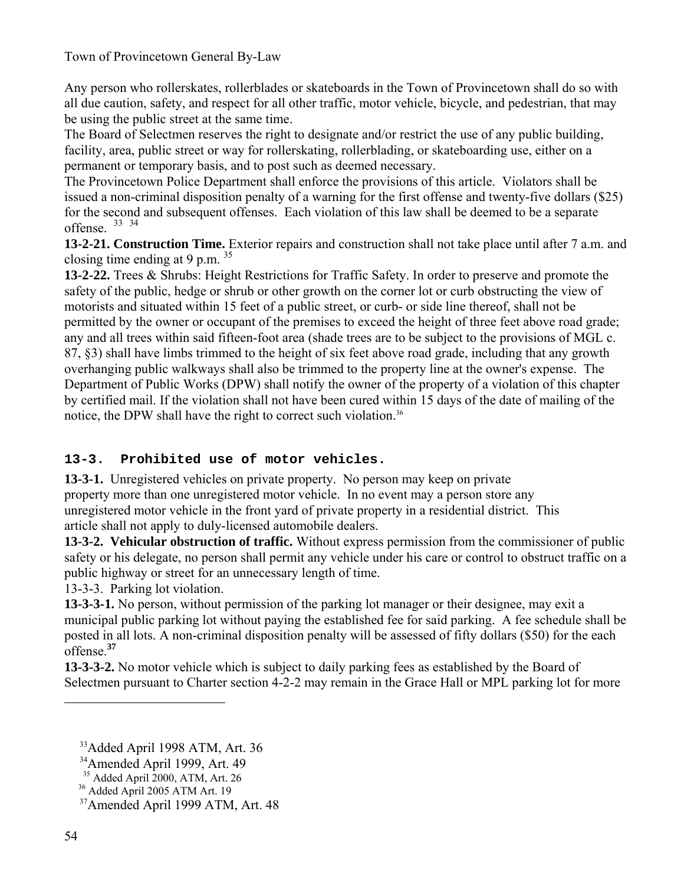Any person who rollerskates, rollerblades or skateboards in the Town of Provincetown shall do so with all due caution, safety, and respect for all other traffic, motor vehicle, bicycle, and pedestrian, that may be using the public street at the same time.

The Board of Selectmen reserves the right to designate and/or restrict the use of any public building, facility, area, public street or way for rollerskating, rollerblading, or skateboarding use, either on a permanent or temporary basis, and to post such as deemed necessary.

The Provincetown Police Department shall enforce the provisions of this article. Violators shall be issued a non-criminal disposition penalty of a warning for the first offense and twenty-five dollars (\$25) for the second and subsequent offenses. Each violation of this law shall be deemed to be a separate offense. 33 34

**13-2-21. Construction Time.** Exterior repairs and construction shall not take place until after 7 a.m. and closing time ending at 9 p.m.  $35$ 

**13-2-22.** Trees & Shrubs: Height Restrictions for Traffic Safety. In order to preserve and promote the safety of the public, hedge or shrub or other growth on the corner lot or curb obstructing the view of motorists and situated within 15 feet of a public street, or curb- or side line thereof, shall not be permitted by the owner or occupant of the premises to exceed the height of three feet above road grade; any and all trees within said fifteen-foot area (shade trees are to be subject to the provisions of MGL c. 87, §3) shall have limbs trimmed to the height of six feet above road grade, including that any growth overhanging public walkways shall also be trimmed to the property line at the owner's expense. The Department of Public Works (DPW) shall notify the owner of the property of a violation of this chapter by certified mail. If the violation shall not have been cured within 15 days of the date of mailing of the notice, the DPW shall have the right to correct such violation.<sup>36</sup>

## **13-3. Prohibited use of motor vehicles.**

**13-3-1.** Unregistered vehicles on private property. No person may keep on private property more than one unregistered motor vehicle. In no event may a person store any unregistered motor vehicle in the front yard of private property in a residential district. This article shall not apply to duly-licensed automobile dealers.

**13-3-2. Vehicular obstruction of traffic.** Without express permission from the commissioner of public safety or his delegate, no person shall permit any vehicle under his care or control to obstruct traffic on a public highway or street for an unnecessary length of time.

13-3-3. Parking lot violation.

**13-3-3-1.** No person, without permission of the parking lot manager or their designee, may exit a municipal public parking lot without paying the established fee for said parking. A fee schedule shall be posted in all lots. A non-criminal disposition penalty will be assessed of fifty dollars (\$50) for the each offense.**<sup>37</sup>**

**13-3-3-2.** No motor vehicle which is subject to daily parking fees as established by the Board of Selectmen pursuant to Charter section 4-2-2 may remain in the Grace Hall or MPL parking lot for more

<sup>&</sup>lt;sup>33</sup>Added April 1998 ATM, Art. 36

<sup>&</sup>lt;sup>34</sup>Amended April 1999, Art. 49

<sup>&</sup>lt;sup>35</sup> Added April 2000, ATM, Art. 26

<sup>&</sup>lt;sup>36</sup> Added April 2005 ATM Art. 19

37Amended April 1999 ATM, Art. 48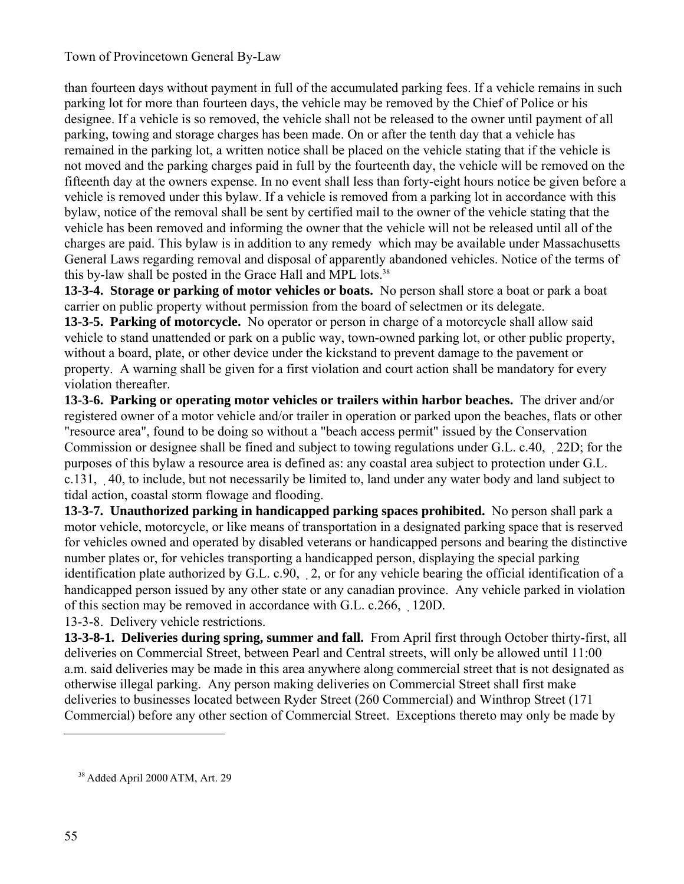than fourteen days without payment in full of the accumulated parking fees. If a vehicle remains in such parking lot for more than fourteen days, the vehicle may be removed by the Chief of Police or his designee. If a vehicle is so removed, the vehicle shall not be released to the owner until payment of all parking, towing and storage charges has been made. On or after the tenth day that a vehicle has remained in the parking lot, a written notice shall be placed on the vehicle stating that if the vehicle is not moved and the parking charges paid in full by the fourteenth day, the vehicle will be removed on the fifteenth day at the owners expense. In no event shall less than forty-eight hours notice be given before a vehicle is removed under this bylaw. If a vehicle is removed from a parking lot in accordance with this bylaw, notice of the removal shall be sent by certified mail to the owner of the vehicle stating that the vehicle has been removed and informing the owner that the vehicle will not be released until all of the charges are paid. This bylaw is in addition to any remedy which may be available under Massachusetts General Laws regarding removal and disposal of apparently abandoned vehicles. Notice of the terms of this by-law shall be posted in the Grace Hall and MPL lots.<sup>38</sup>

**13-3-4. Storage or parking of motor vehicles or boats.** No person shall store a boat or park a boat carrier on public property without permission from the board of selectmen or its delegate.

**13-3-5. Parking of motorcycle.** No operator or person in charge of a motorcycle shall allow said vehicle to stand unattended or park on a public way, town-owned parking lot, or other public property, without a board, plate, or other device under the kickstand to prevent damage to the pavement or property. A warning shall be given for a first violation and court action shall be mandatory for every violation thereafter.

**13-3-6. Parking or operating motor vehicles or trailers within harbor beaches.** The driver and/or registered owner of a motor vehicle and/or trailer in operation or parked upon the beaches, flats or other "resource area", found to be doing so without a "beach access permit" issued by the Conservation Commission or designee shall be fined and subject to towing regulations under G.L. c.40, 22D; for the purposes of this bylaw a resource area is defined as: any coastal area subject to protection under G.L. c.131, 40, to include, but not necessarily be limited to, land under any water body and land subject to tidal action, coastal storm flowage and flooding.

**13-3-7. Unauthorized parking in handicapped parking spaces prohibited.** No person shall park a motor vehicle, motorcycle, or like means of transportation in a designated parking space that is reserved for vehicles owned and operated by disabled veterans or handicapped persons and bearing the distinctive number plates or, for vehicles transporting a handicapped person, displaying the special parking identification plate authorized by G.L. c.90, 2, or for any vehicle bearing the official identification of a handicapped person issued by any other state or any canadian province. Any vehicle parked in violation of this section may be removed in accordance with G.L. c.266, 120D.

13-3-8. Delivery vehicle restrictions.

**13-3-8-1. Deliveries during spring, summer and fall.** From April first through October thirty-first, all deliveries on Commercial Street, between Pearl and Central streets, will only be allowed until 11:00 a.m. said deliveries may be made in this area anywhere along commercial street that is not designated as otherwise illegal parking. Any person making deliveries on Commercial Street shall first make deliveries to businesses located between Ryder Street (260 Commercial) and Winthrop Street (171 Commercial) before any other section of Commercial Street. Exceptions thereto may only be made by

 <sup>38</sup> Added April 2000 ATM, Art. 29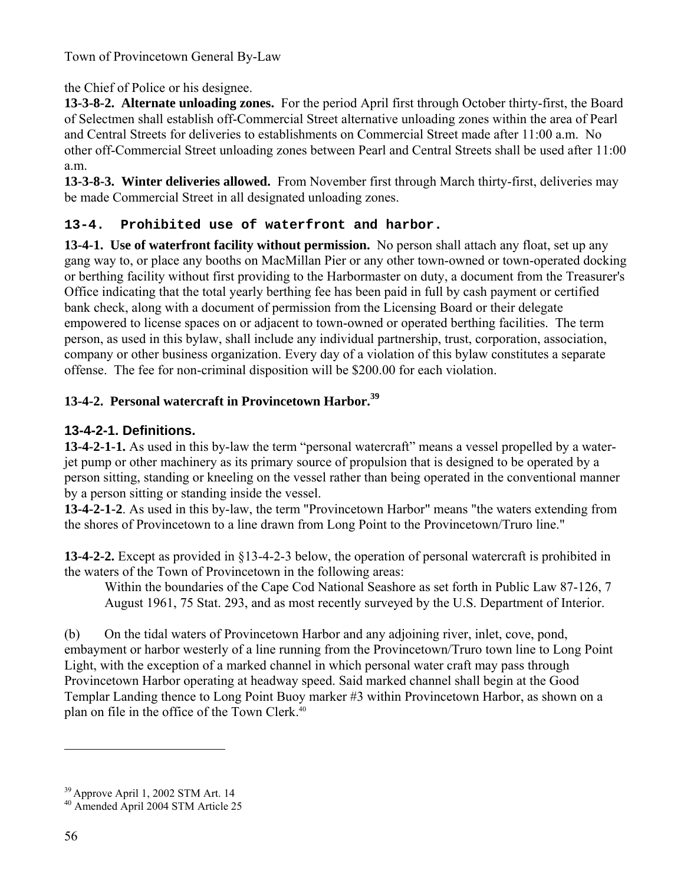## the Chief of Police or his designee.

**13-3-8-2. Alternate unloading zones.** For the period April first through October thirty-first, the Board of Selectmen shall establish off-Commercial Street alternative unloading zones within the area of Pearl and Central Streets for deliveries to establishments on Commercial Street made after 11:00 a.m. No other off-Commercial Street unloading zones between Pearl and Central Streets shall be used after 11:00 a.m.

**13-3-8-3. Winter deliveries allowed.** From November first through March thirty-first, deliveries may be made Commercial Street in all designated unloading zones.

## **13-4. Prohibited use of waterfront and harbor.**

**13-4-1. Use of waterfront facility without permission.** No person shall attach any float, set up any gang way to, or place any booths on MacMillan Pier or any other town-owned or town-operated docking or berthing facility without first providing to the Harbormaster on duty, a document from the Treasurer's Office indicating that the total yearly berthing fee has been paid in full by cash payment or certified bank check, along with a document of permission from the Licensing Board or their delegate empowered to license spaces on or adjacent to town-owned or operated berthing facilities. The term person, as used in this bylaw, shall include any individual partnership, trust, corporation, association, company or other business organization. Every day of a violation of this bylaw constitutes a separate offense. The fee for non-criminal disposition will be \$200.00 for each violation.

# **13-4-2. Personal watercraft in Provincetown Harbor.<sup>39</sup>**

## **13-4-2-1. Definitions.**

**13-4-2-1-1.** As used in this by-law the term "personal watercraft" means a vessel propelled by a waterjet pump or other machinery as its primary source of propulsion that is designed to be operated by a person sitting, standing or kneeling on the vessel rather than being operated in the conventional manner by a person sitting or standing inside the vessel.

**13-4-2-1-2**. As used in this by-law, the term "Provincetown Harbor" means "the waters extending from the shores of Provincetown to a line drawn from Long Point to the Provincetown/Truro line."

**13-4-2-2.** Except as provided in §13-4-2-3 below, the operation of personal watercraft is prohibited in the waters of the Town of Provincetown in the following areas:

Within the boundaries of the Cape Cod National Seashore as set forth in Public Law 87-126, 7 August 1961, 75 Stat. 293, and as most recently surveyed by the U.S. Department of Interior.

(b) On the tidal waters of Provincetown Harbor and any adjoining river, inlet, cove, pond, embayment or harbor westerly of a line running from the Provincetown/Truro town line to Long Point Light, with the exception of a marked channel in which personal water craft may pass through Provincetown Harbor operating at headway speed. Said marked channel shall begin at the Good Templar Landing thence to Long Point Buoy marker #3 within Provincetown Harbor, as shown on a plan on file in the office of the Town Clerk.40

 $39$  Approve April 1, 2002 STM Art. 14<br> $40$  Amended April 2004 STM Article 25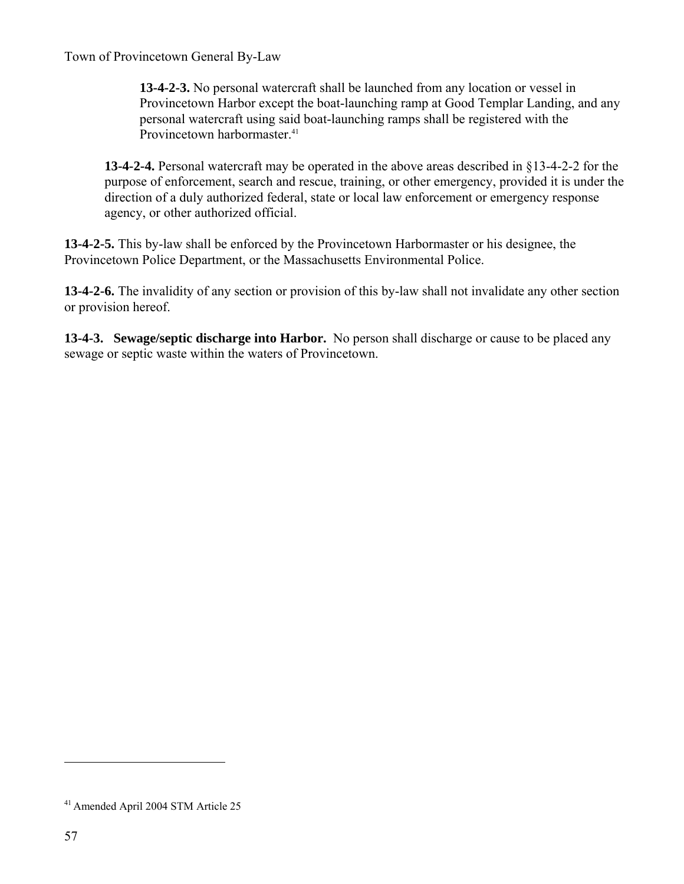**13-4-2-3.** No personal watercraft shall be launched from any location or vessel in Provincetown Harbor except the boat-launching ramp at Good Templar Landing, and any personal watercraft using said boat-launching ramps shall be registered with the Provincetown harbormaster.<sup>41</sup>

**13-4-2-4.** Personal watercraft may be operated in the above areas described in §13-4-2-2 for the purpose of enforcement, search and rescue, training, or other emergency, provided it is under the direction of a duly authorized federal, state or local law enforcement or emergency response agency, or other authorized official.

**13-4-2-5.** This by-law shall be enforced by the Provincetown Harbormaster or his designee, the Provincetown Police Department, or the Massachusetts Environmental Police.

**13-4-2-6.** The invalidity of any section or provision of this by-law shall not invalidate any other section or provision hereof.

**13-4-3. Sewage/septic discharge into Harbor.** No person shall discharge or cause to be placed any sewage or septic waste within the waters of Provincetown.

<sup>41</sup> Amended April 2004 STM Article 25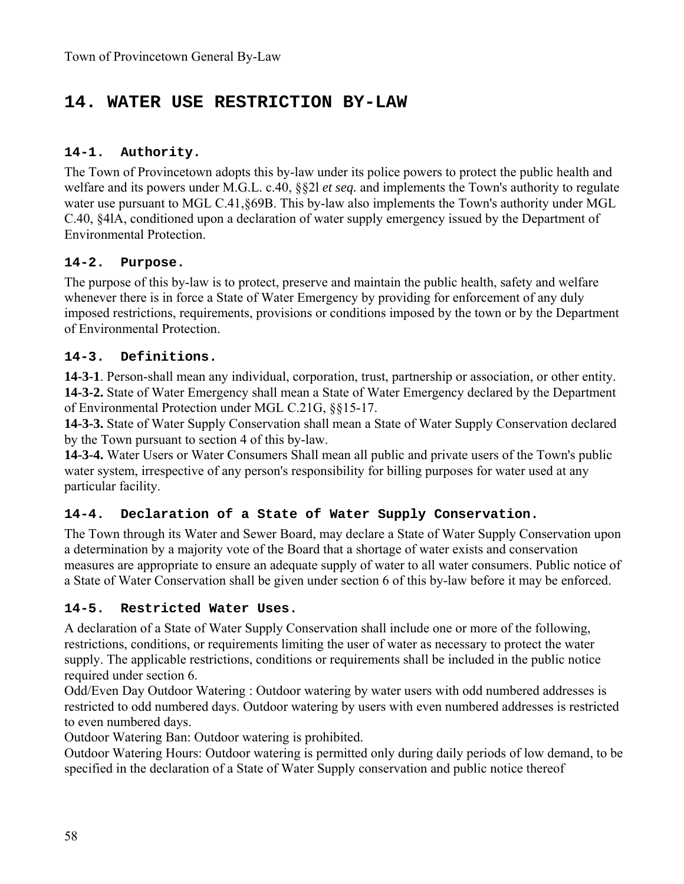# **14. WATER USE RESTRICTION BY-LAW**

### **14-1. Authority.**

The Town of Provincetown adopts this by-law under its police powers to protect the public health and welfare and its powers under M.G.L. c.40, §§2l *et seq.* and implements the Town's authority to regulate water use pursuant to MGL C.41, §69B. This by-law also implements the Town's authority under MGL C.40, §4lA, conditioned upon a declaration of water supply emergency issued by the Department of Environmental Protection.

#### **14-2. Purpose.**

The purpose of this by-law is to protect, preserve and maintain the public health, safety and welfare whenever there is in force a State of Water Emergency by providing for enforcement of any duly imposed restrictions, requirements, provisions or conditions imposed by the town or by the Department of Environmental Protection.

#### **14-3. Definitions.**

**14-3-1**. Person-shall mean any individual, corporation, trust, partnership or association, or other entity. **14-3-2.** State of Water Emergency shall mean a State of Water Emergency declared by the Department of Environmental Protection under MGL C.21G, §§15-17.

**14-3-3.** State of Water Supply Conservation shall mean a State of Water Supply Conservation declared by the Town pursuant to section 4 of this by-law.

**14-3-4.** Water Users or Water Consumers Shall mean all public and private users of the Town's public water system, irrespective of any person's responsibility for billing purposes for water used at any particular facility.

### **14-4. Declaration of a State of Water Supply Conservation.**

The Town through its Water and Sewer Board, may declare a State of Water Supply Conservation upon a determination by a majority vote of the Board that a shortage of water exists and conservation measures are appropriate to ensure an adequate supply of water to all water consumers. Public notice of a State of Water Conservation shall be given under section 6 of this by-law before it may be enforced.

#### **14-5. Restricted Water Uses.**

A declaration of a State of Water Supply Conservation shall include one or more of the following, restrictions, conditions, or requirements limiting the user of water as necessary to protect the water supply. The applicable restrictions, conditions or requirements shall be included in the public notice required under section 6.

Odd/Even Day Outdoor Watering : Outdoor watering by water users with odd numbered addresses is restricted to odd numbered days. Outdoor watering by users with even numbered addresses is restricted to even numbered days.

Outdoor Watering Ban: Outdoor watering is prohibited.

Outdoor Watering Hours: Outdoor watering is permitted only during daily periods of low demand, to be specified in the declaration of a State of Water Supply conservation and public notice thereof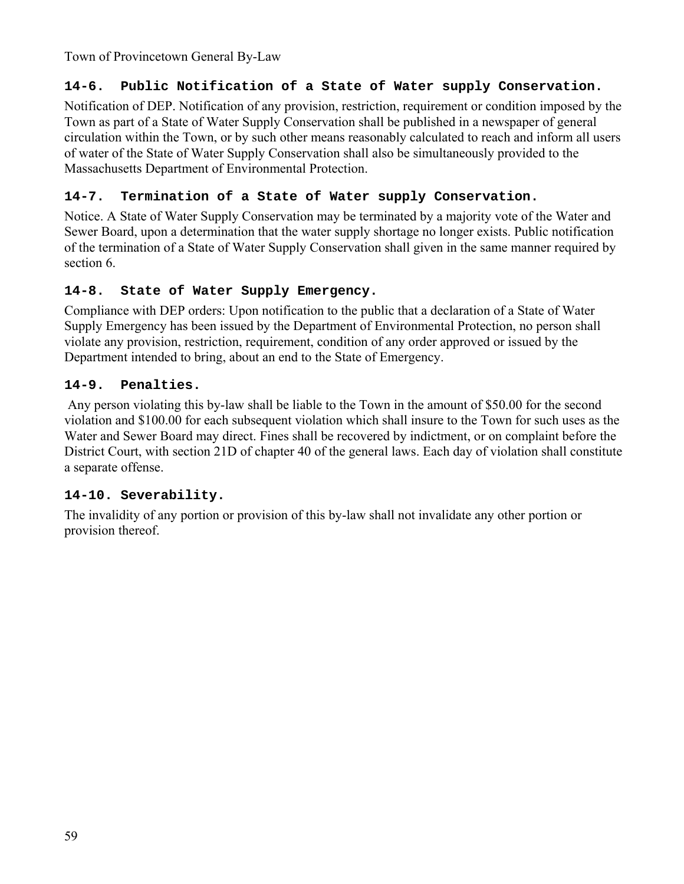### **14-6. Public Notification of a State of Water supply Conservation.**

Notification of DEP. Notification of any provision, restriction, requirement or condition imposed by the Town as part of a State of Water Supply Conservation shall be published in a newspaper of general circulation within the Town, or by such other means reasonably calculated to reach and inform all users of water of the State of Water Supply Conservation shall also be simultaneously provided to the Massachusetts Department of Environmental Protection.

### **14-7. Termination of a State of Water supply Conservation.**

Notice. A State of Water Supply Conservation may be terminated by a majority vote of the Water and Sewer Board, upon a determination that the water supply shortage no longer exists. Public notification of the termination of a State of Water Supply Conservation shall given in the same manner required by section 6.

### **14-8. State of Water Supply Emergency.**

Compliance with DEP orders: Upon notification to the public that a declaration of a State of Water Supply Emergency has been issued by the Department of Environmental Protection, no person shall violate any provision, restriction, requirement, condition of any order approved or issued by the Department intended to bring, about an end to the State of Emergency.

### **14-9. Penalties.**

 Any person violating this by-law shall be liable to the Town in the amount of \$50.00 for the second violation and \$100.00 for each subsequent violation which shall insure to the Town for such uses as the Water and Sewer Board may direct. Fines shall be recovered by indictment, or on complaint before the District Court, with section 21D of chapter 40 of the general laws. Each day of violation shall constitute a separate offense.

### **14-10. Severability.**

The invalidity of any portion or provision of this by-law shall not invalidate any other portion or provision thereof.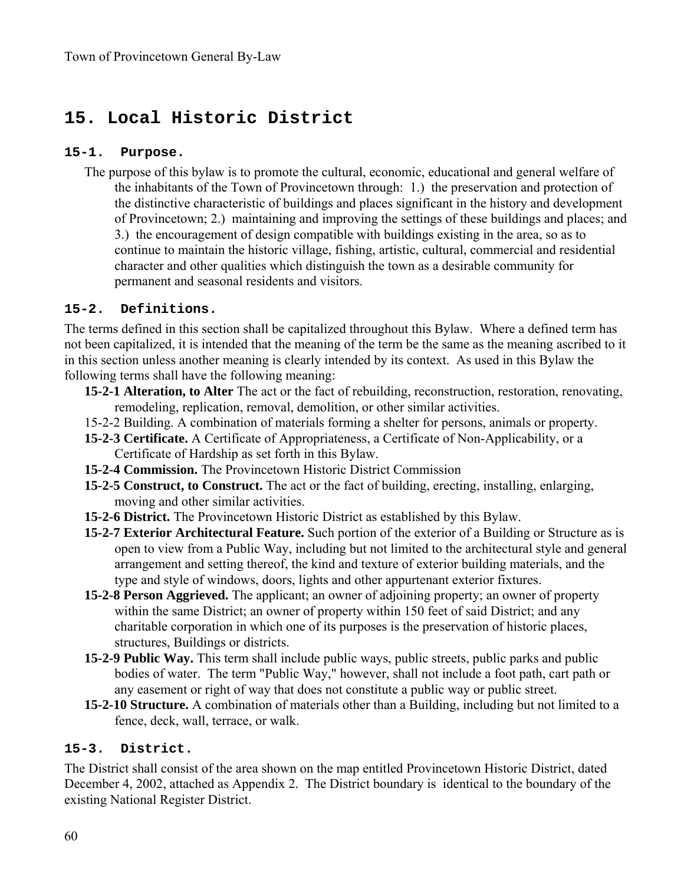# **15. Local Historic District**

#### **15-1. Purpose.**

The purpose of this bylaw is to promote the cultural, economic, educational and general welfare of the inhabitants of the Town of Provincetown through: 1.) the preservation and protection of the distinctive characteristic of buildings and places significant in the history and development of Provincetown; 2.) maintaining and improving the settings of these buildings and places; and 3.) the encouragement of design compatible with buildings existing in the area, so as to continue to maintain the historic village, fishing, artistic, cultural, commercial and residential character and other qualities which distinguish the town as a desirable community for permanent and seasonal residents and visitors.

#### **15-2. Definitions.**

The terms defined in this section shall be capitalized throughout this Bylaw. Where a defined term has not been capitalized, it is intended that the meaning of the term be the same as the meaning ascribed to it in this section unless another meaning is clearly intended by its context. As used in this Bylaw the following terms shall have the following meaning:

- **15-2-1 Alteration, to Alter** The act or the fact of rebuilding, reconstruction, restoration, renovating, remodeling, replication, removal, demolition, or other similar activities.
- 15-2-2 Building. A combination of materials forming a shelter for persons, animals or property.
- **15-2-3 Certificate.** A Certificate of Appropriateness, a Certificate of Non-Applicability, or a Certificate of Hardship as set forth in this Bylaw.
- **15-2-4 Commission.** The Provincetown Historic District Commission
- **15-2-5 Construct, to Construct.** The act or the fact of building, erecting, installing, enlarging, moving and other similar activities.
- **15-2-6 District.** The Provincetown Historic District as established by this Bylaw.
- **15-2-7 Exterior Architectural Feature.** Such portion of the exterior of a Building or Structure as is open to view from a Public Way, including but not limited to the architectural style and general arrangement and setting thereof, the kind and texture of exterior building materials, and the type and style of windows, doors, lights and other appurtenant exterior fixtures.
- **15-2-8 Person Aggrieved.** The applicant; an owner of adjoining property; an owner of property within the same District; an owner of property within 150 feet of said District; and any charitable corporation in which one of its purposes is the preservation of historic places, structures, Buildings or districts.
- **15-2-9 Public Way.** This term shall include public ways, public streets, public parks and public bodies of water. The term "Public Way," however, shall not include a foot path, cart path or any easement or right of way that does not constitute a public way or public street.
- **15-2-10 Structure.** A combination of materials other than a Building, including but not limited to a fence, deck, wall, terrace, or walk.

#### **15-3. District.**

The District shall consist of the area shown on the map entitled Provincetown Historic District, dated December 4, 2002, attached as Appendix 2. The District boundary is identical to the boundary of the existing National Register District.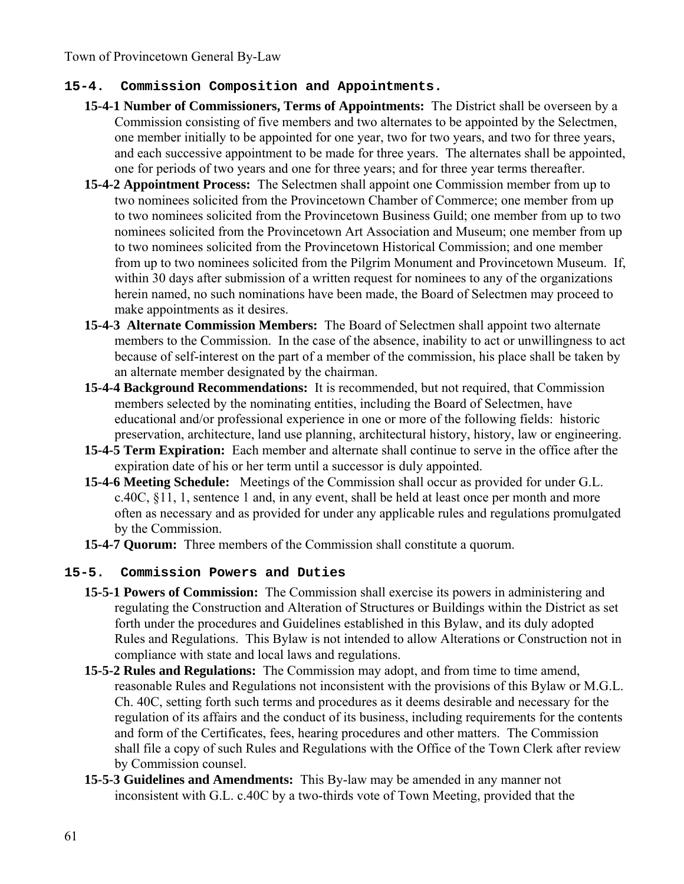#### **15-4. Commission Composition and Appointments.**

- **15-4-1 Number of Commissioners, Terms of Appointments:** The District shall be overseen by a Commission consisting of five members and two alternates to be appointed by the Selectmen, one member initially to be appointed for one year, two for two years, and two for three years, and each successive appointment to be made for three years. The alternates shall be appointed, one for periods of two years and one for three years; and for three year terms thereafter.
- **15-4-2 Appointment Process:** The Selectmen shall appoint one Commission member from up to two nominees solicited from the Provincetown Chamber of Commerce; one member from up to two nominees solicited from the Provincetown Business Guild; one member from up to two nominees solicited from the Provincetown Art Association and Museum; one member from up to two nominees solicited from the Provincetown Historical Commission; and one member from up to two nominees solicited from the Pilgrim Monument and Provincetown Museum. If, within 30 days after submission of a written request for nominees to any of the organizations herein named, no such nominations have been made, the Board of Selectmen may proceed to make appointments as it desires.
- **15-4-3 Alternate Commission Members:** The Board of Selectmen shall appoint two alternate members to the Commission. In the case of the absence, inability to act or unwillingness to act because of self-interest on the part of a member of the commission, his place shall be taken by an alternate member designated by the chairman.
- **15-4-4 Background Recommendations:** It is recommended, but not required, that Commission members selected by the nominating entities, including the Board of Selectmen, have educational and/or professional experience in one or more of the following fields: historic preservation, architecture, land use planning, architectural history, history, law or engineering.
- **15-4-5 Term Expiration:** Each member and alternate shall continue to serve in the office after the expiration date of his or her term until a successor is duly appointed.
- **15-4-6 Meeting Schedule:** Meetings of the Commission shall occur as provided for under G.L. c.40C, §11, 1, sentence 1 and, in any event, shall be held at least once per month and more often as necessary and as provided for under any applicable rules and regulations promulgated by the Commission.
- **15-4-7 Quorum:** Three members of the Commission shall constitute a quorum.

#### **15-5. Commission Powers and Duties**

- **15-5-1 Powers of Commission:** The Commission shall exercise its powers in administering and regulating the Construction and Alteration of Structures or Buildings within the District as set forth under the procedures and Guidelines established in this Bylaw, and its duly adopted Rules and Regulations. This Bylaw is not intended to allow Alterations or Construction not in compliance with state and local laws and regulations.
- **15-5-2 Rules and Regulations:** The Commission may adopt, and from time to time amend, reasonable Rules and Regulations not inconsistent with the provisions of this Bylaw or M.G.L. Ch. 40C, setting forth such terms and procedures as it deems desirable and necessary for the regulation of its affairs and the conduct of its business, including requirements for the contents and form of the Certificates, fees, hearing procedures and other matters. The Commission shall file a copy of such Rules and Regulations with the Office of the Town Clerk after review by Commission counsel.
- **15-5-3 Guidelines and Amendments:** This By-law may be amended in any manner not inconsistent with G.L. c.40C by a two-thirds vote of Town Meeting, provided that the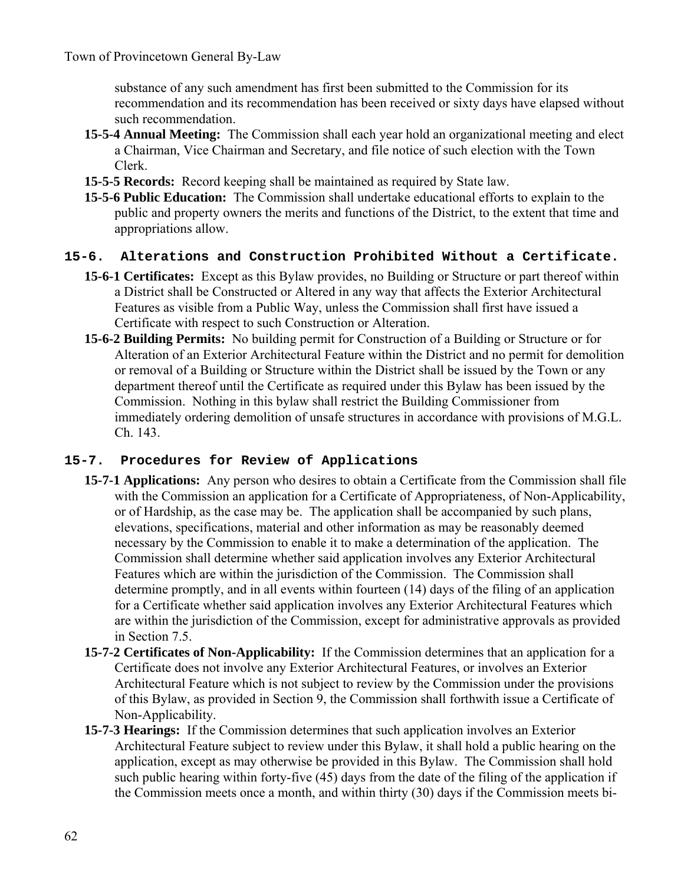substance of any such amendment has first been submitted to the Commission for its recommendation and its recommendation has been received or sixty days have elapsed without such recommendation.

- **15-5-4 Annual Meeting:** The Commission shall each year hold an organizational meeting and elect a Chairman, Vice Chairman and Secretary, and file notice of such election with the Town Clerk.
- **15-5-5 Records:** Record keeping shall be maintained as required by State law.
- **15-5-6 Public Education:** The Commission shall undertake educational efforts to explain to the public and property owners the merits and functions of the District, to the extent that time and appropriations allow.

#### **15-6. Alterations and Construction Prohibited Without a Certificate.**

- **15-6-1 Certificates:** Except as this Bylaw provides, no Building or Structure or part thereof within a District shall be Constructed or Altered in any way that affects the Exterior Architectural Features as visible from a Public Way, unless the Commission shall first have issued a Certificate with respect to such Construction or Alteration.
- **15-6-2 Building Permits:** No building permit for Construction of a Building or Structure or for Alteration of an Exterior Architectural Feature within the District and no permit for demolition or removal of a Building or Structure within the District shall be issued by the Town or any department thereof until the Certificate as required under this Bylaw has been issued by the Commission. Nothing in this bylaw shall restrict the Building Commissioner from immediately ordering demolition of unsafe structures in accordance with provisions of M.G.L. Ch. 143.

#### **15-7. Procedures for Review of Applications**

- **15-7-1 Applications:** Any person who desires to obtain a Certificate from the Commission shall file with the Commission an application for a Certificate of Appropriateness, of Non-Applicability, or of Hardship, as the case may be. The application shall be accompanied by such plans, elevations, specifications, material and other information as may be reasonably deemed necessary by the Commission to enable it to make a determination of the application. The Commission shall determine whether said application involves any Exterior Architectural Features which are within the jurisdiction of the Commission. The Commission shall determine promptly, and in all events within fourteen (14) days of the filing of an application for a Certificate whether said application involves any Exterior Architectural Features which are within the jurisdiction of the Commission, except for administrative approvals as provided in Section 7.5.
- **15-7-2 Certificates of Non-Applicability:** If the Commission determines that an application for a Certificate does not involve any Exterior Architectural Features, or involves an Exterior Architectural Feature which is not subject to review by the Commission under the provisions of this Bylaw, as provided in Section 9, the Commission shall forthwith issue a Certificate of Non-Applicability.
- **15-7-3 Hearings:** If the Commission determines that such application involves an Exterior Architectural Feature subject to review under this Bylaw, it shall hold a public hearing on the application, except as may otherwise be provided in this Bylaw. The Commission shall hold such public hearing within forty-five (45) days from the date of the filing of the application if the Commission meets once a month, and within thirty (30) days if the Commission meets bi-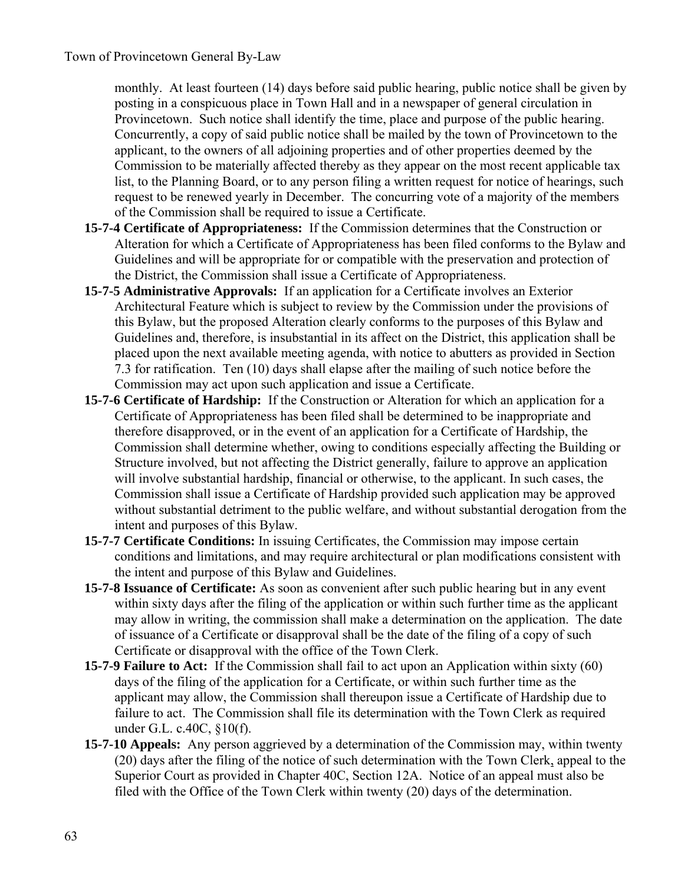monthly. At least fourteen (14) days before said public hearing, public notice shall be given by posting in a conspicuous place in Town Hall and in a newspaper of general circulation in Provincetown. Such notice shall identify the time, place and purpose of the public hearing. Concurrently, a copy of said public notice shall be mailed by the town of Provincetown to the applicant, to the owners of all adjoining properties and of other properties deemed by the Commission to be materially affected thereby as they appear on the most recent applicable tax list, to the Planning Board, or to any person filing a written request for notice of hearings, such request to be renewed yearly in December. The concurring vote of a majority of the members of the Commission shall be required to issue a Certificate.

- **15-7-4 Certificate of Appropriateness:** If the Commission determines that the Construction or Alteration for which a Certificate of Appropriateness has been filed conforms to the Bylaw and Guidelines and will be appropriate for or compatible with the preservation and protection of the District, the Commission shall issue a Certificate of Appropriateness.
- **15-7-5 Administrative Approvals:** If an application for a Certificate involves an Exterior Architectural Feature which is subject to review by the Commission under the provisions of this Bylaw, but the proposed Alteration clearly conforms to the purposes of this Bylaw and Guidelines and, therefore, is insubstantial in its affect on the District, this application shall be placed upon the next available meeting agenda, with notice to abutters as provided in Section 7.3 for ratification. Ten (10) days shall elapse after the mailing of such notice before the Commission may act upon such application and issue a Certificate.
- **15-7-6 Certificate of Hardship:** If the Construction or Alteration for which an application for a Certificate of Appropriateness has been filed shall be determined to be inappropriate and therefore disapproved, or in the event of an application for a Certificate of Hardship, the Commission shall determine whether, owing to conditions especially affecting the Building or Structure involved, but not affecting the District generally, failure to approve an application will involve substantial hardship, financial or otherwise, to the applicant. In such cases, the Commission shall issue a Certificate of Hardship provided such application may be approved without substantial detriment to the public welfare, and without substantial derogation from the intent and purposes of this Bylaw.
- **15-7-7 Certificate Conditions:** In issuing Certificates, the Commission may impose certain conditions and limitations, and may require architectural or plan modifications consistent with the intent and purpose of this Bylaw and Guidelines.
- **15-7-8 Issuance of Certificate:** As soon as convenient after such public hearing but in any event within sixty days after the filing of the application or within such further time as the applicant may allow in writing, the commission shall make a determination on the application. The date of issuance of a Certificate or disapproval shall be the date of the filing of a copy of such Certificate or disapproval with the office of the Town Clerk.
- **15-7-9 Failure to Act:** If the Commission shall fail to act upon an Application within sixty (60) days of the filing of the application for a Certificate, or within such further time as the applicant may allow, the Commission shall thereupon issue a Certificate of Hardship due to failure to act. The Commission shall file its determination with the Town Clerk as required under G.L. c.40C, §10(f).
- **15-7-10 Appeals:** Any person aggrieved by a determination of the Commission may, within twenty (20) days after the filing of the notice of such determination with the Town Clerk, appeal to the Superior Court as provided in Chapter 40C, Section 12A. Notice of an appeal must also be filed with the Office of the Town Clerk within twenty (20) days of the determination.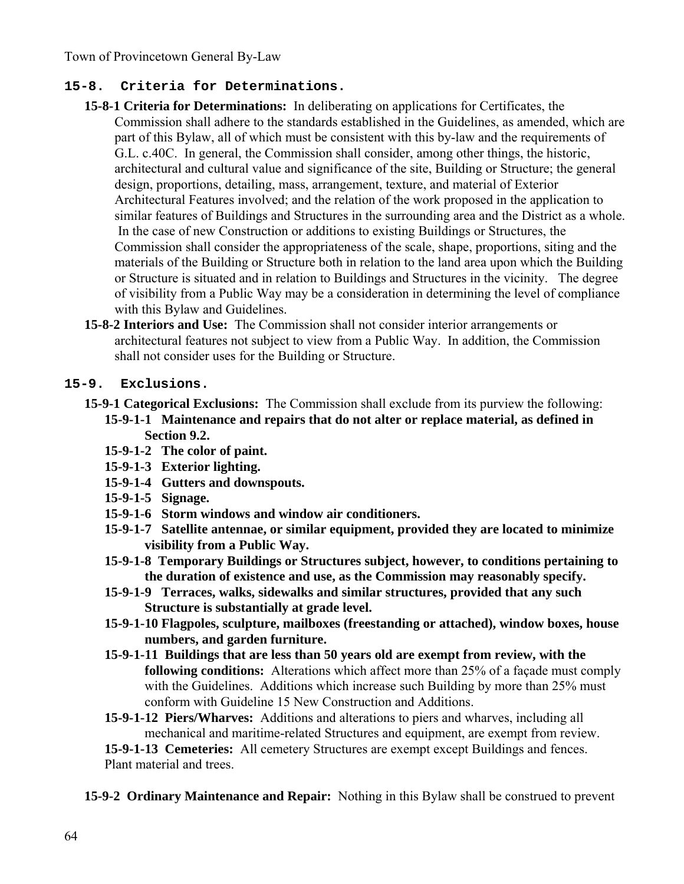### **15-8. Criteria for Determinations.**

- **15-8-1 Criteria for Determinations:** In deliberating on applications for Certificates, the Commission shall adhere to the standards established in the Guidelines, as amended, which are part of this Bylaw, all of which must be consistent with this by-law and the requirements of G.L. c.40C. In general, the Commission shall consider, among other things, the historic, architectural and cultural value and significance of the site, Building or Structure; the general design, proportions, detailing, mass, arrangement, texture, and material of Exterior Architectural Features involved; and the relation of the work proposed in the application to similar features of Buildings and Structures in the surrounding area and the District as a whole. In the case of new Construction or additions to existing Buildings or Structures, the Commission shall consider the appropriateness of the scale, shape, proportions, siting and the materials of the Building or Structure both in relation to the land area upon which the Building or Structure is situated and in relation to Buildings and Structures in the vicinity. The degree of visibility from a Public Way may be a consideration in determining the level of compliance with this Bylaw and Guidelines.
- **15-8-2 Interiors and Use:** The Commission shall not consider interior arrangements or architectural features not subject to view from a Public Way. In addition, the Commission shall not consider uses for the Building or Structure.

#### **15-9. Exclusions.**

- **15-9-1 Categorical Exclusions:** The Commission shall exclude from its purview the following: **15-9-1-1 Maintenance and repairs that do not alter or replace material, as defined in Section 9.2.** 
	- **15-9-1-2 The color of paint.**
	- **15-9-1-3 Exterior lighting.**
	- **15-9-1-4 Gutters and downspouts.**
	- **15-9-1-5 Signage.**
	- **15-9-1-6 Storm windows and window air conditioners.**
	- **15-9-1-7 Satellite antennae, or similar equipment, provided they are located to minimize visibility from a Public Way.**
	- **15-9-1-8 Temporary Buildings or Structures subject, however, to conditions pertaining to the duration of existence and use, as the Commission may reasonably specify.**
	- **15-9-1-9 Terraces, walks, sidewalks and similar structures, provided that any such Structure is substantially at grade level.**
	- **15-9-1-10 Flagpoles, sculpture, mailboxes (freestanding or attached), window boxes, house numbers, and garden furniture.**
	- **15-9-1-11 Buildings that are less than 50 years old are exempt from review, with the following conditions:** Alterations which affect more than 25% of a façade must comply with the Guidelines. Additions which increase such Building by more than 25% must conform with Guideline 15 New Construction and Additions.
	- **15-9-1-12 Piers/Wharves:** Additions and alterations to piers and wharves, including all mechanical and maritime-related Structures and equipment, are exempt from review.

**15-9-1-13 Cemeteries:** All cemetery Structures are exempt except Buildings and fences. Plant material and trees.

**15-9-2 Ordinary Maintenance and Repair:** Nothing in this Bylaw shall be construed to prevent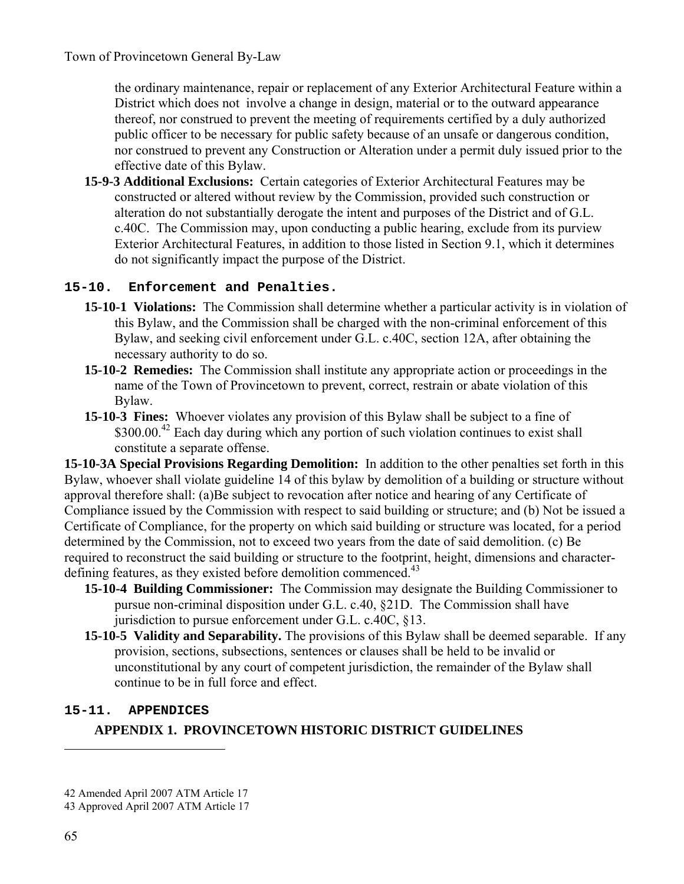the ordinary maintenance, repair or replacement of any Exterior Architectural Feature within a District which does not involve a change in design, material or to the outward appearance thereof, nor construed to prevent the meeting of requirements certified by a duly authorized public officer to be necessary for public safety because of an unsafe or dangerous condition, nor construed to prevent any Construction or Alteration under a permit duly issued prior to the effective date of this Bylaw.

**15-9-3 Additional Exclusions:** Certain categories of Exterior Architectural Features may be constructed or altered without review by the Commission, provided such construction or alteration do not substantially derogate the intent and purposes of the District and of G.L. c.40C. The Commission may, upon conducting a public hearing, exclude from its purview Exterior Architectural Features, in addition to those listed in Section 9.1, which it determines do not significantly impact the purpose of the District.

#### **15-10. Enforcement and Penalties.**

- **15-10-1 Violations:** The Commission shall determine whether a particular activity is in violation of this Bylaw, and the Commission shall be charged with the non-criminal enforcement of this Bylaw, and seeking civil enforcement under G.L. c.40C, section 12A, after obtaining the necessary authority to do so.
- **15-10-2 Remedies:** The Commission shall institute any appropriate action or proceedings in the name of the Town of Provincetown to prevent, correct, restrain or abate violation of this Bylaw.
- **15-10-3 Fines:** Whoever violates any provision of this Bylaw shall be subject to a fine of \$300.00.<sup>42</sup> Each day during which any portion of such violation continues to exist shall constitute a separate offense.

**15-10-3A Special Provisions Regarding Demolition:** In addition to the other penalties set forth in this Bylaw, whoever shall violate guideline 14 of this bylaw by demolition of a building or structure without approval therefore shall: (a)Be subject to revocation after notice and hearing of any Certificate of Compliance issued by the Commission with respect to said building or structure; and (b) Not be issued a Certificate of Compliance, for the property on which said building or structure was located, for a period determined by the Commission, not to exceed two years from the date of said demolition. (c) Be required to reconstruct the said building or structure to the footprint, height, dimensions and characterdefining features, as they existed before demolition commenced.<sup>43</sup>

- **15-10-4 Building Commissioner:** The Commission may designate the Building Commissioner to pursue non-criminal disposition under G.L. c.40, §21D. The Commission shall have jurisdiction to pursue enforcement under G.L. c.40C, §13.
- **15-10-5 Validity and Separability.** The provisions of this Bylaw shall be deemed separable. If any provision, sections, subsections, sentences or clauses shall be held to be invalid or unconstitutional by any court of competent jurisdiction, the remainder of the Bylaw shall continue to be in full force and effect.

#### **15-11. APPENDICES**

## **APPENDIX 1. PROVINCETOWN HISTORIC DISTRICT GUIDELINES**

<sup>42</sup> Amended April 2007 ATM Article 17

<sup>43</sup> Approved April 2007 ATM Article 17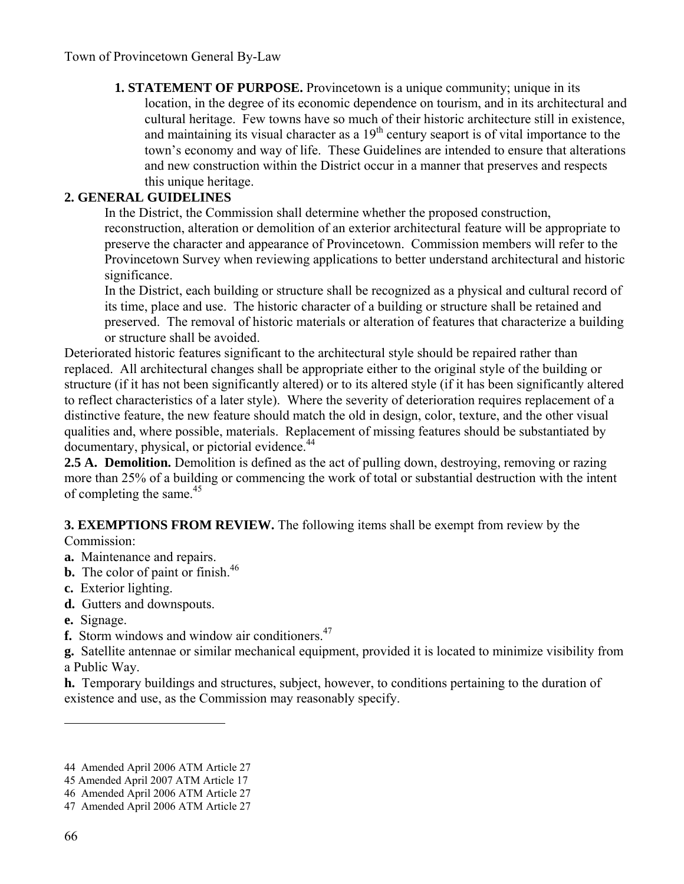**1. STATEMENT OF PURPOSE.** Provincetown is a unique community; unique in its location, in the degree of its economic dependence on tourism, and in its architectural and cultural heritage. Few towns have so much of their historic architecture still in existence, and maintaining its visual character as a  $19<sup>th</sup>$  century seaport is of vital importance to the town's economy and way of life. These Guidelines are intended to ensure that alterations and new construction within the District occur in a manner that preserves and respects this unique heritage.

#### **2. GENERAL GUIDELINES**

In the District, the Commission shall determine whether the proposed construction, reconstruction, alteration or demolition of an exterior architectural feature will be appropriate to preserve the character and appearance of Provincetown. Commission members will refer to the Provincetown Survey when reviewing applications to better understand architectural and historic significance.

In the District, each building or structure shall be recognized as a physical and cultural record of its time, place and use. The historic character of a building or structure shall be retained and preserved. The removal of historic materials or alteration of features that characterize a building or structure shall be avoided.

Deteriorated historic features significant to the architectural style should be repaired rather than replaced. All architectural changes shall be appropriate either to the original style of the building or structure (if it has not been significantly altered) or to its altered style (if it has been significantly altered to reflect characteristics of a later style). Where the severity of deterioration requires replacement of a distinctive feature, the new feature should match the old in design, color, texture, and the other visual qualities and, where possible, materials. Replacement of missing features should be substantiated by documentary, physical, or pictorial evidence.<sup>44</sup>

**2.5 A. Demolition.** Demolition is defined as the act of pulling down, destroying, removing or razing more than 25% of a building or commencing the work of total or substantial destruction with the intent of completing the same.<sup>45</sup>

**3. EXEMPTIONS FROM REVIEW.** The following items shall be exempt from review by the

#### Commission:

- **a.** Maintenance and repairs.
- **b.** The color of paint or finish.<sup>46</sup>
- **c.** Exterior lighting.
- **d.** Gutters and downspouts.
- **e.** Signage.
- **f.** Storm windows and window air conditioners.<sup>47</sup>

**g.** Satellite antennae or similar mechanical equipment, provided it is located to minimize visibility from a Public Way.

**h.** Temporary buildings and structures, subject, however, to conditions pertaining to the duration of existence and use, as the Commission may reasonably specify.

<sup>44</sup> Amended April 2006 ATM Article 27

<sup>45</sup> Amended April 2007 ATM Article 17

<sup>46</sup> Amended April 2006 ATM Article 27

<sup>47</sup> Amended April 2006 ATM Article 27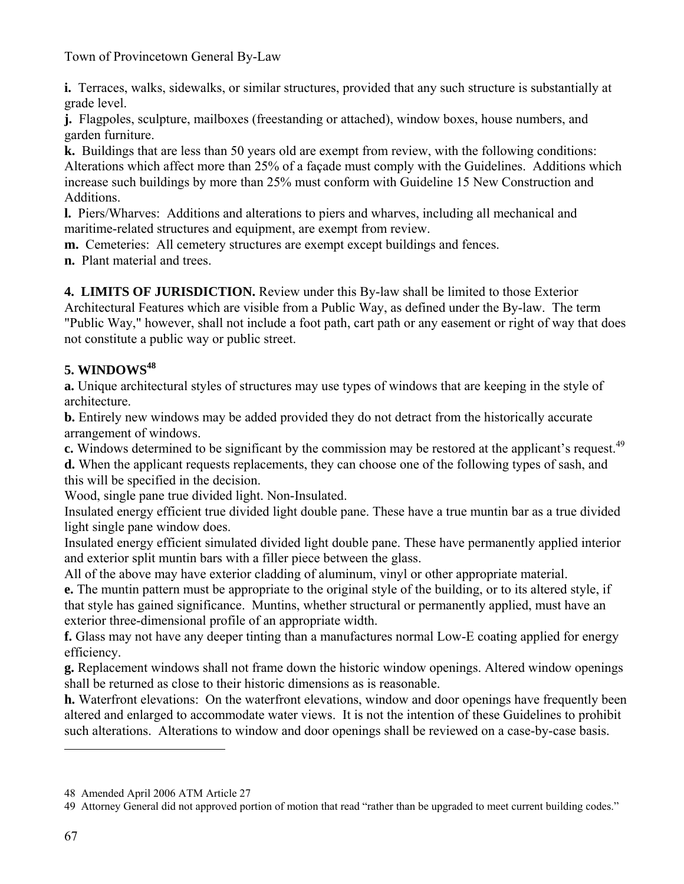**i.** Terraces, walks, sidewalks, or similar structures, provided that any such structure is substantially at grade level.

**j.** Flagpoles, sculpture, mailboxes (freestanding or attached), window boxes, house numbers, and garden furniture.

**k.** Buildings that are less than 50 years old are exempt from review, with the following conditions: Alterations which affect more than 25% of a façade must comply with the Guidelines. Additions which increase such buildings by more than 25% must conform with Guideline 15 New Construction and Additions.

**l.** Piers/Wharves: Additions and alterations to piers and wharves, including all mechanical and maritime-related structures and equipment, are exempt from review.

**m.** Cemeteries: All cemetery structures are exempt except buildings and fences.

**n.** Plant material and trees.

**4. LIMITS OF JURISDICTION.** Review under this By-law shall be limited to those Exterior Architectural Features which are visible from a Public Way, as defined under the By-law. The term "Public Way," however, shall not include a foot path, cart path or any easement or right of way that does not constitute a public way or public street.

# **5. WINDOWS48**

**a.** Unique architectural styles of structures may use types of windows that are keeping in the style of architecture.

**b.** Entirely new windows may be added provided they do not detract from the historically accurate arrangement of windows.

**c.** Windows determined to be significant by the commission may be restored at the applicant's request.<sup>49</sup>

**d.** When the applicant requests replacements, they can choose one of the following types of sash, and this will be specified in the decision.

Wood, single pane true divided light. Non-Insulated.

Insulated energy efficient true divided light double pane. These have a true muntin bar as a true divided light single pane window does.

Insulated energy efficient simulated divided light double pane. These have permanently applied interior and exterior split muntin bars with a filler piece between the glass.

All of the above may have exterior cladding of aluminum, vinyl or other appropriate material.

**e.** The muntin pattern must be appropriate to the original style of the building, or to its altered style, if that style has gained significance. Muntins, whether structural or permanently applied, must have an exterior three-dimensional profile of an appropriate width.

**f.** Glass may not have any deeper tinting than a manufactures normal Low-E coating applied for energy efficiency.

**g.** Replacement windows shall not frame down the historic window openings. Altered window openings shall be returned as close to their historic dimensions as is reasonable.

**h.** Waterfront elevations: On the waterfront elevations, window and door openings have frequently been altered and enlarged to accommodate water views. It is not the intention of these Guidelines to prohibit such alterations. Alterations to window and door openings shall be reviewed on a case-by-case basis.

<sup>48</sup> Amended April 2006 ATM Article 27

<sup>49</sup> Attorney General did not approved portion of motion that read "rather than be upgraded to meet current building codes."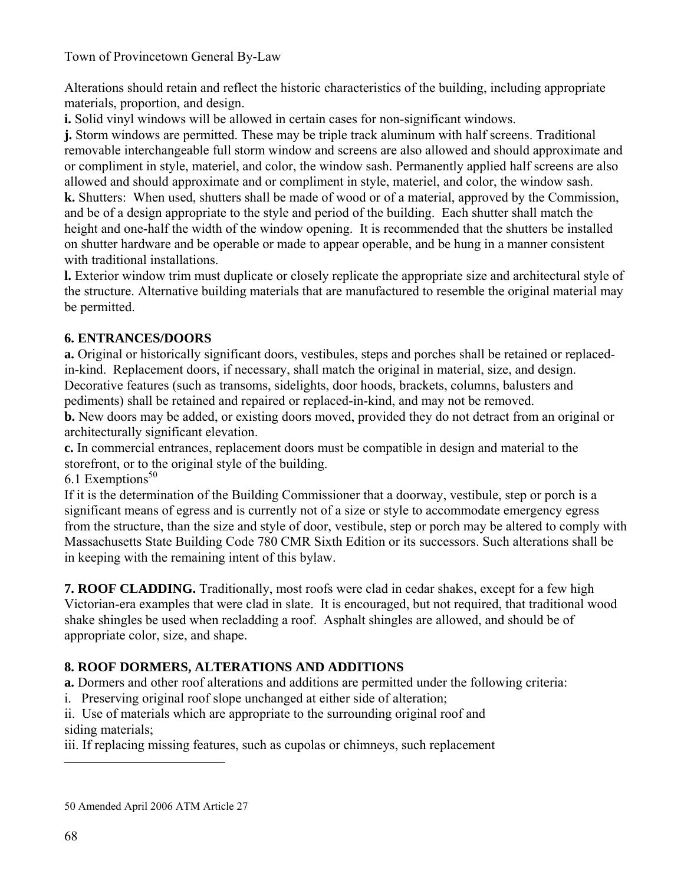Alterations should retain and reflect the historic characteristics of the building, including appropriate materials, proportion, and design.

**i.** Solid vinyl windows will be allowed in certain cases for non-significant windows.

**j.** Storm windows are permitted. These may be triple track aluminum with half screens. Traditional removable interchangeable full storm window and screens are also allowed and should approximate and or compliment in style, materiel, and color, the window sash. Permanently applied half screens are also allowed and should approximate and or compliment in style, materiel, and color, the window sash. **k.** Shutters: When used, shutters shall be made of wood or of a material, approved by the Commission, and be of a design appropriate to the style and period of the building. Each shutter shall match the height and one-half the width of the window opening. It is recommended that the shutters be installed on shutter hardware and be operable or made to appear operable, and be hung in a manner consistent with traditional installations.

**l.** Exterior window trim must duplicate or closely replicate the appropriate size and architectural style of the structure. Alternative building materials that are manufactured to resemble the original material may be permitted.

### **6. ENTRANCES/DOORS**

**a.** Original or historically significant doors, vestibules, steps and porches shall be retained or replacedin-kind. Replacement doors, if necessary, shall match the original in material, size, and design. Decorative features (such as transoms, sidelights, door hoods, brackets, columns, balusters and pediments) shall be retained and repaired or replaced-in-kind, and may not be removed.

**b.** New doors may be added, or existing doors moved, provided they do not detract from an original or architecturally significant elevation.

**c.** In commercial entrances, replacement doors must be compatible in design and material to the storefront, or to the original style of the building.

6.1 Exemptions $50$ 

If it is the determination of the Building Commissioner that a doorway, vestibule, step or porch is a significant means of egress and is currently not of a size or style to accommodate emergency egress from the structure, than the size and style of door, vestibule, step or porch may be altered to comply with Massachusetts State Building Code 780 CMR Sixth Edition or its successors. Such alterations shall be in keeping with the remaining intent of this bylaw.

**7. ROOF CLADDING.** Traditionally, most roofs were clad in cedar shakes, except for a few high Victorian-era examples that were clad in slate. It is encouraged, but not required, that traditional wood shake shingles be used when recladding a roof. Asphalt shingles are allowed, and should be of appropriate color, size, and shape.

# **8. ROOF DORMERS, ALTERATIONS AND ADDITIONS**

**a.** Dormers and other roof alterations and additions are permitted under the following criteria:

i. Preserving original roof slope unchanged at either side of alteration;

ii. Use of materials which are appropriate to the surrounding original roof and siding materials;

iii. If replacing missing features, such as cupolas or chimneys, such replacement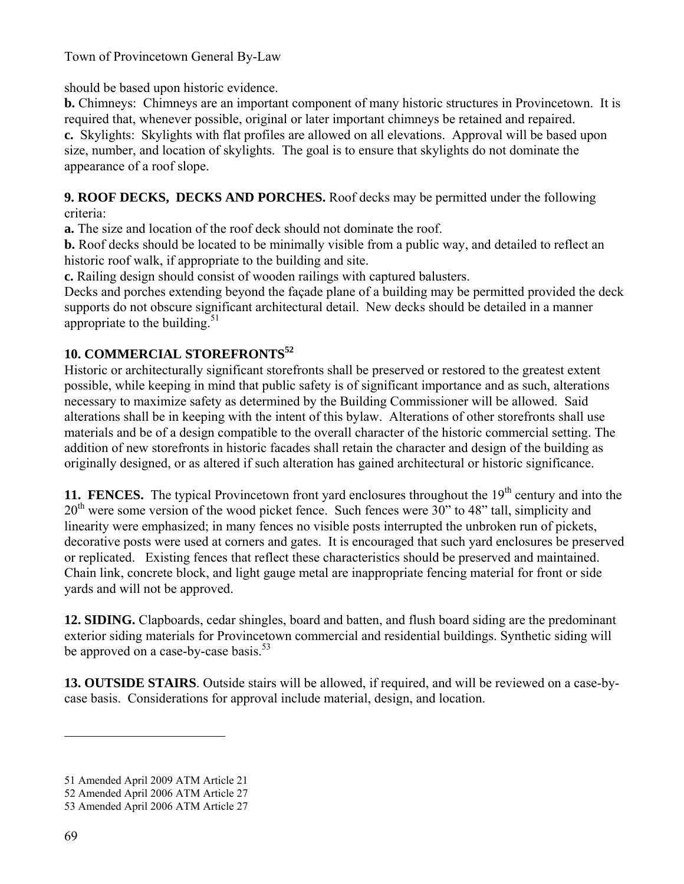should be based upon historic evidence.

**b.** Chimneys: Chimneys are an important component of many historic structures in Provincetown. It is required that, whenever possible, original or later important chimneys be retained and repaired. **c.** Skylights: Skylights with flat profiles are allowed on all elevations. Approval will be based upon size, number, and location of skylights. The goal is to ensure that skylights do not dominate the appearance of a roof slope.

**9. ROOF DECKS, DECKS AND PORCHES.** Roof decks may be permitted under the following criteria:

**a.** The size and location of the roof deck should not dominate the roof.

**b.** Roof decks should be located to be minimally visible from a public way, and detailed to reflect an historic roof walk, if appropriate to the building and site.

**c.** Railing design should consist of wooden railings with captured balusters.

Decks and porches extending beyond the façade plane of a building may be permitted provided the deck supports do not obscure significant architectural detail. New decks should be detailed in a manner appropriate to the building. $51$ 

### **10. COMMERCIAL STOREFRONTS52**

Historic or architecturally significant storefronts shall be preserved or restored to the greatest extent possible, while keeping in mind that public safety is of significant importance and as such, alterations necessary to maximize safety as determined by the Building Commissioner will be allowed. Said alterations shall be in keeping with the intent of this bylaw. Alterations of other storefronts shall use materials and be of a design compatible to the overall character of the historic commercial setting. The addition of new storefronts in historic facades shall retain the character and design of the building as originally designed, or as altered if such alteration has gained architectural or historic significance.

**11. FENCES.** The typical Provincetown front yard enclosures throughout the  $19<sup>th</sup>$  century and into the  $20<sup>th</sup>$  were some version of the wood picket fence. Such fences were 30" to 48" tall, simplicity and linearity were emphasized; in many fences no visible posts interrupted the unbroken run of pickets, decorative posts were used at corners and gates. It is encouraged that such yard enclosures be preserved or replicated. Existing fences that reflect these characteristics should be preserved and maintained. Chain link, concrete block, and light gauge metal are inappropriate fencing material for front or side yards and will not be approved.

**12. SIDING.** Clapboards, cedar shingles, board and batten, and flush board siding are the predominant exterior siding materials for Provincetown commercial and residential buildings. Synthetic siding will be approved on a case-by-case basis.<sup>53</sup>

**13. OUTSIDE STAIRS**. Outside stairs will be allowed, if required, and will be reviewed on a case-bycase basis. Considerations for approval include material, design, and location.

<sup>51</sup> Amended April 2009 ATM Article 21

<sup>52</sup> Amended April 2006 ATM Article 27

<sup>53</sup> Amended April 2006 ATM Article 27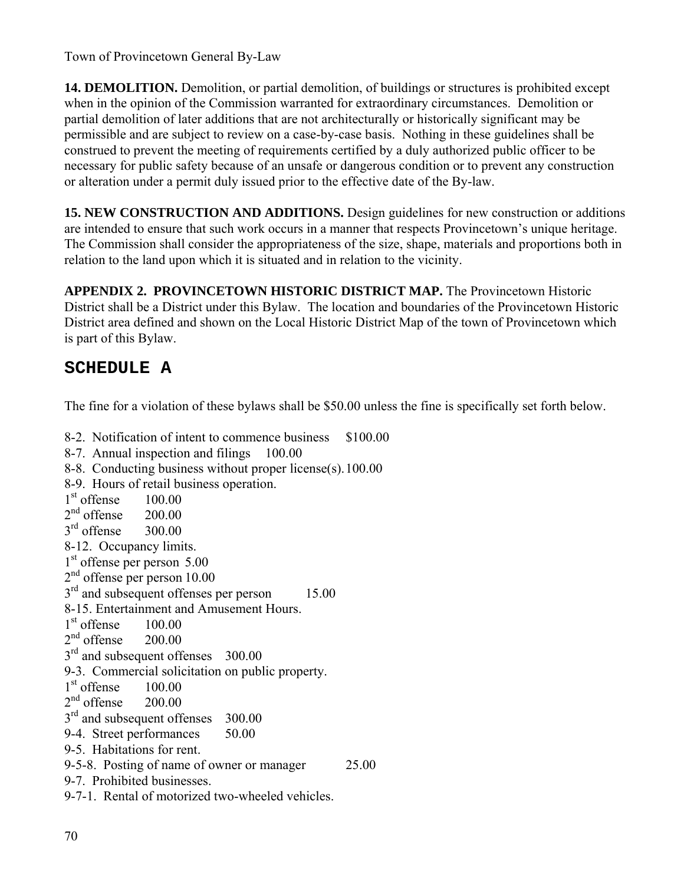**14. DEMOLITION.** Demolition, or partial demolition, of buildings or structures is prohibited except when in the opinion of the Commission warranted for extraordinary circumstances. Demolition or partial demolition of later additions that are not architecturally or historically significant may be permissible and are subject to review on a case-by-case basis. Nothing in these guidelines shall be construed to prevent the meeting of requirements certified by a duly authorized public officer to be necessary for public safety because of an unsafe or dangerous condition or to prevent any construction or alteration under a permit duly issued prior to the effective date of the By-law.

**15. NEW CONSTRUCTION AND ADDITIONS.** Design guidelines for new construction or additions are intended to ensure that such work occurs in a manner that respects Provincetown's unique heritage. The Commission shall consider the appropriateness of the size, shape, materials and proportions both in relation to the land upon which it is situated and in relation to the vicinity.

**APPENDIX 2. PROVINCETOWN HISTORIC DISTRICT MAP.** The Provincetown Historic District shall be a District under this Bylaw. The location and boundaries of the Provincetown Historic District area defined and shown on the Local Historic District Map of the town of Provincetown which is part of this Bylaw.

# **SCHEDULE A**

The fine for a violation of these bylaws shall be \$50.00 unless the fine is specifically set forth below.

8-2. Notification of intent to commence business \$100.00 8-7. Annual inspection and filings 100.00 8-8. Conducting business without proper license(s). 100.00 8-9. Hours of retail business operation.  $1<sup>st</sup>$  offense  $100.00$  $2<sup>nd</sup>$  offense  $200.00$  $3<sup>rd</sup>$  offense  $300.00$ 8-12. Occupancy limits. 1<sup>st</sup> offense per person 5.00 2<sup>nd</sup> offense per person 10.00  $3<sup>rd</sup>$  and subsequent offenses per person 15.00 8-15. Entertainment and Amusement Hours.  $1<sup>st</sup>$  offense  $100.00$  $2<sup>nd</sup>$  offense  $200.00$  $3<sup>rd</sup>$  and subsequent offenses 300.00 9-3. Commercial solicitation on public property.  $1<sup>st</sup>$  offense  $100.00$  $2<sup>nd</sup>$  offense  $200.00$  $3<sup>rd</sup>$  and subsequent offenses 300.00 9-4. Street performances 50.00 9-5. Habitations for rent. 9-5-8. Posting of name of owner or manager 25.00 9-7. Prohibited businesses. 9-7-1. Rental of motorized two-wheeled vehicles.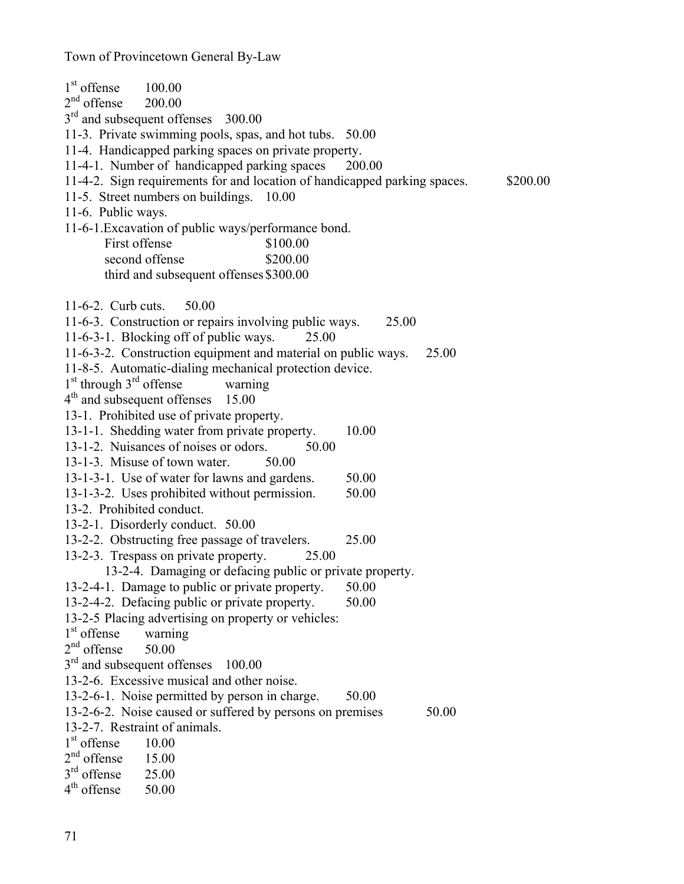| $1st$ offense<br>100.00                                                   |       |          |
|---------------------------------------------------------------------------|-------|----------|
| $2nd$ offense<br>200.00                                                   |       |          |
| 3 <sup>rd</sup> and subsequent offenses 300.00                            |       |          |
| 11-3. Private swimming pools, spas, and hot tubs. 50.00                   |       |          |
| 11-4. Handicapped parking spaces on private property.                     |       |          |
| 11-4-1. Number of handicapped parking spaces<br>200.00                    |       |          |
| 11-4-2. Sign requirements for and location of handicapped parking spaces. |       | \$200.00 |
| 11-5. Street numbers on buildings. 10.00                                  |       |          |
| 11-6. Public ways.                                                        |       |          |
| 11-6-1. Excavation of public ways/performance bond.                       |       |          |
| First offense<br>\$100.00                                                 |       |          |
| second offense<br>\$200.00                                                |       |          |
| third and subsequent offenses \$300.00                                    |       |          |
| $11-6-2$ . Curb cuts.<br>50.00                                            |       |          |
| 11-6-3. Construction or repairs involving public ways.                    | 25.00 |          |
| 11-6-3-1. Blocking off of public ways.<br>25.00                           |       |          |
| 11-6-3-2. Construction equipment and material on public ways.             |       | 25.00    |
| 11-8-5. Automatic-dialing mechanical protection device.                   |       |          |
| $1st$ through $3rd$ offense<br>warning                                    |       |          |
| 4 <sup>th</sup> and subsequent offenses<br>15.00                          |       |          |
| 13-1. Prohibited use of private property.                                 |       |          |
| 13-1-1. Shedding water from private property.                             | 10.00 |          |
| 13-1-2. Nuisances of noises or odors.<br>50.00                            |       |          |
| 13-1-3. Misuse of town water.<br>50.00                                    |       |          |
| 13-1-3-1. Use of water for lawns and gardens.                             | 50.00 |          |
| 13-1-3-2. Uses prohibited without permission.                             | 50.00 |          |
| 13-2. Prohibited conduct.                                                 |       |          |
| 13-2-1. Disorderly conduct. 50.00                                         |       |          |
| 13-2-2. Obstructing free passage of travelers.                            | 25.00 |          |
| 13-2-3. Trespass on private property.<br>25.00                            |       |          |
| 13-2-4. Damaging or defacing public or private property.                  |       |          |
| 13-2-4-1. Damage to public or private property.                           | 50.00 |          |
| 13-2-4-2. Defacing public or private property.                            | 50.00 |          |
| 13-2-5 Placing advertising on property or vehicles:                       |       |          |
| $1st$ offense<br>warning                                                  |       |          |
| $2nd$ offense<br>50.00                                                    |       |          |
| 3 <sup>rd</sup> and subsequent offenses<br>100.00                         |       |          |
| 13-2-6. Excessive musical and other noise.                                |       |          |
| 13-2-6-1. Noise permitted by person in charge.                            | 50.00 |          |
| 13-2-6-2. Noise caused or suffered by persons on premises                 |       | 50.00    |
| 13-2-7. Restraint of animals.                                             |       |          |
| 1 <sup>st</sup> offense<br>10.00<br>$2nd$ offense                         |       |          |
| 15.00<br>$3rd$ offense<br>25.00                                           |       |          |
| $4th$ offense<br>50.00                                                    |       |          |
|                                                                           |       |          |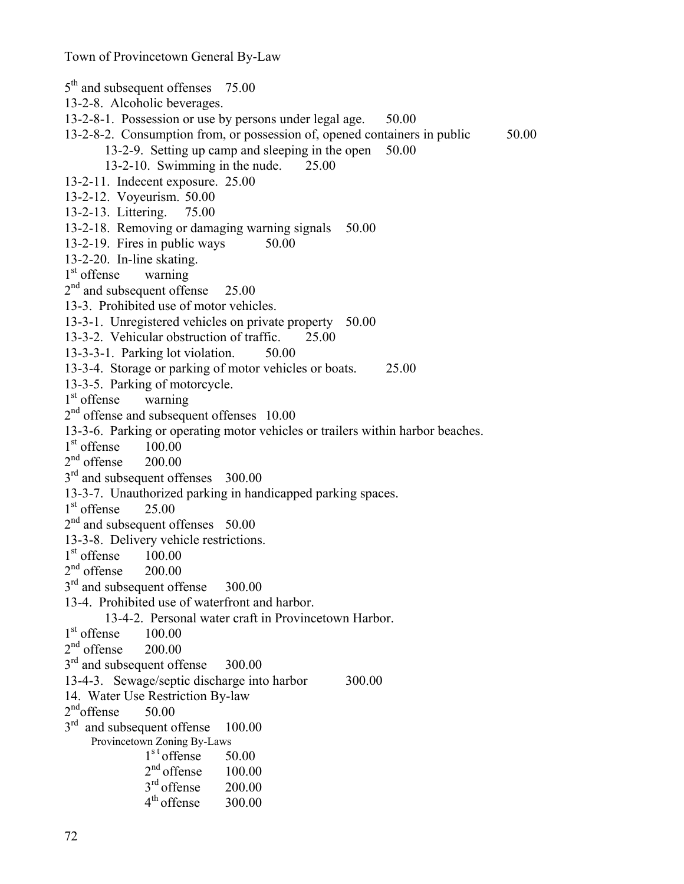5<sup>th</sup> and subsequent offenses 75.00 13-2-8. Alcoholic beverages. 13-2-8-1. Possession or use by persons under legal age. 50.00 13-2-8-2. Consumption from, or possession of, opened containers in public 50.00 13-2-9. Setting up camp and sleeping in the open 50.00 13-2-10. Swimming in the nude. 25.00 13-2-11. Indecent exposure. 25.00 13-2-12. Voyeurism. 50.00 13-2-13. Littering. 75.00 13-2-18. Removing or damaging warning signals 50.00 13-2-19. Fires in public ways  $50.00$ 13-2-20. In-line skating.  $1<sup>st</sup>$  offense warning  $2<sup>nd</sup>$  and subsequent offense  $25.00$ 13-3. Prohibited use of motor vehicles. 13-3-1. Unregistered vehicles on private property 50.00 13-3-2. Vehicular obstruction of traffic. 25.00 13-3-3-1. Parking lot violation. 50.00 13-3-4. Storage or parking of motor vehicles or boats. 25.00 13-3-5. Parking of motorcycle. 1<sup>st</sup> offense warning  $2<sup>nd</sup>$  offense and subsequent offenses  $10.00$ 13-3-6. Parking or operating motor vehicles or trailers within harbor beaches.  $1<sup>st</sup>$  offense  $100.00$  $2<sup>nd</sup>$  offense  $200.00$  $3<sup>rd</sup>$  and subsequent offenses 300.00 13-3-7. Unauthorized parking in handicapped parking spaces.  $1<sup>st</sup>$  offense  $25.00$  $2<sup>nd</sup>$  and subsequent offenses 50.00 13-3-8. Delivery vehicle restrictions.  $1<sup>st</sup>$  offense  $100.00$  $2<sup>nd</sup>$  offense  $200.00$  $3<sup>rd</sup>$  and subsequent offense 300.00 13-4. Prohibited use of waterfront and harbor. 13-4-2. Personal water craft in Provincetown Harbor.  $1<sup>st</sup>$  offense  $100.00$  $2<sup>nd</sup>$  offense  $200.00$  $3<sup>rd</sup>$  and subsequent offense 300.00 13-4-3. Sewage/septic discharge into harbor 300.00 14. Water Use Restriction By-law  $2<sup>nd</sup>$ offense 50.00 3<sup>rd</sup> and subsequent offense 100.00 Provincetown Zoning By-Laws  $1<sup>st</sup>$  offense 50.00  $2<sup>nd</sup>$  offense  $100.00$  $3<sup>rd</sup>$  offense  $200.00$  $4<sup>th</sup>$  offense  $300.00$